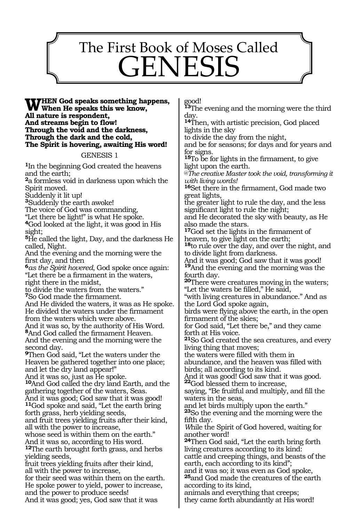# The First Book of Moses Called GENESIS

<u>.</u>

#### **When God speaks something happens, When He speaks this we know, All nature is respondent, And streams begin to flow! Through the void and the darkness, Through the dark and the cold, The Spirit is hovering, awaiting His word!**

GENESIS 1

**<sup>1</sup>**In the beginning God created the heavens and the earth;

**<sup>2</sup>**a formless void in darkness upon which the Spirit moved.

Suddenly it lit up!

**<sup>3</sup>**Suddenly the earth awoke!

The voice of God was commanding,

"Let there be light!" is what He spoke.

**<sup>4</sup>**God looked at the light, it was good in His sight;

**<sup>5</sup>**He called the light, Day, and the darkness He called, Night.

And the evening and the morning were the first day, and then

**<sup>6</sup>***as the Spirit hovered*, God spoke once again: "Let there be a firmament in the waters, right there in the midst,

to divide the waters from the waters." **<sup>7</sup>**So God made the firmament.

And He divided the waters, it was as He spoke. He divided the waters under the firmament from the waters which were above.

And it was so, by the authority of His Word. **<sup>8</sup>**And God called the firmament Heaven. And the evening and the morning were the second day.

**<sup>9</sup>**Then God said, "Let the waters under the Heaven be gathered together into one place; and let the dry land appear!"

And it was so, just as He spoke.

**<sup>10</sup>**And God called the dry land Earth, and the gathering together of the waters, Seas. And it was good; God saw that it was good!

**<sup>11</sup>**God spoke and said, "Let the earth bring forth grass, herb yielding seeds,

and fruit trees yielding fruits after their kind, all with the power to increase,

whose seed is within them on the earth." And it was so, according to His word. **<sup>12</sup>**The earth brought forth grass, and herbs

yielding seeds, fruit trees yielding fruits after their kind,

all with the power to increase, for their seed was within them on the earth. He spoke power to yield, power to increase, and the power to produce seeds! And it was good; yes, God saw that it was

good!

**<sup>13</sup>**The evening and the morning were the third day.

**<sup>14</sup>**Then, with artistic precision, God placed lights in the sky

to divide the day from the night,

and be for seasons; for days and for years and for signs.

**<sup>15</sup>**To be for lights in the firmament, to give light upon the earth.

@*The creative Master took the void, transforming it with living words!*

**<sup>16</sup>**Set there in the firmament, God made two great lights,

the greater light to rule the day, and the less significant light to rule the night;

and He decorated the sky with beauty, as He also made the stars.

**<sup>17</sup>**God set the lights in the firmament of heaven, to give light on the earth;

**<sup>18</sup>**to rule over the day, and over the night, and to divide light from darkness.

And it was good; God saw that it was good! **<sup>19</sup>**And the evening and the morning was the fourth day.

**<sup>20</sup>**There were creatures moving in the waters; "Let the waters be filled," He said,

"with living creatures in abundance." And as the Lord God spoke again,

birds were flying above the earth*,* in the open firmament of the skies;

for God said, "Let there be," and they came forth at His voice.

**<sup>21</sup>**So God created the sea creatures, and every living thing that moves;

the waters were filled with them in

abundance, and the heaven was filled with birds; all according to its kind.

And it was good! God saw that it was good. **22**God blessed them to increase,

saying, "Be fruitful and multiply, and fill the waters in the seas,

and let birds multiply upon the earth." **<sup>23</sup>**So the evening and the morning were the fifth day.

*W*hile the Spirit of God hovered, waiting for another word!

**<sup>24</sup>**Then God said, "Let the earth bring forth living creatures according to its kind: cattle and creeping things, and beasts of the earth, each according to its kind";

and it was so; it was even as God spoke, **<sup>25</sup>**and God made the creatures of the earth according to its kind,

animals and everything that creeps; they came forth abundantly at His word!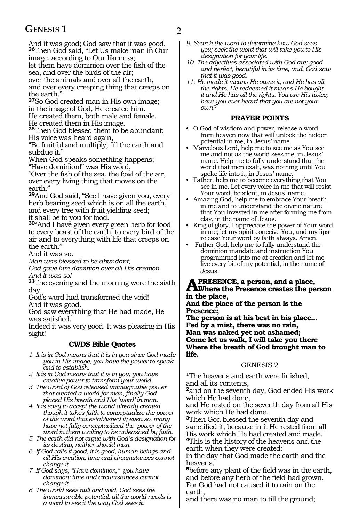### **GENESIS 1** 2

And it was good; God saw that it was good. **<sup>26</sup>**Then God said, "Let Us make man in Our

image, according to Our likeness; let them have dominion over the fish of the sea, and over the birds of the air;

over the animals and over all the earth, and over every creeping thing that creeps on the earth."

**<sup>27</sup>**So God created man in His own image; in the image of God, He created him. He created them, both male and female.

He created them in His image.

**<sup>28</sup>**Then God blessed them to be abundant; His voice was heard again,

"Be fruitful and multiply, fill the earth and subdue it."

When God speaks something happens; "Have dominion!" was His word,

"Over the fish of the sea, the fowl of the air, over every living thing that moves on the earth."

**<sup>29</sup>**And God said, "See I have given you, every herb bearing seed which is on all the earth, and every tree with fruit yielding seed; it shall be to you for food.

**<sup>30</sup>**"And I have given every green herb for food to every beast of the earth, to every bird of the air and to everything with life that creeps on the earth."

And it was so.

*Man was blessed to be abundant;*

*God gave him dominion over all His creation. And it was so!*

**<sup>31</sup>**The evening and the morning were the sixth day.

God's word had transformed the void! And it was good.

God saw everything that He had made, He was satisfied.

Indeed it was very good. It was pleasing in His sight!

### **CWDS Bible Quotes**

*1. It is in God means that it is in you since God made you in His image; you have the power to speak and to establish.*

*2. It is in God means that it is in you, you have creative power to transform your world.*

*3. The word of God released unimaginable power that created a world for man, finally God placed His breath and His 'word' in man.* 

*4. It is easy to accept the world already created though it takes faith to conceptualize the power of the word that established it; even so, many have not fully conceptualized the power of the word in them waiting to be unleashed by faith.*

*5. The earth did not argue with God's designation for its destiny, neither should man.*

*6. If God calls it good, it is good, human beings and all His creation, time and circumstances cannot change it.*

*7. If God says, "Have dominion," you have dominion; time and circumstances cannot change it.*

*8. The world sees null and void, God sees the immeasurable potential; all the world needs is a word to see it the way God sees it.* 

- *9. Search the word to determine how God sees you; seek the word that will take you to His designation for your life.*
- *10. The adjectives associated with God are: good and perfect, beautiful in its time, and, God saw that it was good.*
- *11. He made it means He owns it, and He has all the rights. He redeemed it means He bought it and He has all the rights. You are His twice; have you ever heard that you are not your own?*

#### **PRAYER POINTS**

- O God of wisdom and power, release a word from heaven now that will unlock the hidden potential in me, in Jesus' name.
- Marvelous Lord, help me to see me as You see me and not as the world sees me, in Jesus' name. Help me to fully understand that the world that men exalt, was nothing until You spoke life into it, in Jesus' name.
- Father, help me to become everything that You see in me. Let every voice in me that will resist Your word, be silent, in Jesus' name.
- Amazing God, help me to embrace Your breath in me and to understand the divine nature that You invested in me after forming me from clay, in the name of Jesus.
- King of glory, I appreciate the power of Your word in me; let my spirit conceive You, and my lips release Your word by faith always. Amen.
- Father God, help me to fully understand the dominion mandate and instruction You programmed into me at creation and let me live every bit of my potential, in the name of Jesus.

### **A PresenCE, a person, and a place, Where the Presence creates the person in the place,**

**And the place of the person is the Presence;**

**The person is at his best in his place... Fed by a mist, there was no rain, Man was naked yet not ashamed; Come let us walk, I will take you there Where the breath of God brought man to life.**

#### GENESIS 2

**<sup>1</sup>**The heavens and earth were finished, and all its contents,

**<sup>2</sup>**and on the seventh day, God ended His work which He had done;

and He rested on the seventh day from all His work which He had done.

**<sup>3</sup>**Then God blessed the seventh day and sanctified it, because in it He rested from all His work which He had created and made. **<sup>4</sup>**This is the history of the heavens and the

earth when they were created:

in the day that God made the earth and the heavens,

**<sup>5</sup>**before any plant of the field was in the earth, and before any herb of the field had grown. For God had not caused it to rain on the earth,

and there was no man to till the ground;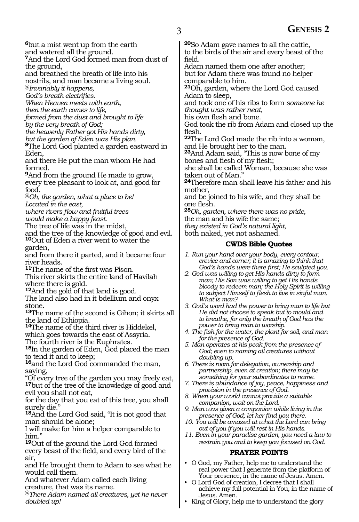**<sup>6</sup>**but a mist went up from the earth and watered all the ground.

**<sup>7</sup>**And the Lord God formed man from dust of the ground,

and breathed the breath of life into his nostrils, and man became a living soul.

@*Invariably it happens, God's breath electrifies.*

*When Heaven meets with earth,* 

*then the earth comes to life,*

*formed from the dust and brought to life by the very breath of God;*

*the heavenly Father got His hands dirty,*

*but the garden of Eden was His plan.*

**<sup>8</sup>**The Lord God planted a garden eastward in Eden,

and there He put the man whom He had formed.

**<sup>9</sup>**And from the ground He made to grow, every tree pleasant to look at, and good for food.

@*Oh, the garden, what a place to be! Located in the east,*

*where rivers flow and fruitful trees would make a happy feast.*

The tree of life was in the midst,

and the tree of the knowledge of good and evil. **<sup>10</sup>**Out of Eden a river went to water the

garden, and from there it parted, and it became four river heads.

**<sup>11</sup>**The name of the first was Pison.

This river skirts the entire land of Havilah where there is gold.

**<sup>12</sup>**And the gold of that land is good.

The land also had in it bdellium and onyx stone.

**<sup>13</sup>**The name of the second is Gihon; it skirts all the land of Ethiopia.

**<sup>14</sup>**The name of the third river is Hiddekel, which goes towards the east of Assyria.

The fourth river is the Euphrates.

**<sup>15</sup>**In the garden of Eden, God placed the man to tend it and to keep;

**<sup>16</sup>**and the Lord God commanded the man, saying,

"Of every tree of the garden you may freely eat, **<sup>17</sup>**but of the tree of the knowledge of good and evil you shall not eat,

for the day that you eat of this tree, you shall surely die."

**<sup>18</sup>**And the Lord God said, "It is not good that man should be alone;

I will make for him a helper comparable to him."

**<sup>19</sup>**Out of the ground the Lord God formed every beast of the field, and every bird of the air,

and He brought them to Adam to see what he would call them.

And whatever Adam called each living creature, that was its name.

@*There Adam named all creatures, yet he never doubled up!* 

**<sup>20</sup>**So Adam gave names to all the cattle, to the birds of the air and every beast of the field.

Adam named them one after another; but for Adam there was found no helper comparable to him.

**<sup>21</sup>**Oh, garden, where the Lord God caused Adam to sleep,

and took one of his ribs to form *someone he thought was rather neat,* 

his own flesh and bone.

God took the rib from Adam and closed up the flesh.

**<sup>22</sup>**The Lord God made the rib into a woman, and He brought her to the man.

**<sup>23</sup>**And Adam said, "This is now bone of my bones and flesh of my flesh;

she shall be called Woman, because she was taken out of Man."

**<sup>24</sup>**Therefore man shall leave his father and his mother,

and be joined to his wife, and they shall be one flesh.

**<sup>25</sup>***Oh, garden, where there was no pride,*

the man and his wife the same;

*they existed in God's natural light,*

both naked, yet not ashamed.

#### **CWDS Bible Quotes**

*1. Run your hand over your body, every contour, crevice and corner; it is amazing to think that God's hands were there first; He sculpted you.*

*2. God was willing to get His hands dirty to form man; His Son was willing to get His hands bloody to redeem man; the Holy Spirit is willing to subject Himself to flesh to live in sinful man. What is man?*

*3. God's word had the power to bring man to life but He did not choose to speak but to mould and to breathe, for only the breath of God has the power to bring man to worship.*

*4. The fish for the water, the plant for soil, and man for the presence of God.*

*5. Man operates at his peak from the presence of God; even to naming all creatures without doubling up.*

*6. There is room for delegation, ownership and partnership, even at creation; there may be something for your subordinates to name.*

*7. There is abundance of joy, peace, happiness and provision in the presence of God.*

*8. When your world cannot provide a suitable companion, wait on the Lord.*

*9. Man was given a companion while living in the presence of God; let her find you there.*

*10. You will be amazed at what the Lord can bring out of you if you will rest in His hands.*

*11. Even in your paradise garden, you need a law to restrain you and to keep you focused on God.*

#### **PRAYER POINTS**

- O God, my Father, help me to understand the real power that I generate from the platform of Your presence, in the name of Jesus. Amen.
- O Lord God of creation, I decree that I shall achieve my full potential in You, in the name of Jesus. Amen.
- King of Glory, help me to understand the glory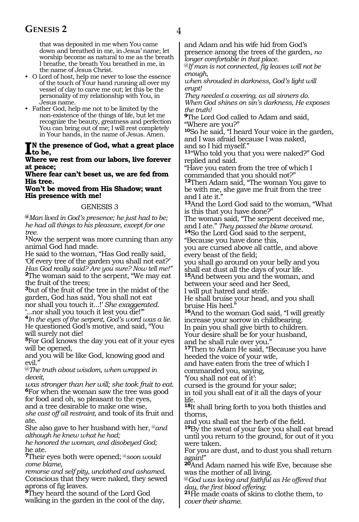### **GENESIS 2** 4

that was deposited in me when You came down and breathed in me, in Jesus' name; let worship become as natural to me as the breath I breathe, the breath You breathed in me, in the name of Jesus Christ.

- O Lord of host, help me never to lose the essence of the touch of Your hand running all over my vessel of clay to carve me out; let this be the personality of my relationship with You, in Jesus name.
- Father God, help me not to be limited by the non-existence of the things of life, but let me recognize the beauty, greatness and perfection You can bring out of me; I will rest completely in Your hands, in the name of Jesus. Amen.

### I<sup>I</sup>N the presence of God, what a great place<br>to be,<br>Where we get from any labor. Fire former **to be,**

**Where we rest from our labors, live forever at peace;**

**Where fear can't beset us, we are fed from His tree.**

**Won't be moved from His Shadow; want His presence with me!**

#### GENESIS 3

**@***Man lived in God's presence; he just had to be; he had all things to his pleasure, except for one tree.*

**<sup>1</sup>**Now the serpent was more cunning than any animal God had made.

He said to the woman, "Has God really said, 'Of every tree of the garden you shall not eat?' *Has God really said? Are you sure? Now tell me!"*  **<sup>2</sup>**The woman said to the serpent, "We may eat the fruit of the trees;

**<sup>3</sup>**but of the fruit of the tree in the midst of the garden, God has said, 'You shall not eat nor shall you touch it...!' *She exaggerated.* '...nor shall you touch it lest you die!'"

**<sup>4</sup>***In the eyes of the serpent, God's word was a lie.* He questioned God's motive, and said, "You will surely not die!

**<sup>5</sup>**For God knows the day you eat of it your eyes will be opened,

and you will be like God, knowing good and evil.

@*The truth about wisdom, when wrapped in deceit,*

*was stronger than her will; she took fruit to eat.*  **<sup>6</sup>**For when the woman saw the tree was good for food and oh, so pleasant to the eyes, and a tree desirable to make one wise, *she cast off all restraint,* and took of its fruit and ate.

She also gave to her husband with her, @*and although he knew what he had;*

*he honored the woman, and disobeyed God;*  he ate.

**<sup>7</sup>**Their eyes both were opened; @*soon would come blame,*

*remorse and self pity, unclothed and ashamed.* Conscious that they were naked, they sewed aprons of fig leaves.

**<sup>8</sup>**They heard the sound of the Lord God walking in the garden in the cool of the day, and Adam and his wife hid from God's presence among the trees of the garden, *no longer comfortable in that place.*

@*If man is not connected, fig leaves will not be enough,*

*when shrouded in darkness, God's light will erupt!* 

*They needed a covering, as all sinners do. When God shines on sin's darkness, He exposes the truth!*

**<sup>9</sup>**The Lord God called to Adam and said, "Where are you?"

**<sup>10</sup>**So he said, "I heard Your voice in the garden, and I was afraid because I was naked, and so I hid myself."

**<sup>11</sup>**"Who told you that you were naked?" God replied and said.

"Have you eaten from the tree of which I commanded that you should not?"

**<sup>12</sup>**Then Adam said, "The woman You gave to be with me, she gave me fruit from the tree and I ate it."

**<sup>13</sup>**And the Lord God said to the woman, "What is this that you have done?"

The woman said, "The serpent deceived me, and I ate." *They passed the blame around.* **14**So the Lord God said to the serpent,

"Because you have done this,

you are cursed above all cattle, and above every beast of the field;

you shall go around on your belly and you shall eat dust all the days of your life.

**<sup>15</sup>**And between you and the woman, and between your seed and her Seed,

I will put hatred and strife.

He shall bruise your head, and you shall bruise His heel."

**<sup>16</sup>**And to the woman God said, "I will greatly increase your sorrow in childbearing.

In pain you shall give birth to children. Your desire shall be for your husband,

and he shall rule over you."

**<sup>17</sup>**Then to Adam He said, "Because you have heeded the voice of your wife,

and have eaten from the tree of which I commanded you, saying,

'You shall not eat of it':

cursed is the ground for your sake; in toil you shall eat of it all the days of your life.

**<sup>18</sup>**It shall bring forth to you both thistles and thorns,

and you shall eat the herb of the field.

**<sup>19</sup>**By the sweat of your face you shall eat bread until you return to the ground, for out of it you were taken.

For you are dust, and to dust you shall return again!"

**<sup>20</sup>**And Adam named his wife Eve, because she was the mother of all living.

@*God was loving and faithful as He offered that day, the first blood offering;* 

**21**He made coats of skins to clothe them, t*o cover their shame.*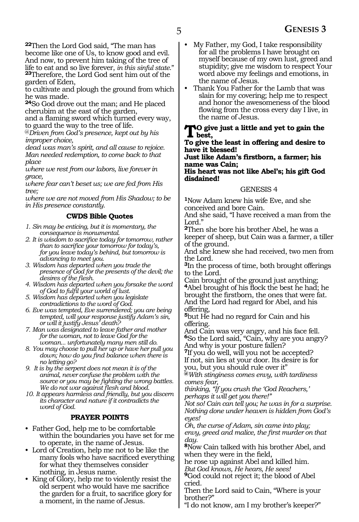**<sup>22</sup>**Then the Lord God said, "The man has become like one of Us, to know good and evil. And now, to prevent him taking of the tree of life to eat and so live forever, *in this sinful state*." **<sup>23</sup>**Therefore, the Lord God sent him out of the garden of Eden,

to cultivate and plough the ground from which he was made.

**<sup>24</sup>**So God drove out the man; and He placed cherubim at the east of the garden,

and a flaming sword which turned every way, to guard the way to the tree of life.

@*Driven from God's presence, kept out by his improper choice,*

*dead was man's spirit, and all cause to rejoice. Man needed redemption, to come back to that place*

*where we rest from our labors, live forever in grace,*

*where fear can't beset us; we are fed from His tree;*

*where we are not moved from His Shadow; to be in His presence constantly.*

#### **CWDS Bible Quotes**

- *1. Sin may be enticing, but it is momentary, the consequence is monumental.*
- *2. It is wisdom to sacrifice today for tomorrow, rather than to sacrifice your tomorrow for today's, for you leave today's behind, but tomorrow is advancing to meet you.*
- *3. Wisdom has departed when you trade the presence of God for the presents of the devil; the desires of the flesh.*
- *4. Wisdom has departed when you forsake the word of God to fulfil your world of lust.*
- *5. Wisdom has departed when you legislate contradictions to the word of God.*
- *6. Eve was tempted, Eve surrendered; you are being tempted, will your response justify Adam's sin, or will it justify Jesus' death?*
- *7. Man was designated to leave father and mother for the woman, not to leave God for the woman... unfortunately many men still do.*
- *8. You may choose to pull her up or have her pull you down; how do you find balance when there is no letting go?*
- *9. It is by the serpent does not mean it is of the animal, never confuse the problem with the source or you may be fighting the wrong battles. We do not war against flesh and blood.*

*10. It appears harmless and friendly, but you discern its character and nature if it contradicts the word of God.*

#### **PRAYER POINTS**

- Father God, help me to be comfortable within the boundaries you have set for me<br>to operate, in the name of Jesus.
- Lord of Creation, help me not to be like the many fools who have sacrificed everything for what they themselves consider nothing, in Jesus name.
- King of Glory, help me to violently resist the old serpent who would have me sacrifice the garden for a fruit, to sacrifice glory for a moment, in the name of Jesus.
- My Father, my God, I take responsibility for all the problems I have brought on myself because of my own lust, greed and stupidity; give me wisdom to respect Your word above my feelings and emotions, in the name of Jesus.
- Thank You Father for the Lamb that was slain for my covering; help me to respect and honor the awesomeness of the blood flowing from the cross every day I live, in the name of Jesus.

#### **To give just a little and yet to gain the best,**

**To give the least in offering and desire to have it blessed!**

#### **Just like Adam's firstborn, a farmer; his name was Cain;**

**His heart was not like Abel's; his gift God disdained!**

#### GENESIS 4

**<sup>1</sup>**Now Adam knew his wife Eve, and she conceived and bore Cain.

And she said, "I have received a man from the Lord."

**<sup>2</sup>**Then she bore his brother Abel, he was a keeper of sheep, but Cain was a farmer, a tiller of the ground.

And she knew she had received, two men from the Lord.

**<sup>3</sup>**In the process of time, both brought offerings to the Lord.

Cain brought of the ground just anything; **<sup>4</sup>**Abel brought of his flock the best he had; he brought the firstborn, the ones that were fat. And the Lord had regard for Abel, and his offering,

**<sup>5</sup>**but He had no regard for Cain and his offering.

And Cain was very angry, and his face fell. **<sup>6</sup>**So the Lord said, "Cain, why are you angry? And why is your posture fallen?

**<sup>7</sup>**If you do well, will you not be accepted? If not, sin lies at your door. Its desire is for you, but you should rule over it"

**@***With stinginess comes envy, with tardiness comes fear,*

*thinking, "If you crush the 'God Reachers,' perhaps it will get you there!"*

*Not so! Cain can tell you; he was in for a surprise. Nothing done under heaven is hidden from God's eyes!*

*Oh, the curse of Adam, sin came into play; envy, greed and malice, the first murder on that day.*

**<sup>8</sup>**Now Cain talked with his brother Abel, and when they were in the field,

he rose up against Abel and killed him.

*But God knows, He hears, He sees!*

**<sup>9</sup>**God could not reject it; the blood of Abel cried.

Then the Lord said to Cain, "Where is your brother?"

"I do not know, am I my brother's keeper?"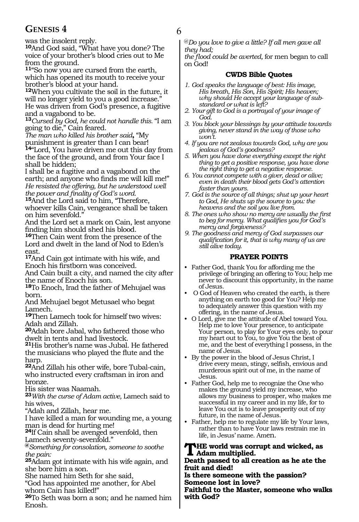### **GENESIS 4** 6

was the insolent reply.

**<sup>10</sup>**And God said, "What have you done? The voice of your brother's blood cries out to Me from the ground.

**<sup>11</sup>**"So now you are cursed from the earth, which has opened its mouth to receive your brother's blood at your hand.

**<sup>12</sup>**When you cultivate the soil in the future, it will no longer yield to you a good increase." He was driven from God's presence, a fugitive and a vagabond to be.

**<sup>13</sup>***Cursed by God, he could not handle this.* "I am going to die," Cain feared.

*The man who killed his brother said***,** "My punishment is greater than I can bear!

**<sup>14</sup>**"Lord, You have driven me out this day from the face of the ground, and from Your face I shall be hidden;

I shall be a fugitive and a vagabond on the earth; and anyone who finds me will kill me!" *He resisted the offering, but he understood well the power and finality of God's word.*

**<sup>15</sup>**And the Lord said to him, "Therefore, whoever kills Cain, vengeance shall be taken on him sevenfold."

And the Lord set a mark on Cain, lest anyone finding him should shed his blood.

**<sup>16</sup>**Then Cain went from the presence of the Lord and dwelt in the land of Nod to Eden's east.

**<sup>17</sup>**And Cain got intimate with his wife, and Enoch his firstborn was conceived.

And Cain built a city, and named the city after the name of Enoch his son.

**<sup>18</sup>**To Enoch, Irad the father of Mehujael was born.

And Mehujael begot Metusael who begat Lamech.

**<sup>19</sup>**Then Lamech took for himself two wives: Adah and Zillah.

**<sup>20</sup>**Adah bore Jabal, who fathered those who dwelt in tents and had livestock.

**<sup>21</sup>**His brother's name was Jubal. He fathered the musicians who played the flute and the harp.

**<sup>22</sup>**And Zillah his other wife, bore Tubal-cain, who instructed every craftsman in iron and bronze.

His sister was Naamah.

**<sup>23</sup>***With the curse of Adam active,* Lamech said to his wives,

"Adah and Zillah, hear me.

I have killed a man for wounding me, a young man is dead for hurting me!

**<sup>24</sup>**If Cain shall be avenged sevenfold, then Lamech seventy-sevenfold."

**@***Something for consolation, someone to soothe the pain:*

**<sup>25</sup>**Adam got intimate with his wife again, and she bore him a son.

She named him Seth for she said,

"God has appointed me another, for Abel whom Cain has killed!"

**<sup>26</sup>**To Seth was born a son; and he named him Enosh.

@*Do you love to give a little? If all men gave all they had;*

*the flood could be averted,* for men began to call on God!

#### **CWDS Bible Quotes**

- *1. God speaks the language of best: His image, His breath, His Son, His Spirit; His heaven; why should He accept your language of substandard or what is left?*
- *2. Your gift to God is a portrayal of your image of God.*
- *3. You block your blessings by your attitude towards giving, never stand in the way of those who won't.*
- *4. If you are not zealous towards God, why are you jealous of God's goodness?*
- *5. When you have done everything except the right thing to get a positive response, you have done the right thing to get a negative response.*
- *6. You cannot compete with a giver, dead or alive; even in death their blood gets God's attention faster than yours.*
- *7. God is the source of all things; shut up your heart to God, He shuts up the source to you: the heavens and the soil you live from.*
- *8. The ones who show no mercy are usually the first to beg for mercy. What qualifies you for God's mercy and forgiveness?*
- *9. The goodness and mercy of God surpasses our qualification for it, that is why many of us are still alive today.*

#### **PRAYER POINTS**

- Father God, thank You for affording me the privilege of bringing an offering to You; help me never to discount this opportunity, in the name of Jesus.
- O God of Heaven who created the earth, is there anything on earth too good for You? Help me to adequately answer this question with my offering, in the name of Jesus.
- O Lord, give me the attitude of Abel toward You. Help me to love Your presence, to anticipate Your person, to play for Your eyes only, to pour my heart out to You, to give You the best of me, and the best of everything I possess, in the name of Jesus.
- By the power in the blood of Jesus Christ, I drive every mean, stingy, selfish, envious and murderous spirit out of me, in the name of Jesus.
- Father God, help me to recognize the One who makes the ground yield my increase, who allows my business to prosper, who makes me successful in my career and in my life, for to leave You out is to leave prosperity out of my future, in the name of Jesus.
- Father, help me to regulate my life by Your laws, rather than to have Your laws restrain me in life, in Jesus' name. Amen.

#### **The world was corrupt and wicked, as Adam multiplied.**

**Death passed to all creation as he ate the fruit and died!**

**Is there someone with the passion? Someone lost in love?**

**Faithful to the Master, someone who walks with God?**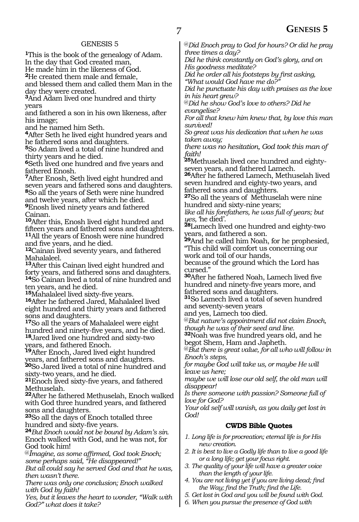#### GENESIS 5

**<sup>1</sup>**This is the book of the genealogy of Adam. In the day that God created man,

He made him in the likeness of God.

**<sup>2</sup>**He created them male and female,

and blessed them and called them Man in the day they were created.

**<sup>3</sup>**And Adam lived one hundred and thirty years

and fathered a son in his own likeness, after his image;

and he named him Seth.

**<sup>4</sup>**After Seth he lived eight hundred years and he fathered sons and daughters.

**<sup>5</sup>**So Adam lived a total of nine hundred and thirty years and he died.

**<sup>6</sup>**Seth lived one hundred and five years and fathered Enosh.

**<sup>7</sup>**After Enosh, Seth lived eight hundred and seven years and fathered sons and daughters. **<sup>8</sup>**So all the years of Seth were nine hundred and twelve years, after which he died.

**<sup>9</sup>**Enosh lived ninety years and fathered Cainan.

**<sup>10</sup>**After this, Enosh lived eight hundred and fifteen years and fathered sons and daughters. **<sup>11</sup>**All the years of Enosh were nine hundred and five years, and he died.

**<sup>12</sup>**Cainan lived seventy years, and fathered Mahalaleel.

**<sup>13</sup>**After this Cainan lived eight hundred and forty years, and fathered sons and daughters. **<sup>14</sup>**So Cainan lived a total of nine hundred and ten years, and he died.<br><sup>15</sup>Mahalaleel lived sixty-five years.

16After he fathered Jared, Mahalaleel lived eight hundred and thirty years and fathered sons and daughters.

**<sup>17</sup>**So all the years of Mahalaleel were eight hundred and ninety-five years, and he died. **<sup>18</sup>**Jared lived one hundred and sixty-two years, and fathered Enoch.

**<sup>19</sup>**After Enoch, Jared lived eight hundred years, and fathered sons and daughters. **<sup>20</sup>**So Jared lived a total of nine hundred and sixty-two years, and he died.

**<sup>21</sup>**Enoch lived sixty-five years, and fathered Methuselah.

**<sup>22</sup>**After he fathered Methuselah, Enoch walked with God three hundred years, and fathered sons and daughters.

**<sup>23</sup>**So all the days of Enoch totalled three hundred and sixty-five years.

**<sup>24</sup>***But Enoch would not be bound by Adam's sin.* Enoch walked with God, and he was not, for God took him!

@*Imagine, as some affirmed, God took Enoch; some perhaps said, "He disappeared!"*

*But all could say he served God and that he was, then wasn't there.*

*There was only one conclusion; Enoch walked with God by faith!*

*Yes, but it leaves the heart to wonder, "Walk with God?" what does it take?*

@*Did Enoch pray to God for hours? Or did he pray three times a day?*

*Did he think constantly on God's glory, and on His goodness meditate?*

*Did he order all his footsteps by first asking, "What would God have me do?"*

*Did he punctuate his day with praises as the love in his heart grew?*

@*Did he show God's love to others? Did he evangelise?*

*For all that knew him knew that, by love this man survived!*

*So great was his dedication that when he was taken away;*

*there was no hesitation, God took this man of faith!*

**25**Methuselah lived one hundred and eightyseven years, and fathered Lamech.

**<sup>26</sup>**After he fathered Lamech, Methuselah lived seven hundred and eighty-two years, and fathered sons and daughters.

**<sup>27</sup>**So all the years of Methuselah were nine hundred and sixty-nine years;

*like all his forefathers, he was full of years; but yes,* 'he died'.

**<sup>28</sup>**Lamech lived one hundred and eighty-two years, and fathered a son.

**<sup>29</sup>**And he called him Noah, for he prophesied, "This child will comfort us concerning our work and toil of our hands,

because of the ground which the Lord has cursed."

**<sup>30</sup>**After he fathered Noah, Lamech lived five hundred and ninety-five years more, and fathered sons and daughters.

**<sup>31</sup>**So Lamech lived a total of seven hundred and seventy-seven years

and yes, Lamech too died.

@*But nature's appointment did not claim Enoch, though he was of their seed and line.*

**<sup>32</sup>**Noah was five hundred years old, and he begot Shem, Ham and Japheth.

@*But there is great value, for all who will follow in Enoch's steps,*

*for maybe God will take us, or maybe He will leave us here;*

*maybe we will lose our old self, the old man will disappear!*

*Is there someone with passion? Someone full of love for God?*

*Your old self will vanish, as you daily get lost in God!* 

#### **CWDS Bible Quotes**

*1. Long life is for procreation; eternal life is for His new creation.*

- *2. It is best to live a Godly life than to live a good life or a long life; get your focus right.*
- *3. The quality of your life will have a greater voice than the length of your life.*
- *4. You are not living yet if you are living dead; find the Way; find the Truth; find the Life.*
- *5. Get lost in God and you will be found with God.*
- *6. When you pursue the presence of God with*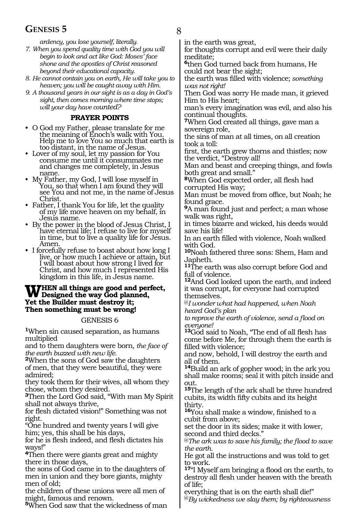### **GENESIS 5** 8

*ardency, you lose yourself, literally.*

- *7. When you spend quality time with God you will begin to look and act like God: Moses' face shone and the apostles of Christ reasoned beyond their educational capacity.*
- *8. He cannot contain you on earth, He will take you to heaven; you will be caught away with Him.*
- *9. A thousand years in our sight is as a day in God's sight, then comes morning where time stops; will your day have counted?*

#### **PRAYER POINTS**

- O God my Father, please translate for me the meaning of Enoch's walk with You. Help me to love You so much that earth is too distant, in the name of Jesus.
- Lover of my soul, let my passion for You consume me until it consummates me and changes me completely, in Jesus
- My Father, my God, I will lose myself in<br>You, so that when I am found they will see You and not me, in the name of Jesus
- Father, I thank You for life, let the quality of my life move heaven on my behalf, in Jesus name.
- By the power in the blood of Jesus Christ, I have eternal life; I refuse to live for myself in time, but to live a quality life for Jesus.<br>Amen.
- I forcefully refuse to boast about how long I live, or how much I achieve or attain, but I will boast about how strong I lived for Christ, and how much I represented His kingdom in this life, in Jesus name.

### WHEN all things are good and perfect,<br>
We Designed the way God planned,<br>
Wet the Brilder must destrus it. **Yet the Builder must destroy it; Then something must be wrong!**

#### GENESIS 6

**<sup>1</sup>**When sin caused separation, as humans multiplied

and to them daughters were born, *the face of the earth buzzed with new life.*

**<sup>2</sup>**When the sons of God saw the daughters of men, that they were beautiful, they were admired;

they took them for their wives, all whom they chose, whom they desired.

**<sup>3</sup>**Then the Lord God said, "With man My Spirit shall not always thrive,

for flesh dictated vision!" Something was not right.

"One hundred and twenty years I will give him; yes, this shall be his days,

for he is flesh indeed, and flesh dictates his ways!"

**<sup>4</sup>**Then there were giants great and mighty there in those days,

the sons of God came in to the daughters of men in union and they bore giants, mighty men of old;

the children of these unions were all men of might, famous and renown.

**<sup>5</sup>**When God saw that the wickedness of man

in the earth was great,

for thoughts corrupt and evil were their daily meditate;

**<sup>6</sup>**then God turned back from humans, He could not bear the sight;

the earth was filled with violence; *something was not right!* 

Then God was sorry He made man, it grieved Him to His heart;

man's every imagination was evil, and also his continual thoughts.

**<sup>7</sup>**When God created all things, gave man a sovereign role,

the sins of man at all times, on all creation took a toll:

first, the earth grew thorns and thistles; now the verdict, "Destroy all!

Man and beast and creeping things, and fowls both great and small."

**<sup>8</sup>**When God expected order, all flesh had corrupted His way;

Man must be moved from office, but Noah; he found grace.

**<sup>9</sup>**A man found just and perfect; a man whose walk was right,

in times bizarre and wicked, his deeds would save his life!

In an earth filled with violence, Noah walked with God.

**<sup>10</sup>**Noah fathered three sons: Shem, Ham and Japheth.

**<sup>11</sup>**The earth was also corrupt before God and full of violence.

**<sup>12</sup>**And God looked upon the earth, and indeed it was corrupt, for everyone had corrupted themselves.

@*I wonder what had happened, when Noah heard God's plan* 

*to reprove the earth of violence, send a flood on everyone!*

**<sup>13</sup>**God said to Noah, "The end of all flesh has come before Me, for through them the earth is filled with violence;

and now, behold, I will destroy the earth and all of them.

**<sup>14</sup>**Build an ark of gopher wood; in the ark you shall make rooms; seal it with pitch inside and out.

**<sup>15</sup>**The length of the ark shall be three hundred cubits, its width fifty cubits and its height thirty.

**<sup>16</sup>**You shall make a window, finished to a cubit from above;

set the door in its sides; make it with lower, second and third decks."

@*The ark was to save his family; the flood to save the earth.* 

He got all the instructions and was told to get to work.

**<sup>17</sup>**"I Myself am bringing a flood on the earth, to destroy all flesh under heaven with the breath of life;

everything that is on the earth shall die!" @*By wickedness we slay them; by righteousness*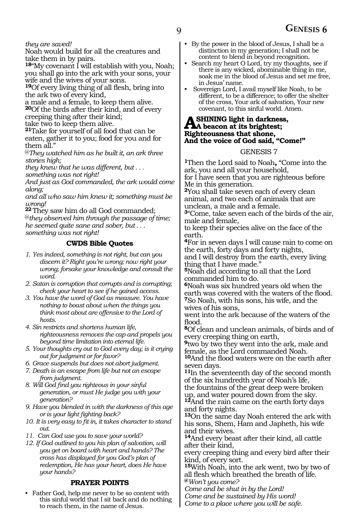#### *they are saved!*

Noah would build for all the creatures and take them in by pairs.

**<sup>18</sup>**"My covenant I will establish with you, Noah; you shall go into the ark with your sons, your wife and the wives of your sons.

**<sup>19</sup>**Of every living thing of all flesh, bring into the ark two of every kind,

a male and a female, to keep them alive. **<sup>20</sup>**Of the birds after their kind, and of every creeping thing after their kind;

take two to keep them alive.

**<sup>21</sup>**Take for yourself of all food that can be eaten, gather it to you; food for you and for them all."

@*They watched him as he built it, an ark three stories high;* 

*they knew that he was different, but . . .* 

*something was not right!* 

*And just as God commanded, the ark would come along;* 

*and all who saw him knew it; something must be wrong!*

**<sup>22</sup>** They saw him do all God commanded; @*they observed him through the passage of time; he seemed quite sane and sober, but . . . something was not right!* 

#### **CWDS Bible Quotes**

- *1. Yes indeed, something is not right, but can you discern it? Right you're wrong; now right your wrong; forsake your knowledge and consult the word.*
- *2. Satan is corruption that corrupts and is corrupting; check your heart to see if he gained access.*
- *3. You have the word of God as measure. You have nothing to boast about when the things you think most about are offensive to the Lord of hosts.*
- *4. Sin restricts and shortens human life, righteousness removes the cap and propels you beyond time limitation into eternal life.*
- *5. Your thoughts cry out to God every day; is it crying out for judgment or for favor?*
- *6. Grace suspends but does not abort judgment.*
- *7. Death is an escape from life but not an escape from judgment.*
- *8. Will God find you righteous in your sinful generation, or must He judge you with your generation?*
- *9. Have you blended in with the darkness of this age or is your light fighting back?*
- *10. It is very easy to fit in, it takes character to stand out.*
- *11. Can God use you to save your world?*
- *12. If God outlined to you his plan of salvation, will you get on board with heart and hands? The cross has displayed for you God's plan of redemption, He has your heart, does He have your hands?*

#### **PRAYER POINTS**

• Father God, help me never to be so content with this sinful world that I sit back and do nothing to reach them, in the name of Jesus.

- By the power in the blood of Jesus, I shall be a distinction in my generation; I shall not be content to blend in beyond recognition.
- Search my heart O Lord, try my thoughts, see if there is any wicked, abominable thing in me, soak me in the blood of Jesus and set me free, in Jesus' name.
- Sovereign Lord, I avail myself like Noah, to be different, to be a difference; to offer the shelter of the cross, Your ark of salvation, Your new covenant, to this sinful world. Amen.

### A SHINING light in darkness,<br> **A** beacon at its brightest;<br> **Righteousness that share Righteousness that shone, And the voice of God said, "Come!"**

#### GENESIS 7

**<sup>1</sup>**Then the Lord said to Noah**,** "Come into the ark, you and all your household, for I have seen that you are righteous before Me in this generation.

**<sup>2</sup>**You shall take seven each of every clean animal, and two each of animals that are unclean, a male and a female.

**<sup>3</sup>**"Come, take seven each of the birds of the air, male and female,

to keep their species alive on the face of the earth.

**<sup>4</sup>**For in seven days I will cause rain to come on the earth, forty days and forty nights, and I will destroy from the earth, every living

thing that I have made." **<sup>5</sup>**Noah did according to all that the Lord commanded him to do.

**<sup>6</sup>**Noah was six hundred years old when the earth was covered with the waters of the flood. **<sup>7</sup>**So Noah, with his sons, his wife, and the wives of his sons,

went into the ark because of the waters of the flood.

**<sup>8</sup>**Of clean and unclean animals, of birds and of every creeping thing on earth,

**<sup>9</sup>**two by two they went into the ark, male and female, as the Lord commanded Noah.

**<sup>10</sup>**And the flood waters were on the earth after seven days.

**<sup>11</sup>**In the seventeenth day of the second month of the six hundredth year of Noah's life,

the fountains of the great deep were broken up, and water poured down from the sky.

**<sup>12</sup>**And the rain came on the earth forty days and forty nights.

**<sup>13</sup>**On the same day Noah entered the ark with his sons, Shem, Ham and Japheth, his wife and their wives.

**<sup>14</sup>**And every beast after their kind, all cattle after their kind,

every creeping thing and every bird after their kind, of every sort.

**<sup>15</sup>**With Noah, into the ark went, two by two of all flesh which breathed the breath of life. **@***Won't you come?*

*Come and be shut in by the Lord! Come and be sustained by His word! Come to a place where you will be safe.*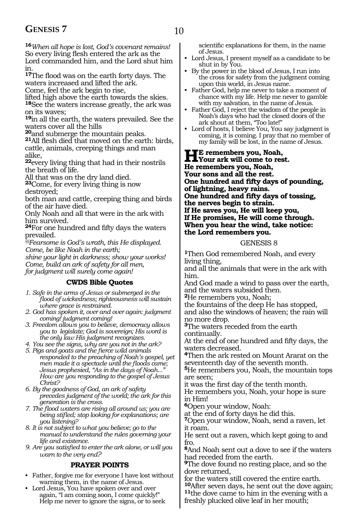**<sup>16</sup>***When all hope is lost, God's covenant remains!* So every living flesh entered the ark as the Lord commanded him, and the Lord shut him in.

**<sup>17</sup>**The flood was on the earth forty days. The waters increased and lifted the ark.

Come, feel the ark begin to rise,

lifted high above the earth towards the skies. **<sup>18</sup>**See the waters increase greatly, the ark was on its waves;

**<sup>19</sup>**in all the earth, the waters prevailed. See the

waters cover all the hills<br><sup>20</sup> and submerge the mountain peaks.

**21**All flesh died that moved on the earth: birds, cattle, animals, creeping things and man alike,

**<sup>22</sup>**every living thing that had in their nostrils the breath of life.

All that was on the dry land died.

**<sup>23</sup>**Come, for every living thing is now destroyed;

both man and cattle, creeping thing and birds of the air have died.

Only Noah and all that were in the ark with him survived.

**<sup>24</sup>**For one hundred and fifty days the waters prevailed.

*@Fearsome is God's wrath, this He displayed. Come, be like Noah in the earth;*

*shine your light in darkness; show your works! Come, build an ark of safety for all men,*

*for judgment will surely come again!*

#### **CWDS Bible Quotes**

- *1. Safe in the arms of Jesus or submerged in the flood of wickedness; righteousness will sustain where grace is restrained.*
- *2. God has spoken it, over and over again: judgment coming! judgment coming!*
- *3. Freedom allows you to believe, democracy allows you to legislate; God is sovereign; His word is the only law His judgment recognizes.*

*4. You see the signs, why are you not in the ark?*

- *5. Pigs and goats and the fierce wild animals responded to the preaching of Noah's gospel, yet men made it a spectacle until the floods came; Jesus prophesied, "As in the days of Noah..." How are you responding to the gospel of Jesus Christ?*
- *6. By the goodness of God, an ark of safety precedes judgment of the world; the ark for this generation is the cross.*
- *7. The flood waters are rising all around us; you are being stifled; stop looking for explanations; are you listening?*
- *8. It is not subject to what you believe; go to the manual to understand the rules governing your life and existence.*

*9. Are you satisfied to enter the ark alone, or will you warn to the very end?*

#### **PRAYER POINTS**

- Father, forgive me for everyone I have lost without warning them, in the name of Jesus.
- Lord Jesus, You have spoken over and over again, "I am coming soon, I come quickly!" Help me never to ignore the signs, or to seek

scientific explanations for them, in the name of Jesus.

- Lord Jesus, I present myself as a candidate to be shut in by You.
- By the power in the blood of Jesus, I run into the cross for safety from the judgment coming upon this world, in Jesus name.
- Father God, help me never to take a moment of chance with my life. Help me never to gamble with my salvation, in the name of Jesus.
- Father God, I reject the wisdom of the people in Noah's days who had the closed doors of the ark shout at them, "Too late!"
- Lord of hosts, I believe You, You say judgment is coming, it is coming. I pray that no member of my family will be lost, in the name of Jesus.

**He remembers you, Noah, Your ark will come to rest. He remembers you, Noah, Your sons and all the rest. One hundred and fifty days of pounding, of lightning, heavy rains. One hundred and fifty days of tossing, the nerves begin to strain. If He saves you, He will keep you, If He promises, He will come through. When you hear the wind, take notice: the Lord remembers you.**

#### GENESIS 8

**<sup>1</sup>**Then God remembered Noah, and every living thing,

and all the animals that were in the ark with him.

And God made a wind to pass over the earth, and the waters subsided then.

**<sup>2</sup>**He remembers you, Noah;

the fountains of the deep He has stopped, and also the windows of heaven; the rain will no more drop.

**<sup>3</sup>**The waters receded from the earth continually.

At the end of one hundred and fifty days, the waters decreased.

**<sup>4</sup>**Then the ark rested on Mount Ararat on the seventeenth day of the seventh month.

**<sup>5</sup>**He remembers you, Noah, the mountain tops are seen;

it was the first day of the tenth month.

He remembers you, Noah, your hope is sure in Him!

**<sup>6</sup>**Open your window, Noah:

at the end of forty days he did this.

**<sup>7</sup>**Open your window, Noah, send a raven, let it roam.

He sent out a raven, which kept going to and fro.

**<sup>8</sup>**And Noah sent out a dove to see if the waters had receded from the earth.

**<sup>9</sup>**The dove found no resting place, and so the dove returned,

for the waters still covered the entire earth.<br><sup>10</sup>After seven days, he sent out the dove again; <sup>11</sup>the dove came to him in the evening with a freshly plucked olive leaf in her mouth;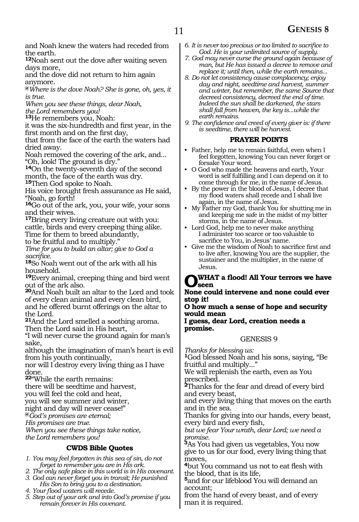### 11 **GENESIS 8**

and Noah knew the waters had receded from the earth.

**<sup>12</sup>**Noah sent out the dove after waiting seven days more,

and the dove did not return to him again anymore.

**@***Where is the dove Noah? She is gone, oh, yes, it is true.*

*When you see these things, dear Noah, the Lord remembers you!*

**<sup>13</sup>**He remembers you, Noah:

it was the six-hundredth and first year, in the first month and on the first day,

that from the face of the earth the waters had dried away.

Noah removed the covering of the ark, and... "Oh, look! The ground is dry."

**<sup>14</sup>**On the twenty-seventh day of the second month, the face of the earth was dry.

**<sup>15</sup>**Then God spoke to Noah.

His voice brought fresh assurance as He said, "Noah, go forth!

**<sup>16</sup>**Go out of the ark, you, your wife, your sons and their wives.

**<sup>17</sup>**Bring every living creature out with you: cattle, birds and every creeping thing alike. Time for them to breed abundantly,

to be fruitful and to multiply."

*Time for you to build an altar; give to God a* 

18<sub>So</sub> Noah went out of the ark with all his household.

**<sup>19</sup>**Every animal, creeping thing and bird went out of the ark also.

**<sup>20</sup>**And Noah built an altar to the Lord and took of every clean animal and every clean bird, and he offered burnt offerings on the altar to the Lord.

**<sup>21</sup>**And the Lord smelled a soothing aroma. Then the Lord said in His heart,

"I will never curse the ground again for man's sake,

although the imagination of man's heart is evil from his youth continually,

nor will I destroy every living thing as I have done.

**<sup>22</sup>**"While the earth remains:

there will be seedtime and harvest,

you will feel the cold and heat,

you will see summer and winter,

night and day will never cease!"

**@***God's promises are eternal;*

*His promises are true.*

*When you see these things take notice, the Lord remembers you!*

#### **CWDS Bible Quotes**

- *1. You may feel forgotten in this sea of sin, do not forget to remember you are in His ark.*
- *2. The only safe place in this world is in His covenant. 3. God can never forget you in transit; He punished*
- *His Son to bring you to a destination.*
- *4. Your flood waters will recede.*
- *5. Step out of your ark and into God's promise if you remain forever in His covenant.*
- *6. It is never too precious or too limited to sacrifice to God. He is your unlimited source of supply.*
- *7. God may never curse the ground again because of man, but He has issued a decree to remove and replace it; until then, while the earth remains...*
- *8. Do not let consistency cause complacency; enjoy day and night, seedtime and harvest, summer and winter, but remember, the same Source that decreed consistency, decreed the end of time. Indeed the sun shall be darkened, the stars shall fall from heaven, the key is...while the earth remains.*
- *9. The confidence and creed of every giver is: if there is seedtime, there will be harvest.*

#### **PRAYER POINTS**

- Father, help me to remain faithful, even when I feel forgotten, knowing You can never forget or forsake Your word.
- O God who made the heavens and earth, Your word is self fulfilling and I can depend on it to come through for me, in the name of Jesus.
- By the power in the blood of Jesus, I decree that my flood waters shall recede and I shall live again, in the name of Jesus.
- My Father my God, thank You for shutting me in and keeping me safe in the midst of my bitter storms, in the name of Jesus.
- Lord God, help me to never make anything I administer too scarce or too valuable to sacrifice to You, in Jesus' name.
- Give me the wisdom of Noah to sacrifice first and to live after, knowing You are the supplier, the sustainer and the multiplier, in the name of Jesus.

#### **O what a flood! All Your terrors we have seen**

**None could intervene and none could ever stop it!**

**O how much a sense of hope and security would mean** 

**I guess, dear Lord, creation needs a promise.**

#### GENESIS 9

*Thanks for blessing us:* 

**<sup>1</sup>**God blessed Noah and his sons, saying, "Be fruitful and multiply..."

We will replenish the earth, even as You prescribed.

**<sup>2</sup>**Thanks for the fear and dread of every bird and every beast,

and every living thing that moves on the earth and in the sea.

Thanks for giving into our hands, every beast, every bird and every fish,

*but we fear Your wrath, dear Lord; we need a promise.*

**<sup>3</sup>**As You had given us vegetables, You now give to us for our food, every living thing that moves,

**<sup>4</sup>**but You command us not to eat flesh with the blood, that is its life,

**<sup>5</sup>**and for our lifeblood You will demand an account;

from the hand of every beast, and of every man it is required.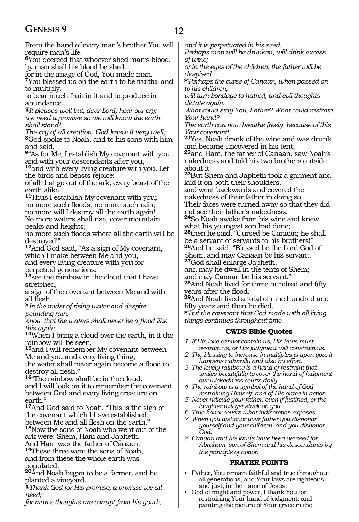### **GENESIS 9** 12

From the hand of every man's brother You will require man's life. **<sup>6</sup>**You decreed that whoever shed man's blood,

by man shall his blood be shed,

for in the image of God, You made man. **<sup>7</sup>**You blessed us on the earth to be fruitful and to multiply,

to bear much fruit in it and to produce in abundance.

**@***It pleases well but, dear Lord, hear our cry; we need a promise so we will know the earth shall stand!*

*The cry of all creation, God knew it very well;* **<sup>8</sup>**God spoke to Noah, and to his sons with him and said,

**<sup>9</sup>**"As for Me, I establish My covenant with you and with your descendants after you,

**<sup>10</sup>**and with every living creature with you. Let the birds and beasts rejoice;

of all that go out of the ark, every beast of the earth alike.

**<sup>11</sup>**Thus I establish My covenant with you; no more such floods, no more such rain; no more will I destroy all the earth again! No more waters shall rise, cover mountain peaks and heights;

no more such floods where all the earth will be destroyed!"

**<sup>12</sup>**And God said, "As a sign of My covenant, which I make between Me and you,

and every living creature with you for perpetual generations:

**<sup>13</sup>**see the rainbow in the cloud that I have stretched,

a sign of the covenant between Me and with all flesh.

**@***In the midst of rising water and despite pounding rain,*

k*now that the waters shall never be a flood like this again.*

**<sup>14</sup>**When I bring a cloud over the earth, in it the rainbow will be seen,

**<sup>15</sup>**and I will remember My covenant between Me and you and every living thing;

the water shall never again become a flood to destroy all flesh."

**<sup>16</sup>**"The rainbow shall be in the cloud, and I will look on it to remember the covenant between God and every living creature on earth."

**<sup>17</sup>**And God said to Noah, "This is the sign of the covenant which I have established, between Me and all flesh on the earth.

**<sup>18</sup>**Now the sons of Noah who went out of the ark were: Shem, Ham and Japheth. And Ham was the father of Canaan.

**<sup>19</sup>**These three were the sons of Noah, and from these the whole earth was populated.

**<sup>20</sup>**And Noah began to be a farmer, and he planted a vineyard.

**@***Thank God for His promise, a promise we all need;*

*for man's thoughts are corrupt from his youth,* 

*and it is perpetuated in his seed.*

*Perhaps man will be drunken, will drink excess of wine;*

*or in the eyes of the children, the father will be despised.*

**@***Perhaps the curse of Canaan, when passed on to his children,* 

*will turn bondage to hatred, and evil thoughts dictate again.*

*What could stay You, Father? What could restrain Your hand?*

*The earth can now breathe freely, because of this Your covenant!*

**<sup>21</sup>**Yes, Noah drank of the wine and was drunk and became uncovered in his tent;

**<sup>22</sup>**and Ham, the father of Canaan, saw Noah's nakedness and told his two brothers outside about it.

**<sup>23</sup>**But Shem and Japheth took a garment and laid it on both their shoulders,

and went backwards and covered the

nakedness of their father in doing so.

Their faces were turned away so that they did not see their father's nakedness.

**<sup>24</sup>**So Noah awoke from his wine and knew what his youngest son had done;

**<sup>25</sup>**then he said, "Cursed be Canaan; he shall be a servant of servants to his brothers!" **<sup>26</sup>**And he said, "Blessed be the Lord God of

Shem, and may Canaan be his servant.

**<sup>27</sup>**God shall enlarge Japheth,

and may he dwell in the tents of Shem;

and may Canaan be his servant."

**<sup>28</sup>**And Noah lived for three hundred and fifty years after the flood.

**<sup>29</sup>**And Noah lived a total of nine hundred and fifty years and then he died.

**@***But the covenant that God made with all living things continues throughout time.*

#### **CWDS Bible Quotes**

*1. If His love cannot contain us, His laws must* 

- *restrain us, or His judgment will constrain us. 2. The blessing to increase in multiples is upon you, it*
- *happens naturally and also by effort. 3. The lovely rainbow is a hand of restraint that smiles beautifully to cover the hand of judgment our wickedness courts daily.*
- *4. The rainbow is a symbol of the hand of God restraining Himself, and of His grace in action.*
- *5. Never ridicule your father, even if justified, or the laughter will get stuck on you.*
- *6. True honor covers what indiscretion exposes.*
- *7. When you dishonor your father you dishonor yourself and your children, and you dishonor God.*
- *8. Canaan and his lands have been decreed for Abraham, son of Shem and his descendants by the principle of honor.*

#### **PRAYER POINTS**

- Father, You remain faithful and true throughout all generations, and Your laws are righteous and just, in the name of Jesus.
- God of might and power, I thank You for restraining Your hand of judgment; and painting the picture of Your grace in the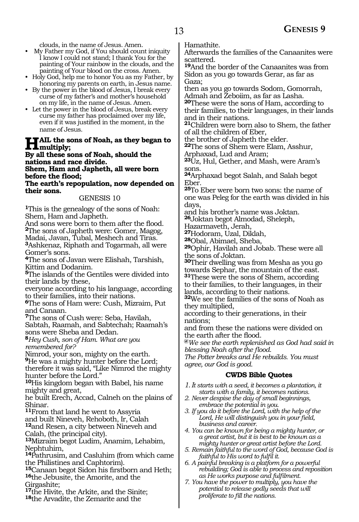clouds, in the name of Jesus. Amen.

- My Father my God, if You should count iniquity I know I could not stand; I thank You for the painting of Your rainbow in the clouds, and the painting of Your blood on the cross. Amen.
- Holy God, help me to honor You as my Father, by honoring my parents on earth, in Jesus name.
- By the power in the blood of Jesus, I break every curse of my father's and mother's household on my life, in the name of Jesus. Amen.
- Let the power in the blood of Jesus, break every curse my father has proclaimed over my life, even if it was justified in the moment, in the name of Jesus.

#### **Hail the sons of Noah, as they began to multiply;**

#### **By all these sons of Noah, should the nations and race divide. Shem, Ham and Japheth, all were born**

**before the flood;**

**The earth's repopulation, now depended on their sons.**

#### GENESIS 10

**<sup>1</sup>**This is the genealogy of the sons of Noah: Shem, Ham and Japheth.

And sons were born to them after the flood. **<sup>2</sup>**The sons of Japheth were: Gomer, Magog, Madai, Javan, Tubal, Meshech and Tiras.

**<sup>3</sup>**Ashkenaz, Riphath and Togarmah, all were Gomer's sons.

**<sup>4</sup>**The sons of Javan were Elishah, Tarshish, Kittim and Dodanim.

**<sup>5</sup>**The islands of the Gentiles were divided into their lands by these,

everyone according to his language, according to their families, into their nations.

**<sup>6</sup>**The sons of Ham were: Cush, Mizraim, Put and Canaan.

**<sup>7</sup>**The sons of Cush were: Seba, Havilah, Sabtah, Raamah, and Sabtechah; Raamah's sons were Sheba and Dedan.

**<sup>8</sup>***Hey Cush, son of Ham. What are you remembered for?*

Nimrod, your son, mighty on the earth.

**<sup>9</sup>**He was a mighty hunter before the Lord; therefore it was said, "Like Nimrod the mighty

hunter before the Lord." **<sup>10</sup>**His kingdom began with Babel, his name

mighty and great,

he built Erech, Accad, Calneh on the plains of Shinar.

**<sup>11</sup>**From that land he went to Assyria

and built Nineveh, Rehoboth, Ir, Calah

**<sup>12</sup>**and Resen, a city between Nineveh and Calah, (the principal city).

**<sup>13</sup>**Mizraim begot Ludim, Anamim, Lehabim, Nephtuhim,

**<sup>14</sup>**Pathrusim, and Casluhim (from which came the Philistines and Caphtorim).

**<sup>15</sup>**Canaan begot Sidon his firstborn and Heth; **<sup>16</sup>**the Jebusite, the Amorite, and the

Girgashite;

**<sup>17</sup>**the Hivite, the Arkite, and the Sinite;

**<sup>18</sup>**the Arvadite, the Zemarite and the

Hamathite.

Afterwards the families of the Canaanites were scattered.

**<sup>19</sup>**And the border of the Canaanites was from Sidon as you go towards Gerar, as far as Gaza;

then as you go towards Sodom, Gomorrah, Admah and Zeboiim, as far as Lasha.

**<sup>20</sup>**These were the sons of Ham, according to their families, to their languages, in their lands and in their nations.

**<sup>21</sup>**Children were born also to Shem, the father of all the children of Eber,

the brother of Japheth the elder.

**<sup>22</sup>**The sons of Shem were Elam, Asshur, Arphaxad, Lud and Aram;

**<sup>23</sup>**Uz, Hul, Gether, and Mash, were Aram's sons.

**<sup>24</sup>**Arphaxad begot Salah, and Salah begot Eber.

**<sup>25</sup>**To Eber were born two sons: the name of one was Peleg for the earth was divided in his days,

and his brother's name was Joktan.

**<sup>26</sup>**Joktan begot Almodad, Sheleph,

Hazarmaveth, Jerah,

**<sup>27</sup>**Hodoram, Uzal, Diklah,

**<sup>28</sup>**Obal, Abimael, Sheba,

**<sup>29</sup>**Ophir, Havilah and Jobab. These were all the sons of Joktan.

**<sup>30</sup>**Their dwelling was from Mesha as you go towards Sephar, the mountain of the east.

**<sup>31</sup>**These were the sons of Shem, according to their families, to their languages, in their lands, according to their nations.

**<sup>32</sup>**We see the families of the sons of Noah as they multiplied,

according to their generations, in their nations;

and from these the nations were divided on the earth after the flood.

**@***We see the earth replenished as God had said in blessing Noah after the flood.*

*The Potter breaks and He rebuilds. You must agree, our God is good.*

#### **CWDS Bible Quotes**

- *1.It starts with a seed, it becomes a plantation, it starts with a family, it becomes nations.*
- *2. Never despise the day of small beginnings, embrace the potential in you.*
- *3. If you do it before the Lord, with the help of the Lord, He will distinguish you in your field, business and career.*

*4. You can be known for being a mighty hunter, or a great artist, but it is best to be known as a mighty hunter or great artist before the Lord.*

- *5. Remain faithful to the word of God, because God is faithful to His word to fulfil it.*
- *6. A painful breaking is a platform for a powerful rebuilding; God is able to process and reposition as He works purpose and fulfilment.*
- *7. You have the power to multiply, you have the potential to release godly seeds that will proliferate to fill the nations.*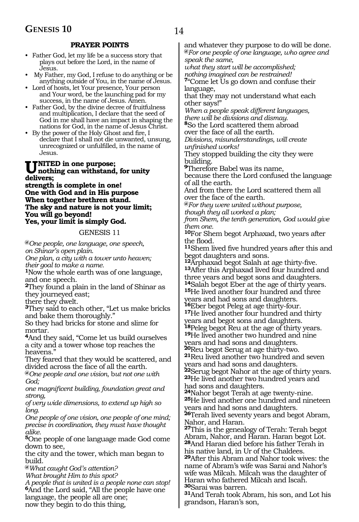#### **PRAYER POINTS**

- Father God, let my life be a success story that plays out before the Lord, in the name of Jesus.
- My Father, my God, I refuse to do anything or be anything outside of You, in the name of Jesus.
- Lord of hosts, let Your presence, Your person and Your word, be the launching pad for my success, in the name of Jesus. Amen.
- Father God, by the divine decree of fruitfulness and multiplication, I declare that the seed of God in me shall have an impact in shaping the nations for God, in the name of Jesus Christ.
- By the power of the Holy Ghost and fire, I declare that I shall not die unwanted, unsung, unrecognized or unfulfilled, in the name of Jesus.

#### **TNITED in one purpose; nothing can withstand, for unity delivers;**

**strength is complete in one! One with God and in His purpose When together brethren stand. The sky and nature is not your limit; You will go beyond! Yes, your limit is simply God.**

#### GENESIS 11

**@***One people, one language, one speech, on Shinar's open plain.*

*One plan, a city with a tower unto heaven; their goal to make a name.*

**<sup>1</sup>**Now the whole earth was of one language, and one speech.

**<sup>2</sup>**They found a plain in the land of Shinar as they journeyed east;

there they dwelt.

**<sup>3</sup>**They said to each other, "Let us make bricks and bake them thoroughly."

So they had bricks for stone and slime for mortar.

**<sup>4</sup>**And they said, "Come let us build ourselves a city and a tower whose top reaches the heavens."

They feared that they would be scattered, and divided across the face of all the earth.

**@***One people and one vision*, b*ut not one with God;*

*one magnificent building, foundation great and strong,*

*of very wide dimensions, to extend up high so long.* 

*One people of one vision, one people of one mind; precise in coordination, they must have thought alike.*

**<sup>5</sup>**One people of one language made God come down to see,

the city and the tower, which man began to build.

**@***What caught God's attention?*

*What brought Him to this spot?*

*A people that is united is a people none can stop!* **<sup>6</sup>**And the Lord said, "All the people have one language, the people all are one; now they begin to do this thing,

and whatever they purpose to do will be done. **@***For one people of one language, who agree and speak the same,*

*what they start will be accomplished; nothing imagined can be restrained!* **<sup>7</sup>**"Come let Us go down and confuse their

language, that they may not understand what each other says!"

*When a people speak different languages, there will be divisions and dismay.*

**<sup>8</sup>**So the Lord scattered them abroad over the face of all the earth.

*Divisions, misunderstandings, will create unfinished works!*

They stopped building the city they were building.

**<sup>9</sup>**Therefore Babel was its name,

because there the Lord confused the language of all the earth.

And from there the Lord scattered them all over the face of the earth.

**@***For they were united without purpose, though they all worked a plan;*

*from Shem, the tenth generation, God would give them one.*

**<sup>10</sup>**For Shem begot Arphaxad, two years after the flood.

**<sup>11</sup>**Shem lived five hundred years after this and

begot daughters and sons.<br><sup>12</sup>Arphaxad begot Salah at age thirty-five. **13**After this Arphaxad lived four hundred and three years and begot sons and daughters.<br><sup>14</sup>Salah begot Eber at the age of thirty years.

**15**He lived another four hundred and three

years and had sons and daughters.<br>**16**Eber begot Peleg at age thirty-four. **17**He lived another four hundred and thirty

years and begot sons and daughters.<br><sup>18</sup>Peleg begot Reu at the age of thirty years.

**19**He lived another two hundred and nine

years and had sons and daughters.<br><sup>20</sup>Reu begot Serug at age thirty-two.

**21**Reu lived another two hundred and seven

years and had sons and daughters.<br><sup>22</sup>Serug begot Nahor at the age of thirty years. **23**He lived another two hundred years and

had sons and daughters.<br><sup>24</sup>Nahor begot Terah at age twenty-nine.

**25**He lived another one hundred and nineteen years and had sons and daughters.

**<sup>26</sup>**Terah lived seventy years and begot Abram, Nahor, and Haran.

**<sup>27</sup>**This is the genealogy of Terah: Terah begot Abram, Nahor, and Haran. Haran begot Lot. **<sup>28</sup>**And Haran died before his father Terah in his native land, in Ur of the Chaldees.

**<sup>29</sup>**After this Abram and Nahor took wives: the name of Abram's wife was Sarai and Nahor's wife was Milcah. Milcah was the daughter of Haran who fathered Milcah and Iscah. **<sup>30</sup>**Sarai was barren.

**<sup>31</sup>**And Terah took Abram, his son, and Lot his grandson, Haran's son,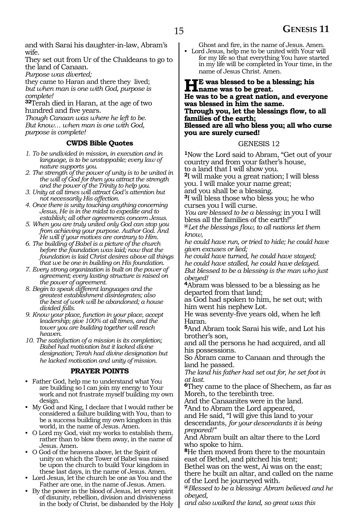and with Sarai his daughter-in-law, Abram's wife.

They set out from Ur of the Chaldeans to go to the land of Canaan.

*Purpose was diverted;*

they came to Haran and there they lived; *but when man is one with God, purpose is complete!*

**<sup>32</sup>**Terah died in Haran, at the age of two hundred and five years.

*Though Canaan was where he left to be. But know… when man is one with God, purpose is complete!*

#### **CWDS Bible Quotes**

- *1. To be undivided in mission, in execution and in language, is to be unstoppable; every law of nature supports you.*
- *2. The strength of the power of unity is to be united in the will of God for then you attract the strength and the power of the Trinity to help you.*
- *3. Unity at all times will attract God's attention but not necessarily His affection.*
- *4. Once there is unity touching anything concerning Jesus, He is in the midst to expedite and to establish; all other agreements concern Jesus.*
- *5. When you are truly united only God can stop you from achieving your purpose. Author God. And He will if your motives are contrary to Him.*
- *6. The building of Babel is a picture of the church before the foundation was laid; now that the foundation is laid Christ desires above all things that we be one in building on His foundation.*
- *7. Every strong organization is built on the power of agreement; every lasting structure is raised on the power of agreement.*
- *8. Begin to speak different languages and the greatest establishment disintegrates; also the best of work will be abandoned; a house divided falls.*
- *9. Know your place, function in your place, accept leadership; give 100% at all times, and the tower you are building together will reach heaven.*
- *10. The satisfaction of a mission is its completion; Babel had motivation but it lacked divine designation; Terah had divine designation but he lacked motivation and unity of mission.*

#### **PRAYER POINTS**

- Father God, help me to understand what You are building so I can join my energy to Your work and not frustrate myself building my own design.
- My God and King, I declare that I would rather be considered a failure building with You, than to be a success building my own kingdom in this world, in the name of Jesus. Amen.
- O Lord my God, visit my works to establish them, rather than to blow them away, in the name of Jesus. Amen.
- O God of the heavens above, let the Spirit of unity on which the Tower of Babel was raised be upon the church to build Your kingdom in these last days, in the name of Jesus. Amen.
- Lord Jesus, let the church be one as You and the Father are one, in the name of Jesus. Amen.
- By the power in the blood of Jesus, let every spirit of disunity, rebellion, division and divisiveness in the body of Christ, be disbanded by the Holy

Ghost and fire, in the name of Jesus. Amen. • Lord Jesus, help me to be united with Your will for my life so that everything You have started in my life will be completed in Your time, in the

name of Jesus Christ. Amen.

#### **Here** was blessed to be a blessing; his **name was to be great. He was to be a great nation, and everyone was blessed in him the same. Through you, let the blessings flow, to all families of the earth; Blessed are all who bless you; all who curse you are surely cursed!**

#### GENESIS 12

**<sup>1</sup>**Now the Lord said to Abram, "Get out of your country and from your father's house, to a land that I will show you. **<sup>2</sup>**I will make you a great nation; I will bless

you. I will make your name great;

and you shall be a blessing.

**<sup>3</sup>**I will bless those who bless you; he who curses you I will curse.

*You are blessed to be a blessing;* in you I will bless all the families of the earth!"

**@***Let the blessings flow, to all nations let them know,*

*he could have run, or tried to hide; he could have given excuses or lied;*

*he could have turned, he could have stayed; he could have stalled, he could have delayed. But blessed to be a blessing is the man who just obeyed!*

**<sup>4</sup>**Abram was blessed to be a blessing as he departed from that land;

as God had spoken to him, he set out; with him went his nephew Lot.

He was seventy-five years old, when he left Haran.

**<sup>5</sup>**And Abram took Sarai his wife, and Lot his brother's son,

and all the persons he had acquired, and all his possessions.

So Abram came to Canaan and through the land he passed.

*The land his father had set out for, he set foot in at last.*

**<sup>6</sup>**They came to the place of Shechem, as far as Moreh, to the terebinth tree.

And the Canaanites were in the land. **<sup>7</sup>**And to Abram the Lord appeared,

and He said, "I will give this land to your descendants, *for your descendants it is being prepared!"*

And Abram built an altar there to the Lord who spoke to him.

**<sup>8</sup>**He then moved from there to the mountain east of Bethel, and pitched his tent;

Bethel was on the west, Ai was on the east; there he built an altar, and called on the name of the Lord he journeyed with.

**@***Blessed to be a blessing: Abram believed and he obeyed,*

*and also walked the land, so great was this*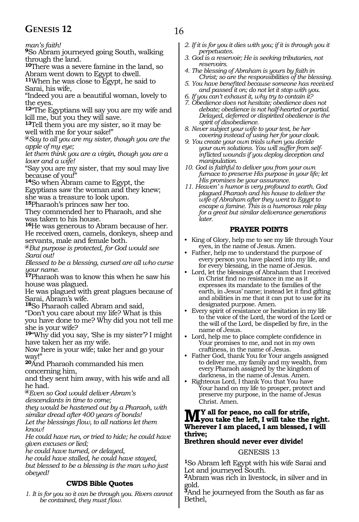### **GENESIS 12** 16

*man's faith!*

**<sup>9</sup>**So Abram journeyed going South, walking through the land.

**<sup>10</sup>**There was a severe famine in the land, so Abram went down to Egypt to dwell.

**<sup>11</sup>**When he was close to Egypt, he said to Sarai, his wife,

"Indeed you are a beautiful woman, lovely to the eyes.

**<sup>12</sup>**"The Egyptians will say you are my wife and kill me, but you they will save.

**<sup>13</sup>**Tell them you are my sister, so it may be well with me for your sake!"

**@***Say to all you are my sister, though you are the apple of my eye;*

*let them think you are a virgin, though you are a lover and a wife!*

"Say you are my sister, that my soul may live because of you!"

**<sup>14</sup>**So when Abram came to Egypt, the

Egyptians saw the woman and they knew;

she was a treasure to look upon. **<sup>15</sup>**Pharaoh's princes saw her too.

They commended her to Pharaoh, and she was taken to his house.

**<sup>16</sup>**He was generous to Abram because of her. He received oxen, camels, donkeys, sheep and servants, male and female both.

**@***But purpose is protected, for God would see Sarai out!*

*Blessed to be a blessing, cursed are all who curse your name.*

**<sup>17</sup>**Pharaoh was to know this when he saw his house was plagued.

He was plagued with great plagues because of Sarai, Abram's wife.

**<sup>18</sup>**So Pharaoh called Abram and said,

"Don't you care about my life? What is this you have done to me? Why did you not tell me

she is your wife?

**<sup>19</sup>**"Why did you say, 'She is my sister'? I might have taken her as my wife.

Now here is your wife; take her and go your way!"

**<sup>20</sup>**And Pharaoh commanded his men concerning him,

and they sent him away, with his wife and all he had.

**@***Even so God would deliver Abram's* 

*descendants in time to come;*

*they would be hastened out by a Pharaoh, with similar dread after 400 years of bonds!*

*Let the blessings flow, to all nations let them know!*

*He could have run, or tried to hide; he could have given excuses or lied;*

*he could have turned, or delayed,* 

*he could have stalled, he could have stayed, but blessed to be a blessing is the man who just obeyed!*

#### **CWDS Bible Quotes**

*1. It is for you so it can be through you. Rivers cannot be contained, they must flow.*

- *2. If it is for you it dies with you; if it is through you it perpetuates.*
- *3. God is a reservoir; He is seeking tributaries, not reservoirs.*
- *4. The blessing of Abraham is yours by faith in Christ; so are the responsibilities of the blessing.*
- *5. You have benefited because someone has received and passed it on; do not let it stop with you.*
- *6. If you can't exhaust it, why try to contain it?*
- *7. Obedience does not hesitate; obedience does not debate; obedience is not half-hearted or partial. Delayed, deferred or dispirited obedience is the spirit of disobedience.*
- *8. Never subject your wife to your test, be her covering instead of using her for your cloak.*
- *9. You create your own trials when you decide your own solutions. You will suffer from selfinflicted wounds if you deploy deception and manipulation.*
- *10. God is faithful to deliver you from your own furnace to preserve His purpose in your life; let His promises be your assurance.*
- *11. Heaven' s humor is very profound to earth. God plagued Pharaoh and his house to deliver the wife of Abraham after they went to Egypt to escape a famine. This is a humorous role play for a great but similar deliverance generations later.*

#### **PRAYER POINTS**

- King of Glory, help me to see my life through Your eyes, in the name of Jesus. Amen.
- Father, help me to understand the purpose of every person you have placed into my life, and for every blessing, in the name of Jesus.
- Lord, let the blessings of Abraham that I received in Christ find no resistance in me as it expresses its mandate to the families of the earth, in Jesus' name; instead let it find gifting and abilities in me that it can put to use for its designated purpose. Amen.
- Every spirit of resistance or hesitation in my life to the voice of the Lord, the word of the Lord or the will of the Lord, be dispelled by fire, in the name of Jesus.
- Lord, help me to place complete confidence in Your promises to me, and not in my own craftiness, in the name of Jesus.
- Father God, thank You for Your angels assigned to deliver me, my family and my wealth, from every Pharaoh assigned by the kingdom of darkness, in the name of Jesus. Amen.
- Righteous Lord, I thank You that You have Your hand on my life to prosper, protect and preserve my purpose, in the name of Jesus Christ. Amen.

### **My all for peace, no call for strife, you take the left, I will take the right. Wherever I am placed, I am blessed, I will thrive;**

### **Brethren should never ever divide!**

#### GENESIS 13

**<sup>1</sup>**So Abram left Egypt with his wife Sarai and Lot and journeyed South.

**<sup>2</sup>**Abram was rich in livestock, in silver and in gold.

**<sup>3</sup>**And he journeyed from the South as far as Bethel,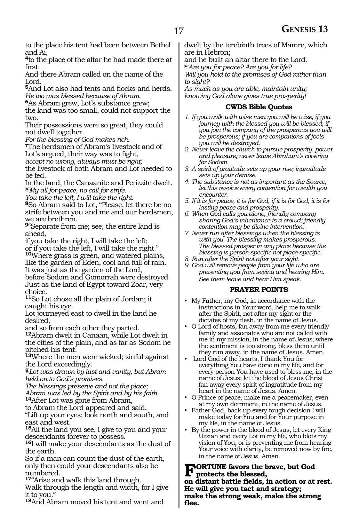to the place his tent had been between Bethel and Ai,

**<sup>4</sup>**to the place of the altar he had made there at first.

And there Abram called on the name of the Lord.

**<sup>5</sup>**And Lot also had tents and flocks and herds. *He too was blessed because of Abram.* 

**<sup>6</sup>**As Abram grew, Lot's substance grew;

the land was too small, could not support the two.

Their possessions were so great, they could not dwell together.

*For the blessing of God makes rich.*

**<sup>7</sup>**The herdsmen of Abram's livestock and of Lot's argued, their way was to fight,

*accept no wrong, always must be right;*

the livestock of both Abram and Lot needed to be fed.

In the land, the Canaanite and Perizzite dwelt. **@***My all for peace, no call for strife.*

*You take the left, I will take the right.*

**<sup>8</sup>**So Abram said to Lot, "Please, let there be no strife between you and me and our herdsmen, we are brethren.

**<sup>9</sup>**"Separate from me; see, the entire land is ahead,

if you take the right, I will take the left;

or if you take the left, I will take the right." **<sup>10</sup>**Where grass is green, and watered plains,

like the garden of Eden, cool and full of rain. It was just as the garden of the Lord,

before Sodom and Gomorrah were destroyed. Just as the land of Egypt toward Zoar, very choice.

**<sup>11</sup>**So Lot chose all the plain of Jordan; it caught his eye.

Lot journeyed east to dwell in the land he desired,

and so from each other they parted.

**<sup>12</sup>**Abram dwelt in Canaan, while Lot dwelt in the cities of the plain, and as far as Sodom he pitched his tent.

**<sup>13</sup>**Where the men were wicked; sinful against the Lord exceedingly.

**@***Lot was drawn by lust and vanity, but Abram held on to God's promises.*

*The blessings preserve and not the place; Abram was led by the Spirit and by his faith.* **<sup>14</sup>**After Lot was gone from Abram,

to Abram the Lord appeared and said,

"Lift up your eyes; look north and south, and east and west.

**<sup>15</sup>**All the land you see, I give to you and your descendants forever to possess.

**<sup>16</sup>**I will make your descendants as the dust of the earth.

So if a man can count the dust of the earth, only then could your descendants also be numbered.

**<sup>17</sup>**"Arise and walk this land through.

Walk through the length and width, for I give it to you."

**<sup>18</sup>**And Abram moved his tent and went and

dwelt by the terebinth trees of Mamre, which are in Hebron;

and he built an altar there to the Lord.

**@***Are you for peace? Are you for life?*

*Will you hold to the promises of God rather than to sight?*

*As much as you are able, maintain unity; knowing God alone gives true prosperity!*

#### **CWDS Bible Quotes**

- *1. If you walk with wise men you will be wise, if you journey with the blessed you will be blessed, if you join the company of the prosperous you will be prosperous; if you are companions of fools you will be destroyed.*
- *2. Never leave the church to pursue prosperity, power and pleasure; never leave Abraham's covering for Sodom.*
- *3. A spirit of gratitude sets up your rise; ingratitude sets up your demise.*
- *4. The substance is not as important as the Source; let this resolve every contention for wealth you encounter.*
- *5. If it is for peace, it is for God, if it is for God, it is for lasting peace and prosperity.*
- *6. When God calls you alone, friendly company sharing God's inheritance is a crowd; friendly contention may be divine intervention.*
- *7. Never run after blessings when the blessing is with you. The blessing makes prosperous. The blessed prosper in any place because the blessing is person-specific not place-specific.*
- *8. Run after the Spirit not after your sight.*
- *9. God will remove people from your life who are preventing you from seeing and hearing Him. See them leave and hear Him speak.*

#### **PRAYER POINTS**

- My Father, my God, in accordance with the instructions in Your word, help me to walk after the Spirit, not after my sight or the dictates of my flesh, in the name of Jesus.
- O Lord of hosts, fan away from me every friendly family and associates who are not called with me in my mission, in the name of Jesus; where the sentiment is too strong, bless them until they run away, in the name of Jesus. Amen.
- Lord God of the hearts, I thank You for everything You have done in my life, and for every person You have used to bless me, in the name of Jesus; let the blood of Jesus Christ fan away every spirit of ingratitude from my heart in the name of Jesus. Amen.
- O Prince of peace, make me a peacemaker, even at my own detriment, in the name of Jesus.
- Father God, back up every tough decision I will make today for You and for Your purpose in my life, in the name of Jesus.
- By the power in the blood of Jesus, let every King Uzziah and every Lot in my life, who blots my vision of You, or is preventing me from hearing Your voice with clarity, be removed now by fire, in the name of Jesus. Amen.

**FORTUNE favors the brave, but God protects the blessed, on distant battle fields, in action or at rest. He will give you tact and strategy; make the strong weak, make the strong flee.**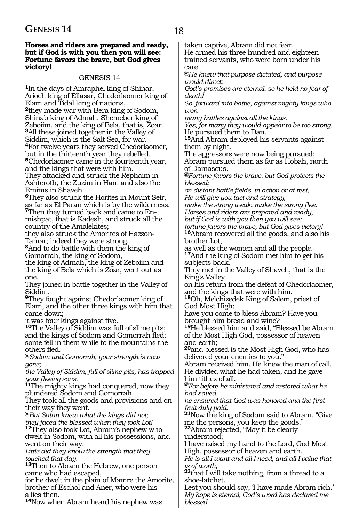### **GENESIS 14** 18

#### **Horses and riders are prepared and ready, but if God is with you then you will see: Fortune favors the brave, but God gives victory!**

#### GENESIS 14

**<sup>1</sup>**In the days of Amraphel king of Shinar, Arioch king of Ellasar, Chedorlaomer king of Elam and Tidal king of nations, **<sup>2</sup>**they made war with Bera king of Sodom, Shinab king of Admah, Shemeber king of Zeboiim, and the king of Bela, that is, Zoar. **<sup>3</sup>**All these joined together in the Valley of Siddim, which is the Salt Sea, for war. **<sup>4</sup>**For twelve years they served Chedorlaomer, but in the thirteenth year they rebelled. **<sup>5</sup>**Chedorlaomer came in the fourteenth year, and the kings that were with him. They attacked and struck the Rephaim in Ashteroth, the Zuzim in Ham and also the Emims in Shaveh.

**<sup>6</sup>**They also struck the Horites in Mount Seir, as far as El Paran which is by the wilderness.

**7**Then they turned back and came to Enmishpat, that is Kadesh, and struck all the country of the Amalekites;

they also struck the Amorites of Hazzon-Tamar; indeed they were strong.

**<sup>8</sup>**And to do battle with them the king of Gomorrah, the king of Sodom,

the king of Admah, the king of Zeboiim and the king of Bela which is Zoar, went out as one.

They joined in battle together in the Valley of Siddim.

**<sup>9</sup>**They fought against Chedorlaomer king of Elam, and the other three kings with him that came down;

it was four kings against five.

**<sup>10</sup>**The Valley of Siddim was full of slime pits; and the kings of Sodom and Gomorrah fled; some fell in them while to the mountains the others fled.

**@***Sodom and Gomorrah, your strength is now gone;*

*the Valley of Siddim, full of slime pits, has trapped your fleeing sons.*

**<sup>11</sup>**The mighty kings had conquered, now they plundered Sodom and Gomorrah.

They took all the goods and provisions and on their way they went.

**@***But Satan knew what the kings did not; they faced the blessed when they took Lot!*

**<sup>12</sup>**They also took Lot, Abram's nephew who dwelt in Sodom, with all his possessions, and went on their way.

*Little did they know the strength that they touched that day.*

**<sup>13</sup>**Then to Abram the Hebrew, one person came who had escaped,

for he dwelt in the plain of Mamre the Amorite, brother of Eschol and Aner, who were his allies then.

**<sup>14</sup>**Now when Abram heard his nephew was

taken captive, Abram did not fear. He armed his three hundred and eighteen

trained servants, who were born under his care.

**@***He knew that purpose dictated, and purpose would direct;*

*God's promises are eternal, so he held no fear of death!*

S*o, forward into battle, against mighty kings who won*

*many battles against all the kings.* 

*Yes, for many they would appear to be too strong.* He pursued them to Dan.

**<sup>15</sup>**And Abram deployed his servants against them by night.

The aggressors were now being pursued; Abram pursued them as far as Hobah, north of Damascus.

**@***Fortune favors the brave, but God protects the blessed;*

*on distant battle fields, in action or at rest, He will give you tact and strategy,* 

*make the strong weak, make the strong flee. Horses and riders are prepared and ready, but if God is with you then you will see: fortune favors the brave, but God gives victory!*

**<sup>16</sup>**Abram recovered all the goods, and also his brother Lot,

as well as the women and all the people.

**<sup>17</sup>**And the king of Sodom met him to get his subjects back.

They met in the Valley of Shaveh, that is the King's Valley

on his return from the defeat of Chedorlaomer, and the kings that were with him.

**<sup>18</sup>**Oh, Melchizedek King of Salem, priest of God Most High;

have you come to bless Abram? Have you brought him bread and wine?

**<sup>19</sup>**He blessed him and said, "Blessed be Abram of the Most High God, possessor of heaven and earth;

**<sup>20</sup>**and blessed is the Most High God, who has delivered your enemies to you."

Abram received him. He knew the man of call. He divided what he had taken, and he gave him tithes of all.

**@***For before he ministered and restored what he had saved,*

*he ensured that God was honored and the firstfruit duly paid.*

**<sup>21</sup>**Now the king of Sodom said to Abram, "Give me the persons, you keep the goods."

**<sup>22</sup>**Abram rejected, "May it be clearly understood;

I have raised my hand to the Lord, God Most High, possessor of heaven and earth,

*He is all I want and all I need, and all I value that is of worth,*

**<sup>23</sup>**that I will take nothing, from a thread to a shoe-latchet.

Lest you should say, 'I have made Abram rich.' *My hope is eternal, God's word has declared me blessed.*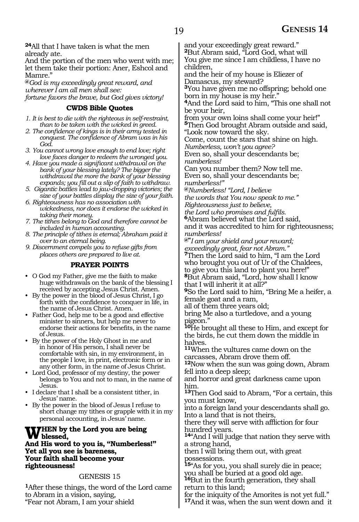**<sup>24</sup>**All that I have taken is what the men already ate.

And the portion of the men who went with me; let them take their portion: Aner, Eshcol and Mamre."

**@***God is my exceedingly great reward, and wherever I am all men shall see:* 

*fortune favors the brave, but God gives victory!*

#### **CWDS Bible Quotes**

- *1. It is best to die with the righteous in self-restraint, than to be taken with the wicked in greed.*
- *2. The confidence of kings is in their army tested in conquest. The confidence of Abram was in his God.*
- *3. You cannot wrong love enough to end love; right love faces danger to redeem the wronged you.*
- *4. Have you made a significant withdrawal on the bank of your blessing lately? The bigger the withdrawal the more the bank of your blessing expands; you fill out a slip of faith to withdraw.*
- *5. Gigantic battles lead to jaw-dropping victories; the size of your battles display the size of your faith.*
- *6. Righteousness has no association with wickedness, nor does it endorse the wicked in taking their money.*
- *7. The tithes belong to God and therefore cannot be included in human accounting.*
- *8. The principle of tithes is eternal; Abraham paid it over to an eternal being.*
- *9. Discernment compels you to refuse gifts from places others are prepared to live at.*

#### **PRAYER POINTS**

- O God my Father, give me the faith to make huge withdrawals on the bank of the blessing I received by accepting Jesus Christ. Amen.
- By the power in the blood of Jesus Christ, I go forth with the confidence to conquer in life, in the name of Jesus Christ. Amen.
- Father God, help me to be a good and effective minister to sinners, but help me never to endorse their actions for benefits, in the name of Jesus.
- By the power of the Holy Ghost in me and in honor of His person, I shall never be comfortable with sin, in my environment, in the people I love, in print, electronic form or in any other form, in the name of Jesus Christ.
- Lord God, professor of my destiny, the power belongs to You and not to man, in the name of Jesus.
- I declare that I shall be a consistent tither, in Jesus' name.
- By the power in the blood of Jesus I refuse to short change my tithes or grapple with it in my personal accounting, in Jesus' name.

## **WHEN** by the Lord you are being<br> **blessed,**<br> **but We want to you in "Wemberlook**

**And His word to you is, "Numberless!" Yet all you see is bareness, Your faith shall become your righteousness!**

#### GENESIS 15

**<sup>1</sup>**After these things, the word of the Lord came to Abram in a vision, saying, "Fear not Abram, I am your shield

and your exceedingly great reward."

**<sup>2</sup>**But Abram said, "Lord God, what will You give me since I am childless, I have no children,

and the heir of my house is Eliezer of Damascus, my steward?

**<sup>3</sup>**You have given me no offspring; behold one born in my house is my heir."

**<sup>4</sup>**And the Lord said to him, "This one shall not be your heir,

from your own loins shall come your heir!" **<sup>5</sup>**Then God brought Abram outside and said, "Look now toward the sky.

Come, count the stars that shine on high.

*Numberless, won't you agree?* Even so, shall your descendants be; *numberless!*

Can you number them? Now tell me. Even so, shall your descendants be; *numberless!"*

**@***Numberless! "Lord, I believe* 

*the words that You now speak to me." Righteousness just to believe,*

*the Lord who promises and fulfils.*

**<sup>6</sup>**Abram believed what the Lord said,

and it was accredited to him for righteousness; *numberless!*

**@"***I am your shield and your reward; exceedingly great, fear not Abram."*

**<sup>7</sup>**Then the Lord said to him, "I am the Lord who brought you out of Ur of the Chaldees, to give you this land to plant you here!" **<sup>8</sup>**But Abram said, "Lord, how shall I know

that I will inherit it at all?"

**<sup>9</sup>**So the Lord said to him, "Bring Me a heifer, a female goat and a ram,

all of them three years old;

bring Me also a turtledove, and a young pigeon."

**<sup>10</sup>**He brought all these to Him, and except for the birds, he cut them down the middle in halves.

**<sup>11</sup>**When the vultures came down on the carcasses, Abram drove them off.

**<sup>12</sup>**Now when the sun was going down, Abram fell into a deep sleep;

and horror and great darkness came upon him.

**<sup>13</sup>**Then God said to Abram, "For a certain, this you must know,

into a foreign land your descendants shall go. Into a land that is not theirs,

there they will serve with affliction for four hundred years.

**<sup>14</sup>**"And I will judge that nation they serve with a strong hand,

then I will bring them out, with great possessions.

**<sup>15</sup>**"As for you, you shall surely die in peace; you shall be buried at a good old age.

**<sup>16</sup>**But in the fourth generation, they shall return to this land;

for the iniquity of the Amorites is not yet full." **17**And it was, when the sun went down and it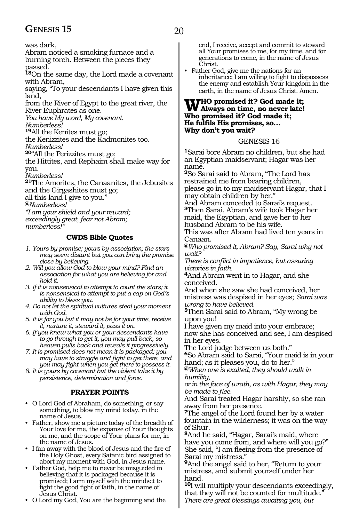### GENESIS 15 20

was dark,

Abram noticed a smoking furnace and a burning torch. Between the pieces they passed.

**<sup>18</sup>**On the same day, the Lord made a covenant with Abram,

saying, "To your descendants I have given this land,

from the River of Egypt to the great river, the River Euphrates as one.

*You have My word, My covenant. Numberless!*

**<sup>19</sup>**All the Kenites must go;

the Kenizzites and the Kadmonites too. *Numberless!*

**<sup>20</sup>**"All the Perizzites must go;

the Hittites, and Rephaim shall make way for you.

*Numberless!*

**<sup>21</sup>**The Amorites, the Canaanites, the Jebusites and the Girgashites must go;

all this land I give to you."

**@***Numberless!*

*"I am your shield and your reward; exceedingly great, fear not Abram; numberless!"*

#### **CWDS Bible Quotes**

- *1. Yours by promise; yours by association; the stars may seem distant but you can bring the promise close by believing.*
- *2. Will you allow God to blow your mind? Find an association for what you are believing for and hold it.*
- *3. If it is nonsensical to attempt to count the stars; it is nonsensical to attempt to put a cap on God's ability to bless you.*
- *4. Do not let the spiritual vultures steal your moment with God.*
- *5. It is for you but it may not be for your time, receive it, nurture it, steward it, pass it on.*
- *6. If you knew what you or your descendants have to go through to get it, you may pull back, so heaven pulls back and reveals it progressively.*
- *7. It is promised does not mean it is packaged; you may have to struggle and fight to get there, and you may fight when you get there to possess it.*

*8. It is yours by covenant but the violent take it by persistence, determination and force.*

#### **PRAYER POINTS**

- O Lord God of Abraham, do something, or say something, to blow my mind today, in the name of Jesus.
- Father, show me a picture today of the breadth of Your love for me, the expanse of Your thoughts on me, and the scope of Your plans for me, in the name of Jesus.
- I fan away with the blood of Jesus and the fire of the Holy Ghost, every Satanic bird assigned to abort my moment with God, in Jesus name.
- Father God, help me to never be misguided in believing that it is packaged because it is promised; I arm myself with the mindset to fight the good fight of faith, in the name of Jesus Christ.
- O Lord my God, You are the beginning and the

end, I receive, accept and commit to steward all Your promises to me, for my time, and for generations to come, in the name of Jesus Christ.

• Father God, give me the nations for an inheritance; I am willing to fight to dispossess the enemy and establish Your kingdom in the earth, in the name of Jesus Christ. Amen.

### **Who promised it? God made it; Always on time, no never late! Who promised it? God made it; He fulfils His promises, so… Why don't you wait?**

GENESIS 16

**<sup>1</sup>**Sarai bore Abram no children, but she had an Egyptian maidservant; Hagar was her name.

**<sup>2</sup>**So Sarai said to Abram, "The Lord has restrained me from bearing children, please go in to my maidservant Hagar, that I may obtain children by her."

And Abram conceded to Sarai's request. **<sup>3</sup>**Then Sarai, Abram's wife took Hagar her maid, the Egyptian, and gave her to her husband Abram to be his wife.

This was after Abram had lived ten years in Canaan.

**@***Who promised it, Abram? Say, Sarai why not wait?*

*There is conflict in impatience, but assuring victories in faith.*

**<sup>4</sup>**And Abram went in to Hagar, and she conceived.

And when she saw she had conceived, her mistress was despised in her eyes; *Sarai was wrong to have believed.*

**<sup>5</sup>**Then Sarai said to Abram, "My wrong be upon you!

I have given my maid into your embrace; now she has conceived and see, I am despised in her eyes.

The Lord judge between us both."

**<sup>6</sup>**So Abram said to Sarai, "Your maid is in your hand; as it pleases you, do to her."

**@***When one is exalted, they should walk in humility,*

*or in the face of wrath, as with Hagar, they may be made to flee.*

And Sarai treated Hagar harshly, so she ran away from her presence.

**<sup>7</sup>**The angel of the Lord found her by a water fountain in the wilderness; it was on the way of Shur.

**<sup>8</sup>**And he said, "Hagar, Sarai's maid, where have you come from, and where will you go?" She said, "I am fleeing from the presence of Sarai my mistress."

**<sup>9</sup>**And the angel said to her, "Return to your mistress, and submit yourself under her hand.

**<sup>10</sup>**I will multiply your descendants exceedingly, that they will not be counted for multitude. *There are great blessings awaiting you, but*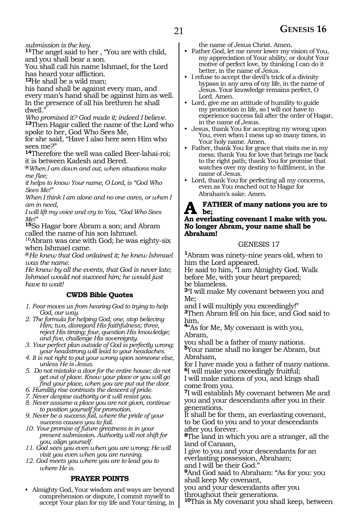*submission is the key.*

**<sup>11</sup>**The angel said to her , "You are with child, and you shall bear a son.

You shall call his name Ishmael, for the Lord has heard your affliction.

**<sup>12</sup>**He shall be a wild man;

his hand shall be against every man, and every man's hand shall be against him as well. In the presence of all his brethren he shall dwell."

*Who promised it? God made it; indeed I believe.* **<sup>13</sup>**Then Hagar called the name of the Lord who spoke to her, God Who Sees Me,

for she said, "Have I also here seen Him who sees me?"

**<sup>14</sup>**Therefore the well was called Beer-lahai-roi; it is between Kadesh and Bered.

**@***When I am down and out, when situations make me flee;*

*it helps to know Your name, O Lord, is "God Who Sees Me!"*

*When I think I am alone and no one cares, or when I am in need,*

*I will lift my voice and cry to You, "God Who Sees Me!"*

**<sup>15</sup>**So Hagar bore Abram a son; and Abram called the name of his son Ishmael.

16Abram was one with God; he was eighty-six when Ishmael came.

**@***He knew that God ordained it; he knew Ishmael was the name.*

*He knew by all the events, that God is never late; Ishmael would not succeed him; he would just have to wait!*

#### **CWDS Bible Quotes**

- *1. Fear moves us from hearing God to trying to help God, our way.*
- *2. The formula for helping God; one, stop believing Him; two, disregard His faithfulness; three, reject His timing; four, question His knowledge; and five, challenge His sovereignty.*
- *3. Your perfect plan outside of God is perfectly wrong; your headstrong will lead to your headaches.*
- *4. It is not right to put your wrong upon someone else, unless He is Jesus.*
- *5. Do not mistake a door for the entire house; do not get out of place. Know your place or you will go find your place, when you are put out the door.*
- *6. Humility rise contrasts the descent of pride.*
- *7. Never despise authority or it will resist you.*
- *8. Never assume a place you are not given, continue to position yourself for promotion.*
- *9. Never be a success fail, where the pride of your success causes you to fail.*
- *10. Your promise of future greatness is in your present submission. Authority will not shift for you, align yourself.*
- *11. God sees you even when you are wrong; He will visit you even when you are running.*
- *12. God meets you where you are to lead you to where He is.*

#### **PRAYER POINTS**

• Almighty God, Your wisdom and ways are beyond comprehension or dispute, I commit myself to accept Your plan for my life and Your timing, in the name of Jesus Christ. Amen.

- Father God, let me never lower my vision of You, my appreciation of Your ability, or doubt Your motive of perfect love, by thinking I can do it better, in the name of Jesus.
- I refuse to accept the devil's trick of a divinity bypass in any area of my life, in the name of Jesus. Your knowledge remains perfect, O Lord. Amen.
- Lord, give me an attitude of humility to guide my promotion in life, so I will not have to experience success fail after the order of Hagar, in the name of Jesus.
- Jesus, thank You for accepting my wrong upon You, even when I mess up so many times, in Your holy name. Amen.
- Father, thank You for grace that visits me in my mess; thank You for love that brings me back to the right path; thank You for promise that watches over my destiny to fulfilment, in the name of Jesus.
- Lord, thank You for perfecting all my concerns, even as You reached out to Hagar for Abraham's sake. Amen.

#### **FATHER of many nations you are to be; An everlasting covenant I make with you. No longer Abram, your name shall be**

## **Abraham!**

#### GENESIS 17

**<sup>1</sup>**Abram was ninety-nine years old, when to him the Lord appeared.

He said to him, "I am Almighty God. Walk before Me, with your heart prepared; be blameless.

**<sup>2</sup>**"I will make My covenant between you and Me;

and I will multiply you exceedingly!" **<sup>3</sup>**Then Abram fell on his face, and God said to

him, **<sup>4</sup>**"As for Me, My covenant is with you, Abram,

you shall be a father of many nations.

**<sup>5</sup>**Your name shall no longer be Abram, but Abraham,

for I have made you a father of many nations. **<sup>6</sup>**I will make you exceedingly fruitful;

I will make nations of you, and kings shall come from you.

**<sup>7</sup>**I will establish My covenant between Me and you and your descendants after you in their generations.

It shall be for them, an everlasting covenant, to be God to you and to your descendants after you forever.

**<sup>8</sup>**The land in which you are a stranger, all the land of Canaan,

I give to you and your descendants for an everlasting possession, Abraham;

and I will be their God."

**<sup>9</sup>**And God said to Abraham: "As for you: you shall keep My covenant,

you and your descendants after you

throughout their generations.

**10**This is My covenant you shall keep, between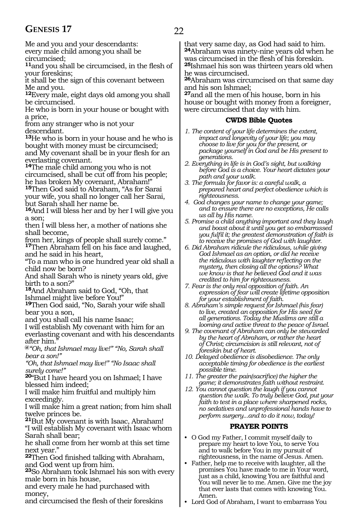### **GENESIS 17** 22

Me and you and your descendants: every male child among you shall be circumcised;

**<sup>11</sup>**and you shall be circumcised, in the flesh of your foreskins;

it shall be the sign of this covenant between Me and you.

**<sup>12</sup>**Every male, eight days old among you shall be circumcised.

He who is born in your house or bought with a price,

from any stranger who is not your descendant.

**<sup>13</sup>**He who is born in your house and he who is bought with money must be circumcised; and My covenant shall be in your flesh for an everlasting covenant.

**<sup>14</sup>**The male child among you who is not circumcised, shall be cut off from his people; he has broken My covenant, Abraham!"

**<sup>15</sup>**Then God said to Abraham, "As for Sarai your wife, you shall no longer call her Sarai, but Sarah shall her name be.

**<sup>16</sup>**And I will bless her and by her I will give you a son;

then I will bless her, a mother of nations she shall become,

from her, kings of people shall surely come." **<sup>17</sup>**Then Abraham fell on his face and laughed, and he said in his heart,

"To a man who is one hundred year old shall a child now be born?

And shall Sarah who is ninety years old, give birth to a son?"

**<sup>18</sup>**And Abraham said to God, "Oh, that Ishmael might live before You!"

**<sup>19</sup>**Then God said, "No, Sarah your wife shall bear you a son,

and you shall call his name Isaac;

I will establish My covenant with him for an everlasting covenant and with his descendants after him."

**@***"Oh, that Ishmael may live!" "No, Sarah shall bear a son!"*

*"Oh, that Ishmael may live!" "No Isaac shall surely come!"*

**<sup>20</sup>**"But I have heard you on Ishmael; I have blessed him indeed;

I will make him fruitful and multiply him exceedingly.

I will make him a great nation; from him shall twelve princes be.

**<sup>21</sup>**But My covenant is with Isaac, Abraham! "I will establish My covenant with Isaac whom Sarah shall bear;

he shall come from her womb at this set time next year."

**<sup>22</sup>**Then God finished talking with Abraham, and God went up from him.

**<sup>23</sup>**So Abraham took Ishmael his son with every male born in his house,

and every male he had purchased with money,

and circumcised the flesh of their foreskins

that very same day, as God had said to him. **<sup>24</sup>**Abraham was ninety-nine years old when he was circumcised in the flesh of his foreskin. **<sup>25</sup>**Ishmael his son was thirteen years old when he was circumcised.

**<sup>26</sup>**Abraham was circumcised on that same day and his son Ishmael;

**<sup>27</sup>**and all the men of his house, born in his house or bought with money from a foreigner, were circumcised that day with him.

#### **CWDS Bible Quotes**

- *1. The content of your life determines the extent, impact and longevity of your life; you may choose to live for you for the present, or package yourself in God and be His present to generations.*
- *2. Everything in life is in God's sight, but walking before God is a choice. Your heart dictates your path and your walk.*
- *3. The formula for favor is: a careful walk, a prepared heart and perfect obedience which is righteousness.*
- *4. God changes your name to change your game; and to ensure there are no exceptions, He calls us all by His name.*
- *5. Promise a child anything important and they laugh and boast about it until you get so embarrassed you fulfil it; the greatest demonstration of faith is to receive the promises of God with laughter.*
- *6. Did Abraham ridicule the ridiculous, while giving God Ishmael as an option, or did he receive the ridiculous with laughter reflecting on the mystery, then closing all the options? What we know is that he believed God and it was credited to him for righteousness.*
- *7. Fear is the only real opposition of faith. An expression of fear will create lifetime opposition for your establishment of faith.*

*8. Abraham's simple request for Ishmael (his fear) to live, created an opposition for His seed for all generations. Today the Muslims are still a looming and active threat to the peace of Israel.*

- *9. The covenant of Abraham can only be stewarded by the heart of Abraham, or rather the heart of Christ; circumcision is still relevant, not of foreskin but of heart.*
- *10. Delayed obedience is disobedience. The only acceptable timing for obedience is the earliest possible time.*
- *11. The greater the pain(sacrifice) the higher the game; it demonstrates faith without restraint.*
- *12. You cannot question the laugh if you cannot question the walk. To truly believe God, put your faith to test in a place where sharpened rocks, no sedatives and unprofessional hands have to perform surgery...and to do it now, today!*

#### **PRAYER POINTS**

- O God my Father, I commit myself daily to prepare my heart to love You, to serve You and to walk before You in my pursuit of righteousness, in the name of Jesus. Amen.
- Father, help me to receive with laughter, all the promises You have made to me in Your word, just as a child, knowing You are faithful and You will never lie to me. Amen. Give me the joy that ever lasts that comes with knowing You. Amen.
- Lord God of Abraham, I want to embarrass You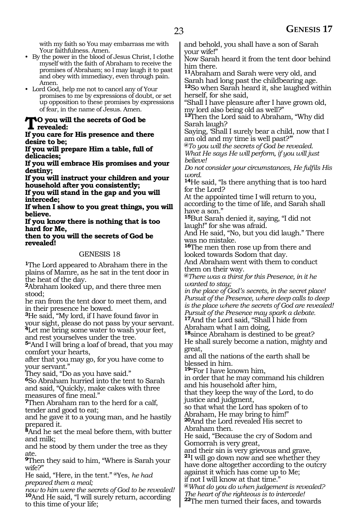with my faith so You may embarrass me with Your faithfulness. Amen.

- By the power in the blood of Jesus Christ, I clothe myself with the faith of Abraham to receive the promises of Abraham; so I may laugh it to past and obey with immediacy, even through pain. Amen.
- Lord God, help me not to cancel any of Your promises to me by expressions of doubt, or set up opposition to these promises by expressions of fear, in the name of Jesus. Amen.

### **To you will the secrets of God be T**revealed:

**If you care for His presence and there desire to be;**

**If you will prepare Him a table, full of delicacies;**

**If you will embrace His promises and your destiny;**

**If you will instruct your children and your household after you consistently;**

**If you will stand in the gap and you will intercede;**

**If when I show to you great things, you will believe.**

**If you know there is nothing that is too hard for Me,**

**then to you will the secrets of God be revealed!** 

#### GENESIS 18

**<sup>1</sup>**The Lord appeared to Abraham there in the plains of Mamre, as he sat in the tent door in the heat of the day.

**<sup>2</sup>**Abraham looked up, and there three men stood;

he ran from the tent door to meet them, and in their presence he bowed.

**<sup>3</sup>**He said, "My lord, if I have found favor in your sight, please do not pass by your servant. **<sup>4</sup>**Let me bring some water to wash your feet, and rest yourselves under the tree.

**<sup>5</sup>**"And I will bring a loaf of bread, that you may comfort your hearts,

after that you may go, for you have come to your servant."

They said, "Do as you have said."

**<sup>6</sup>**So Abraham hurried into the tent to Sarah and said, "Quickly, make cakes with three measures of fine meal."

**<sup>7</sup>**Then Abraham ran to the herd for a calf, tender and good to eat;

and he gave it to a young man, and he hastily prepared it.

**<sup>8</sup>**And he set the meal before them, with butter and milk;

and he stood by them under the tree as they ate.

**<sup>9</sup>**Then they said to him, "Where is Sarah your wife?"

He said, "Here, in the tent." **@**Yes, *he had prepared them a meal;*

*now to him were the secrets of God to be revealed!* **<sup>10</sup>**And He said, "I will surely return, according to this time of your life;

and behold, you shall have a son of Sarah your wife!"

Now Sarah heard it from the tent door behind him there.

**<sup>11</sup>**Abraham and Sarah were very old, and Sarah had long past the childbearing age.

**<sup>12</sup>**So when Sarah heard it, she laughed within herself, for she said,

"Shall I have pleasure after I have grown old, my lord also being old as well?"

**<sup>13</sup>**Then the Lord said to Abraham, "Why did Sarah laugh?

Saying, 'Shall I surely bear a child, now that I am old and my time is well past?'"

**@***To you will the secrets of God be revealed. What He says He will perform, if you will just believe!*

*Do not consider your circumstances, He fulfils His word.*

**<sup>14</sup>**He said, "Is there anything that is too hard for the Lord?

At the appointed time I will return to you, according to the time of life, and Sarah shall have a son."

**<sup>15</sup>**But Sarah denied it, saying, "I did not laugh!" for she was afraid.

And He said, "No, but you did laugh." There was no mistake.

**<sup>16</sup>**The men then rose up from there and looked towards Sodom that day.

And Abraham went with them to conduct them on their way.

**@***There was a thirst for this Presence, in it he wanted to stay;*

*in the place of God's secrets, in the secret place! Pursuit of the Presence, where deep calls to deep is the place where the secrets of God are revealed! Pursuit of the Presence may spark a debate.* **<sup>17</sup>**And the Lord said, "Shall I hide from

Abraham what I am doing,

**<sup>18</sup>**since Abraham is destined to be great? He shall surely become a nation, mighty and great,

and all the nations of the earth shall be blessed in him.

**<sup>19</sup>**"For I have known him,

in order that he may command his children and his household after him,

that they keep the way of the Lord, to do justice and judgment,

so that what the Lord has spoken of to Abraham, He may bring to him!" **<sup>20</sup>**And the Lord revealed His secret to

Abraham then.

He said, "Because the cry of Sodom and Gomorrah is very great,

and their sin is very grievous and grave, **<sup>21</sup>**I will go down now and see whether they have done altogether according to the outcry against it which has come up to Me;

if not I will know at that time."

**@***What do you do when judgement is revealed? The heart of the righteous is to intercede!*

**22**The men turned their faces, and towards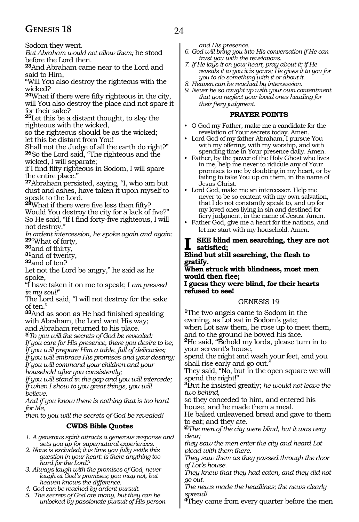### **GENESIS 18** 24

Sodom they went.

*But Abraham would not allow them;* he stood before the Lord then.

**<sup>23</sup>**And Abraham came near to the Lord and said to Him,

"Will You also destroy the righteous with the wicked?

**<sup>24</sup>**What if there were fifty righteous in the city, will You also destroy the place and not spare it for their sake?

**<sup>25</sup>**Let this be a distant thought, to slay the righteous with the wicked,

so the righteous should be as the wicked; let this be distant from You!

Shall not the Judge of all the earth do right?" **<sup>26</sup>**So the Lord said, "The righteous and the wicked, I will separate;

if I find fifty righteous in Sodom, I will spare the entire place."

**<sup>27</sup>**Abraham persisted, saying, "I, who am but dust and ashes, have taken it upon myself to speak to the Lord.

**<sup>28</sup>**What if there were five less than fifty?

Would You destroy the city for a lack of five?" So He said, "If I find forty-five righteous, I will not destroy."

*In ardent intercession, he spoke again and again:* **<sup>29</sup>**"What of forty, **30**and of thirty, **31**and of twenty, **32**and of ten?

Let not the Lord be angry," he said as he spoke,

"I have taken it on me to speak; I *am pressed in my soul!*"

The Lord said, "I will not destroy for the sake of ten."

**<sup>33</sup>**And as soon as He had finished speaking with Abraham, the Lord went His way; and Abraham returned to his place.

**@***To you will the secrets of God be revealed:*

*If you care for His presence, there you desire to be; If you will prepare Him a table, full of delicacies;*

*If you will embrace His promises and your destiny; If you will command your children and your* 

*household after you consistently;*

*If you will stand in the gap and you will intercede; If when I show to you great things, you will believe.*

*And if you know there is nothing that is too hard for Me,*

*then to you will the secrets of God be revealed!*

#### **CWDS Bible Quotes**

*1. A generous spirit attracts a generous response and sets you up for supernatural experiences.*

*2. None is excluded; it is time you fully settle this question in your heart: is there anything too hard for the Lord?* 

*3. Always laugh with the promises of God, never laugh at God's promises; you may not, but heaven knows the difference.*

*4. God can be reached by ardent pursuit.*

*5. The secrets of God are many, but they can be unlocked by passionate pursuit of His person*  *and His presence.* 

*6. God will bring you into His conversation if He can trust you with the revelations.*

*7. If He lays it on your heart, pray about it; if He reveals it to you it is yours; He gives it to you for you to do something with it or about it.*

*8. Heaven can be reached by intercession.*

*9. Never be so caught up with your own contentment that you neglect your loved ones heading for their fiery judgment.*

#### **PRAYER POINTS**

- O God my Father, make me a candidate for the revelation of Your secrets today. Amen.
- Lord God of my father Abraham, I pursue You with my offering, with my worship, and with spending time in Your presence daily. Amen.
- Father, by the power of the Holy Ghost who lives in me, help me never to ridicule any of Your promises to me by doubting in my heart, or by failing to take You up on them, in the name of Jesus Christ.
- Lord God, make me an intercessor. Help me never to be so content with my own salvation, that I do not constantly speak to, and up for my loved ones living in sin and destined for fiery judgment, in the name of Jesus. Amen.
- Father God, give me a heart for the nations, and let me start with my household. Amen.

#### **SEE blind men searching, they are not satisfied;**

#### **Blind but still searching, the flesh to gratify.**

**When struck with blindness, most men would then flee;**

**I guess they were blind, for their hearts refused to see!** 

#### GENESIS 19

**<sup>1</sup>**The two angels came to Sodom in the evening, as Lot sat in Sodom's gate; when Lot saw them, he rose up to meet them, and to the ground he bowed his face. **<sup>2</sup>**He said, "Behold my lords, please turn in to your servant's house, spend the night and wash your feet, and you shall rise early and go out." They said, "No, but in the open square we will spend the night!" **<sup>3</sup>**But he insisted greatly; *he would not leave the two behind,*

so they conceded to him, and entered his house, and he made them a meal.

He baked unleavened bread and gave to them to eat; and they ate.

**@***The men of the city were blind, but it was very clear;*

*they saw the men enter the city and heard Lot plead with them there.*

*They saw them as they passed through the door of Lot's house.*

*They knew that they had eaten, and they did not go out.*

*The news made the headlines; the news clearly spread!*

**4**They came from every quarter before the men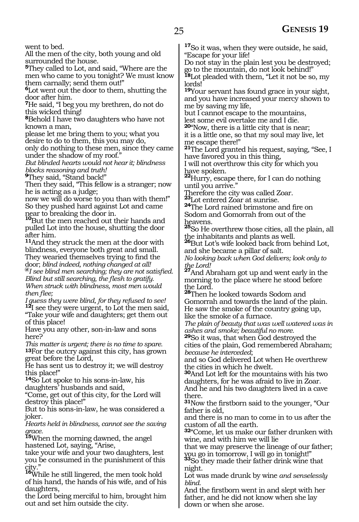went to bed.

All the men of the city, both young and old surrounded the house.

**<sup>5</sup>**They called to Lot, and said, "Where are the men who came to you tonight? We must know them carnally; send them out!"

**<sup>6</sup>**Lot went out the door to them, shutting the door after him.

**<sup>7</sup>**He said, "I beg you my brethren, do not do this wicked thing!

**<sup>8</sup>**Behold I have two daughters who have not known a man,

please let me bring them to you; what you desire to do to them, this you may do,

only do nothing to these men, since they came under the shadow of my roof."

*But blinded hearts would not hear it; blindness blocks reasoning and truth!*

**<sup>9</sup>**They said, "Stand back!"

Then they said, "This fellow is a stranger; now he is acting as a judge;

now we will do worse to you than with them!" So they pushed hard against Lot and came

near to breaking the door in. **<sup>10</sup>**But the men reached out their hands and pulled Lot into the house, shutting the door after him.

**<sup>11</sup>**And they struck the men at the door with blindness, everyone both great and small.

They wearied themselves trying to find the door; blind indeed, nothing changed at all!  ${}^{a}I$  see blind men searching; they are not satisfied. *Blind but still searching, the flesh to gratify. When struck with blindness, most men would then flee;*

*I guess they were blind, for they refused to see!* **<sup>12</sup>**I see they were urgent, to Lot the men said, "Take your wife and daughters; get them out of this place!

Have you any other, son-in-law and sons here?

*This matter is urgent; there is no time to spare.* **13**For the outcry against this city, has grown great before the Lord,

He has sent us to destroy it; we will destroy this place!"

**<sup>14</sup>**So Lot spoke to his sons-in-law, his daughters' husbands and said,

"Come, get out of this city, for the Lord will destroy this place!"

But to his sons-in-law, he was considered a joker.

*Hearts held in blindness, cannot see the saving grace.*

**<sup>15</sup>**When the morning dawned, the angel hastened Lot, saying, "Arise,

take your wife and your two daughters, lest you be consumed in the punishment of this

city." **<sup>16</sup>**While he still lingered, the men took hold of his hand, the hands of his wife, and of his daughters,

the Lord being merciful to him, brought him out and set him outside the city.

**<sup>17</sup>**So it was, when they were outside, he said, "Escape for your life!

Do not stay in the plain lest you be destroyed; go to the mountain, do not look behind!"

**<sup>18</sup>**Lot pleaded with them, "Let it not be so, my lords!

**<sup>19</sup>**Your servant has found grace in your sight, and you have increased your mercy shown to me by saving my life,

but I cannot escape to the mountains, lest some evil overtake me and I die.

**<sup>20</sup>**"Now, there is a little city that is near; it is a little one, so that my soul may live, let me escape there!"

**<sup>21</sup>**The Lord granted his request, saying, "See, I have favored you in this thing,

I will not overthrow this city for which you

have spoken. **<sup>22</sup>**Hurry, escape there, for I can do nothing until you arrive."

Therefore the city was called Zoar. **<sup>23</sup>**Lot entered Zoar at sunrise.

**<sup>24</sup>**The Lord rained brimstone and fire on Sodom and Gomorrah from out of the heavens.

**<sup>25</sup>**So He overthrew those cities, all the plain, all

the inhabitants and plants as well. **<sup>26</sup>**But Lot's wife looked back from behind Lot, and she became a pillar of salt.

*No looking back when God delivers; look only to* 

*the Lord!* **<sup>27</sup>**And Abraham got up and went early in the morning to the place where he stood before the Lord.

**<sup>28</sup>**Then he looked towards Sodom and Gomorrah and towards the land of the plain. He saw the smoke of the country going up, like the smoke of a furnace.

*The plain of beauty that was well watered was in ashes and smoke; beautiful no more.*

**<sup>29</sup>**So it was, that when God destroyed the cities of the plain, God remembered Abraham; *because he interceded*;

and so God delivered Lot when He overthrew the cities in which he dwelt.

**<sup>30</sup>**And Lot left for the mountains with his two daughters, for he was afraid to live in Zoar. And he and his two daughters lived in a cave there.

**<sup>31</sup>**Now the firstborn said to the younger, "Our father is old,

and there is no man to come in to us after the custom of all the earth.

**<sup>32</sup>**"Come, let us make our father drunken with wine, and with him we will lie

that we may preserve the lineage of our father;

you go in tomorrow, I will go in tonight!" **<sup>33</sup>**So they made their father drink wine that night.

Lot was made drunk by wine *and senselessly blind.*

And the firstborn went in and slept with her father, and he did not know when she lay down or when she arose.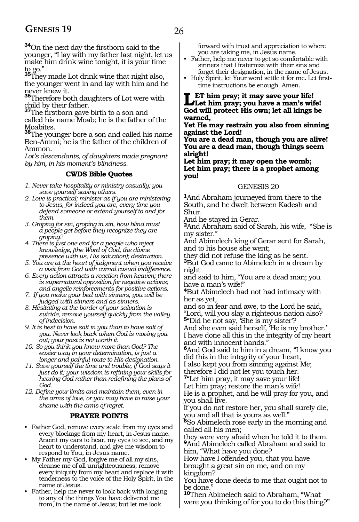**<sup>34</sup>**On the next day the firstborn said to the younger, "I lay with my father last night, let us make him drink wine tonight, it is your time to go." **<sup>35</sup>**They made Lot drink wine that night also,

the younger went in and lay with him and he

never knew it. **<sup>36</sup>**Therefore both daughters of Lot were with

child by their father. **<sup>37</sup>**The firstborn gave birth to a son and called his name Moab; he is the father of the Moabites.

**<sup>38</sup>**The younger bore a son and called his name Ben-Ammi; he is the father of the children of Ammon.

*Lot's descendants, of daughters made pregnant by him, in his moment's blindness.*

#### **CWDS Bible Quotes**

*1. Never take hospitality or ministry casually; you save yourself saving others.* 

- *2. Love is practical; minister as if you are ministering to Jesus, for indeed you are, every time you defend someone or extend yourself to and for them.*
- *3. Groping for sin, groping in sin, how blind must a people get before they recognize they are groping?*
- *4. There is just one end for a people who reject knowledge, (the Word of God, the divine presence with us, His salvation); destruction.*
- *5. You are at the heart of judgment when you receive a visit from God with carnal casual indifference.*
- *6. Every action attracts a reaction from heaven; there is supernatural opposition for negative actions; and angelic reinforcements for positive actions.*
- *7. If you make your bed with sinners, you will be judged with sinners and as sinners.*
- *8. Hesitating at the border of your salvation is suicide, remove yourself quickly from the valley of indecision.*
- *9. It is best to have salt in you than to have salt of you. Never look back when God is moving you out; your past is not worth it.*
- *10. So you think you know more than God? The easier way in your determination, is just a longer and painful route to His designation.*
- *11. Save yourself the time and trouble, if God says it just do it; your wisdom is refining your skills for hearing God rather than redefining the plans of God.*
- *12. Define your limits and maintain them, even in the arms of love, or you may have to raise your shame with the arms of regret.*

#### **PRAYER POINTS**

- Father God, remove every scale from my eyes and every blockage from my heart, in Jesus name. Anoint my ears to hear, my eyes to see, and my heart to understand, and give me wisdom to respond to You, in Jesus name.
- My Father my God, forgive me of all my sins, cleanse me of all unrighteousness; remove every iniquity from my heart and replace it with tenderness to the voice of the Holy Spirit, in the name of Jesus.
- Father, help me never to look back with longing to any of the things You have delivered me from, in the name of Jesus; but let me look

forward with trust and appreciation to where you are taking me, in Jesus name.

- Father, help me never to get so comfortable with sinners that I fraternize with their sins and forget their designation, in the name of Jesus.
- Holy Spirit, let Your word settle it for me. Let firsttime instructions be enough. Amen.

**Let him pray; it may save your life! Let him pray; you have a man's wife! God will protect His own; let all kings be warned,**

**Yet He may restrain you also from sinning against the Lord!**

**You are a dead man, though you are alive! You are a dead man, though things seem alright!**

**Let him pray; it may open the womb; Let him pray; there is a prophet among you!**

#### GENESIS 20

**<sup>1</sup>**And Abraham journeyed from there to the South, and he dwelt between Kadesh and Shur.

And he stayed in Gerar.

**<sup>2</sup>**And Abraham said of Sarah, his wife, "She is my sister."

And Abimelech king of Gerar sent for Sarah, and to his house she went;

they did not refuse the king as he sent.

**<sup>3</sup>**But God came to Abimelech in a dream by night

and said to him, "You are a dead man; you have a man's wife!"

**<sup>4</sup>**But Abimelech had not had intimacy with her as yet,

and so in fear and awe, to the Lord he said, "Lord, will you slay a righteous nation also? **<sup>5</sup>**"Did he not say, 'She is my sister'?

And she even said herself, 'He is my brother.' I have done all this in the integrity of my heart and with innocent hands."

**<sup>6</sup>**And God said to him in a dream, "I know you did this in the integrity of your heart,

I also kept you from sinning against Me; therefore I did not let you touch her.

**<sup>7</sup>**"Let him pray, it may save your life!

Let him pray; restore the man's wife!

He is a prophet, and he will pray for you, and you shall live.

If you do not restore her, you shall surely die, you and all that is yours as well."

**<sup>8</sup>**So Abimelech rose early in the morning and called all his men;

they were very afraid when he told it to them. **<sup>9</sup>**And Abimelech called Abraham and said to him, "What have you done?

How have I offended you, that you have brought a great sin on me, and on my kingdom?

You have done deeds to me that ought not to be done.

**<sup>10</sup>**Then Abimelech said to Abraham, "What were you thinking of for you to do this thing?"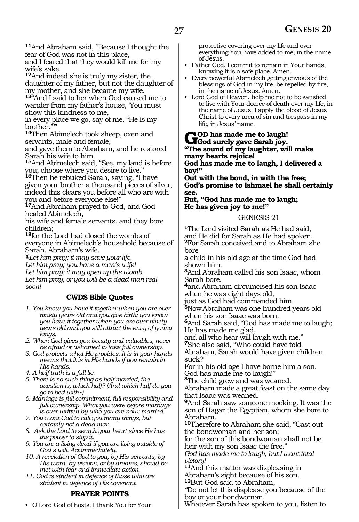**<sup>11</sup>**And Abraham said, "Because I thought the fear of God was not in this place,

and I feared that they would kill me for my wife's sake.

**<sup>12</sup>**And indeed she is truly my sister, the daughter of my father, but not the daughter of my mother, and she became my wife.

**<sup>13</sup>**"And I said to her when God caused me to wander from my father's house, 'You must show this kindness to me,

in every place we go, say of me, "He is my brother.

**<sup>14</sup>**Then Abimelech took sheep, oxen and servants, male and female,

and gave them to Abraham, and he restored Sarah his wife to him.

**<sup>15</sup>**And Abimelech said, "See, my land is before you; choose where you desire to live."

**<sup>16</sup>**Then he rebuked Sarah, saying, "I have given your brother a thousand pieces of silver; indeed this clears you before all who are with you and before everyone else!"

**<sup>17</sup>**And Abraham prayed to God, and God healed Abimelech,

his wife and female servants, and they bore children;

**<sup>18</sup>**for the Lord had closed the wombs of everyone in Abimelech's household because of Sarah, Abraham's wife.

**@***Let him pray; it may save your life.*

*Let him pray; you have a man's wife!*

*Let him pray; it may open up the womb.*

*Let him pray, or you will be a dead man real soon!*

#### **CWDS Bible Quotes**

- *1. You know you have it together when you are over ninety years old and you give birth; you know you have it together when you are over ninety years old and you still attract the envy of young kings.*
- *2. When God gives you beauty and valuables, never be afraid or ashamed to take full ownership.*
- *3. God protects what He provides. It is in your hands means that it is in His hands if you remain in His hands.*
- *4. A half truth is a full lie.*
- *5. There is no such thing as half married, the question is, which half? (And which half do you go to bed with?)*
- *6. Marriage is full commitment, full responsibility and full ownership. What you were before marriage is over-written by who you are now: married.*
- *7. You want God to call you many things, but certainly not a dead man.*
- *8. Ask the Lord to search your heart since He has the power to stop it.*
- *9. You are a living dead if you are living outside of God's will. Act immediately.*
- *10. A revelation of God to you, by His servants, by His word, by visions, or by dreams, should be met with fear and immediate action.*
- *11. God is strident in defence of those who are strident in defence of His covenant.*

#### **PRAYER POINTS**

• O Lord God of hosts, I thank You for Your

protective covering over my life and over everything You have added to me, in the name of Jesus.

- Father God, I commit to remain in Your hands, knowing it is a safe place. Amen.
- Every powerful Abimelech getting envious of the blessings of God in my life, be repelled by fire, in the name of Jesus. Amen.
- Lord God of Heaven, help me not to be satisfied to live with Your decree of death over my life, in the name of Jesus. I apply the blood of Jesus Christ to every area of sin and trespass in my life, in Jesus' name.

### God surely gave Sarah joy.<br> **God surely gave Sarah joy. "The sound of my laughter, will make**

**many hearts rejoice! God has made me to laugh, I delivered a boy!"**

**Out with the bond, in with the free; God's promise to Ishmael he shall certainly see.**

#### **But, "God has made me to laugh; He has given joy to me!"**

#### GENESIS 21

**<sup>1</sup>**The Lord visited Sarah as He had said, and He did for Sarah as He had spoken. **<sup>2</sup>**For Sarah conceived and to Abraham she bore

a child in his old age at the time God had shown him.

**<sup>3</sup>**And Abraham called his son Isaac, whom Sarah bore,

**<sup>4</sup>**and Abraham circumcised his son Isaac when he was eight days old,

just as God had commanded him.

**<sup>5</sup>**NowAbraham was one hundred years old when his son Isaac was born.

**<sup>6</sup>**And Sarah said, "God has made me to laugh; He has made me glad,

and all who hear will laugh with me." **<sup>7</sup>**She also said, "Who could have told

Abraham, Sarah would have given children suck?

For in his old age I have borne him a son. God has made me to laugh!"

**<sup>8</sup>**The child grew and was weaned.

Abraham made a great feast on the same day that Isaac was weaned.

**<sup>9</sup>**And Sarah saw someone mocking. It was the son of Hagar the Egyptian, whom she bore to Abraham.

**<sup>10</sup>**Therefore to Abraham she said, "Cast out the bondwoman and her son;

for the son of this bondwoman shall not be heir with my son Isaac the free."

*God has made me to laugh, but I want total victory!*

**<sup>11</sup>**And this matter was displeasing in Abraham's sight because of his son. **<sup>12</sup>**But God said to Abraham,

*"*Do not let this displease you because of the boy or your bondwoman.

Whatever Sarah has spoken to you, listen to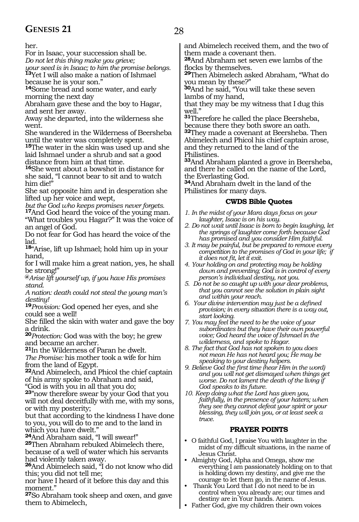her.

For in Isaac, your succession shall be.

*Do not let this thing make you grieve;*

*your seed is in Isaac; to him the promise belongs.* **<sup>13</sup>**Yet I will also make a nation of Ishmael because he is your son."

**<sup>14</sup>**Some bread and some water, and early morning the next day

Abraham gave these and the boy to Hagar, and sent her away.

Away she departed, into the wilderness she went.

She wandered in the Wilderness of Beersheba until the water was completely spent.

**<sup>15</sup>**The water in the skin was used up and she laid Ishmael under a shrub and sat a good distance from him at that time.

**<sup>16</sup>**She went about a bowshot in distance for she said, "I cannot bear to sit and to watch him die!"

She sat opposite him and in desperation she lifted up her voice and wept,

*but the God who keeps promises never forgets.* **17**And God heard the voice of the young man.

"What troubles you Hagar?" It was the voice of an angel of God.

Do not fear for God has heard the voice of the lad.

**<sup>18</sup>**"Arise, lift up Ishmael; hold him up in your hand,

for I will make him a great nation, yes, he shall be strong!"

**@***Arise lift yourself up, if you have His promises stand.* 

*A nation: death could not steal the young man's destiny!*

**<sup>19</sup>***Provision:* God opened her eyes, and she could see a well!

She filled the skin with water and gave the boy a drink.

**<sup>20</sup>***Protection:* God was with the boy; he grew and became an archer.

**<sup>21</sup>**In the Wilderness of Paran he dwelt. *The Promise:* his mother took a wife for him from the land of Egypt.

**<sup>22</sup>**And Abimelech, and Phicol the chief captain of his army spoke to Abraham and said,

"God is with you in all that you do;

**<sup>23</sup>**"now therefore swear by your God that you will not deal deceitfully with me, with my sons, or with my posterity;

but that according to the kindness I have done to you, you will do to me and to the land in which you have dwelt."

**<sup>24</sup>**And Abraham said, "I will swear!"

**<sup>25</sup>**Then Abraham rebuked Abimelech there, because of a well of water which his servants had violently taken away.

**<sup>26</sup>**And Abimelech said, "I do not know who did this; you did not tell me;

nor have I heard of it before this day and this moment."

**<sup>27</sup>**So Abraham took sheep and oxen, and gave them to Abimelech,

and Abimelech received them, and the two of them made a covenant then.

**<sup>28</sup>**And Abraham set seven ewe lambs of the flocks by themselves.

**<sup>29</sup>**Then Abimelech asked Abraham, "What do you mean by these?"

**<sup>30</sup>**And he said, "You will take these seven lambs of my hand,

that they may be my witness that I dug this well."

**<sup>31</sup>**Therefore he called the place Beersheba, because there they both swore an oath. **<sup>32</sup>**They made a covenant at Beersheba. Then

Abimelech and Phicol his chief captain arose, and they returned to the land of the Philistines.

**<sup>33</sup>**And Abraham planted a grove in Beersheba, and there he called on the name of the Lord, the Everlasting God.

**<sup>34</sup>**And Abraham dwelt in the land of the Philistines for many days.

#### **CWDS Bible Quotes**

- *1. In the midst of your Mara days focus on your laughter, Isaac is on his way.*
- *2. Do not wait until Isaac is born to begin laughing, let the springs of laughter come forth because God has promised and you consider Him faithful.*
- *3. It may be painful, but be prepared to remove every competition to the promises of God in your life; if it does not fit, let it exit.*
- *4. Your holding on and protecting may be holding down and preventing; God is in control of every person's individual destiny, not you.*
- *5. Do not be so caught up with your dear problems, that you cannot see the solution in plain sight and within your reach.*
- *6. Your divine intervention may just be a defined provision; in every situation there is a way out, start looking.*
- *7. You may feel the need to be the voice of your subordinates but they have their own powerful voice; God heard the voice of Ishmael in the wilderness, and spoke to Hagar.*
- *8. The fact that God has not spoken to you does not mean He has not heard you; He may be speaking to your destiny helpers.*
- *9. Believe God the first time (hear Him in the word) and you will not get dismayed when things get worse. Do not lament the death of the living if God speaks to its future.*

*10. Keep doing what the Lord has given you, faithfully, in the presence of your haters; when they see they cannot defeat your spirit or your blessing, they will join you, or at least seek a truce.*

#### **PRAYER POINTS**

- O faithful God, I praise You with laughter in the midst of my difficult situations, in the name of Jesus Christ.
- Almighty God, Alpha and Omega, show me everything I am passionately holding on to that is holding down my destiny, and give me the courage to let them go, in the name of Jesus.
- Thank You Lord that I do not need to be in control when you already are; our times and destiny are in Your hands. Amen.
- Father God, give my children their own voices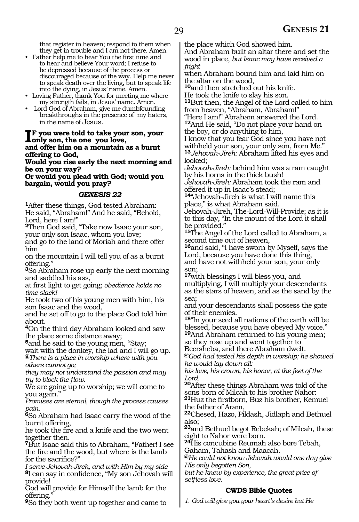that register in heaven; respond to them when they get in trouble and I am not there. Amen.

- Father help me to hear You the first time and to hear and believe Your word; I refuse to be depressed because of the process or discouraged because of the way. Help me never to speak death over the living, but to speak life into the dying, in Jesus' name. Amen.
- Loving Father, thank You for meeting me where my strength fails, in Jesus' name. Amen.
- Lord God of Abraham, give me dumbfounding breakthroughs in the presence of my haters, in the name of Jesus.

#### **I**F you were told to take you love,<br>condection him an a mountain **f you were told to take your son, your and offer him on a mountain as a burnt offering to God,**

**Would you rise early the next morning and be on your way?**

**Or would you plead with God; would you bargain, would you pray?**

#### *GENESIS 22*

**<sup>1</sup>**After these things, God tested Abraham: He said, "Abraham!" And he said, "Behold, Lord, here I am!"

**<sup>2</sup>**Then God said, "Take now Isaac your son, your only son Isaac, whom you love;

and go to the land of Moriah and there offer him

on the mountain I will tell you of as a burnt offering."

**<sup>3</sup>**So Abraham rose up early the next morning and saddled his ass,

at first light to get going; *obedience holds no time slack!*

He took two of his young men with him, his son Isaac and the wood,

and he set off to go to the place God told him about.

**<sup>4</sup>**On the third day Abraham looked and saw the place some distance away;

**<sup>5</sup>**and he said to the young men, "Stay;

wait with the donkey, the lad and I will go up. **@***There is a place in worship where with you others cannot go;*

*they may not understand the passion and may try to block the flow.*

We are going up to worship; we will come to you again."

*Promises are eternal, though the process causes pain.*

**<sup>6</sup>**So Abraham had Isaac carry the wood of the burnt offering,

he took the fire and a knife and the two went together then.

**<sup>7</sup>**But Isaac said this to Abraham, "Father! I see the fire and the wood, but where is the lamb for the sacrifice?"

*I serve Jehovah-Jireh, and with Him by my side* **<sup>8</sup>**I can say in confidence, "My son Jehovah will provide!

God will provide for Himself the lamb for the offering."

**<sup>9</sup>**So they both went up together and came to

the place which God showed him.

And Abraham built an altar there and set the wood in place, *but Isaac may have received a fright*

when Abraham bound him and laid him on the altar on the wood,

**<sup>10</sup>**and then stretched out his knife.

He took the knife to slay his son.

**<sup>11</sup>**But then, the Angel of the Lord called to him from heaven, "Abraham, Abraham!"

"Here I am!" Abraham answered the Lord.

**<sup>12</sup>**And He said, "Do not place your hand on the boy, or do anything to him,

I know that you fear God since you have not withheld your son, your only son, from Me." **<sup>13</sup>***Jehovah-Jireh:* Abraham lifted his eyes and looked;

*Jehovah-Jireh:* behind him was a ram caught by his horns in the thick bush!

*Jehovah-Jireh:* Abraham took the ram and offered it up in Isaac's stead;

**<sup>14</sup>**"Jehovah-Jireh is what I will name this place," is what Abraham said.

Jehovah-Jireh, The-Lord-Will-Provide; as it is to this day, "In the mount of the Lord it shall be provided."

**<sup>15</sup>**The Angel of the Lord called to Abraham, a second time out of heaven,

**<sup>16</sup>**and said, "I have sworn by Myself, says the Lord, because you have done this thing, and have not withheld your son, your only son;

**<sup>17</sup>**with blessings I will bless you, and multiplying, I will multiply your descendants as the stars of heaven, and as the sand by the sea;

and your descendants shall possess the gate of their enemies.

**<sup>18</sup>**"In your seed all nations of the earth will be blessed, because you have obeyed My voice." **<sup>19</sup>**And Abraham returned to his young men;

so they rose up and went together to

Beersheba, and there Abraham dwelt.

**@***God had tested his depth in worship; he showed he would lay down all:*

*his love, his crown, his honor, at the feet of the Lord.*

**<sup>20</sup>**After these things Abraham was told of the sons born of Milcah to his brother Nahor: **<sup>21</sup>**Huz the firstborn, Buz his brother, Kemuel the father of Aram,

**<sup>22</sup>**Chesed, Hazo, Pildash, Jidlaph and Bethuel also;

**<sup>23</sup>**and Bethuel begot Rebekah; of Milcah, these eight to Nahor were born.

**<sup>24</sup>**His concubine Reumah also bore Tebah, Gaham, Tahash and Maacah.

**@***He could not know Jehovah would one day give His only begotten Son,*

*but he knew by experience, the great price of selfless love.*

#### **CWDS Bible Quotes**

*1. God will give you your heart's desire but He*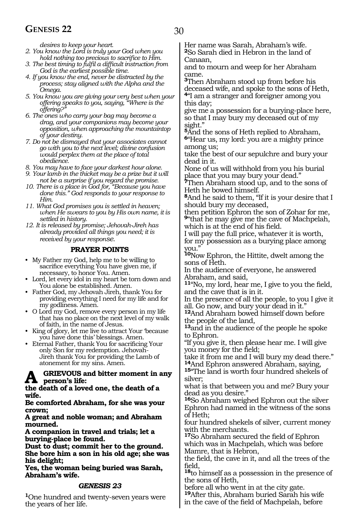### **GENESIS 22** 30

*desires to keep your heart.*

- *2. You know the Lord is truly your God when you hold nothing too precious to sacrifice to Him.*
- *3. The best timing to fulfil a difficult instruction from God is the earliest possible time.*
- *4. If you know the end, never be distracted by the process; stay aligned with the Alpha and the Omega.*
- *5. You know you are giving your very best when your offering speaks to you, saying, "Where is the offering?"*
- *6. The ones who carry your bag may become a drag, and your companions may become your opposition, when approaching the mountaintop of your destiny.*
- *7. Do not be dismayed that your associates cannot go with you to the next level; divine confusion would perplex them at the place of total obedience.*
- *8. You may have to face your darkest hour alone.*
- *9. Your lamb in the thicket may be a prize but it will not be a surprise if you regard the promise.*
- *10. There is a place in God for, "Because you have done this." God responds to your response to Him.*
- *11. What God promises you is settled in heaven; when He swears to you by His own name, it is settled in history.*
- *12. It is released by promise; Jehovah-Jireh has already provided all things you need; it is received by your response.*

#### **PRAYER POINTS**

- My Father my God, help me to be willing to sacrifice everything You have given me, if necessary, to honor You. Amen.
- Lord, let every idol in my heart be torn down and You alone be established. Amen.
- Father God, my Jehovah Jireh, thank You for providing everything I need for my life and for my godliness. Amen.
- O Lord my God, remove every person in my life that has no place on the next level of my walk of faith, in the name of Jesus.
- King of glory, let me live to attract Your 'because you have done this' blessings. Amen.
- Eternal Father, thank You for sacrificing Your only Son for my redemption. Jehovah-Jireh thank You for providing the Lamb of atonement for my sins. Amen.

#### **GRIEVOUS and bitter moment in any person's life:**

#### **the death of a loved one, the death of a wife.**

**Be comforted Abraham, for she was your crown;**

**A great and noble woman; and Abraham mourned.**

**A companion in travel and trials; let a burying-place be found.**

**Dust to dust; commit her to the ground. She bore him a son in his old age; she was his delight;**

**Yes, the woman being buried was Sarah, Abraham's wife.**

#### *GENESIS 23*

**<sup>1</sup>**One hundred and twenty-seven years were the years of her life.

Her name was Sarah, Abraham's wife. **<sup>2</sup>**So Sarah died in Hebron in the land of Canaan,

and to mourn and weep for her Abraham came.

**<sup>3</sup>**Then Abraham stood up from before his deceased wife, and spoke to the sons of Heth, **<sup>4</sup>**"I am a stranger and foreigner among you this day;

give me a possession for a burying-place here, so that I may bury my deceased out of my sight."

**<sup>5</sup>**And the sons of Heth replied to Abraham, **<sup>6</sup>**"Hear us, my lord: you are a mighty prince among us;

take the best of our sepulchre and bury your dead in it.

None of us will withhold from you his burial place that you may bury your dead."

**<sup>7</sup>**Then Abraham stood up, and to the sons of Heth he bowed himself.

**<sup>8</sup>**And he said to them, "If it is your desire that I should bury my deceased,

then petition Ephron the son of Zohar for me, **<sup>9</sup>**"that he may give me the cave of Machpelah, which is at the end of his field.

I will pay the full price, whatever it is worth, for my possession as a burying place among you."

**<sup>10</sup>**Now Ephron, the Hittite, dwelt among the sons of Heth.

In the audience of everyone, he answered Abraham, and said,

**<sup>11</sup>**"No, my lord, hear me, I give to you the field, and the cave that is in it.

In the presence of all the people, to you I give it all. Go now, and bury your dead in it."

**<sup>12</sup>**And Abraham bowed himself down before the people of the land,

**<sup>13</sup>**and in the audience of the people he spoke to Ephron.

"If you give it, then please hear me. I will give you money for the field;

take it from me and I will bury my dead there."<br><sup>14</sup>And Ephron answered Abraham, saying,

15<sup>"</sup>The land is worth four hundred shekels of silver;

what is that between you and me? Bury your dead as you desire.'

**<sup>16</sup>**So Abraham weighed Ephron out the silver Ephron had named in the witness of the sons of Heth;

four hundred shekels of silver, current money with the merchants.

**<sup>17</sup>**So Abraham secured the field of Ephron which was in Machpelah, which was before Mamre, that is Hebron,

the field, the cave in it, and all the trees of the field,

**<sup>18</sup>**to himself as a possession in the presence of the sons of Heth,

before all who went in at the city gate. **<sup>19</sup>**After this, Abraham buried Sarah his wife

in the cave of the field of Machpelah, before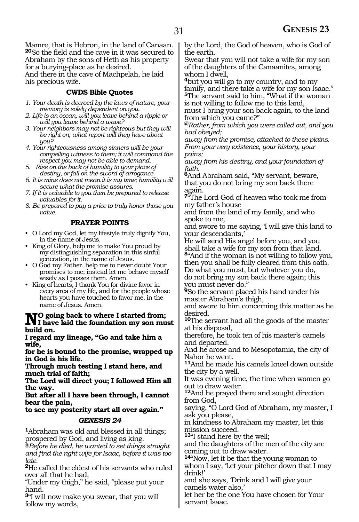Mamre, that is Hebron, in the land of Canaan. **<sup>20</sup>**So the field and the cave in it was secured to Abraham by the sons of Heth as his property for a burying-place as he desired. And there in the cave of Machpelah, he laid his precious wife.

#### **CWDS Bible Quotes**

- *1. Your death is decreed by the laws of nature, your memory is solely dependent on you.*
- *2. Life is an ocean, will you leave behind a ripple or will you leave behind a wave?*
- *3. Your neighbors may not be righteous but they will be right on; what report will they have about you?*
- *4. Your righteousness among sinners will be your compelling witness to them; it will command the respect you may not be able to demand.*
- *5. Rise on the back of humility to your place of destiny, or fall on the sword of arrogance.*

*6. It is mine does not mean it is my time; humility will secure what the promise assures.*

*7. If it is valuable to you then be prepared to release valuables for it.* 

*8. Be prepared to pay a price to truly honor those you value.*

#### **PRAYER POINTS**

- O Lord my God, let my lifestyle truly dignify You, in the name of Jesus.
- King of Glory, help me to make You proud by my distinguishing separation in this sinful generation, in the name of Jesus.
- O God my Father, help me to never doubt Your promises to me; instead let me behave myself wisely as I posses them. Amen.
- King of hearts, I thank You for divine favor in every area of my life, and for the people whose hearts you have touched to favor me, in the name of Jesus. Amen.

### **NO** going back to where I started from;<br>I have laid the foundation my son must<br>huild on **build on.**

**I regard my lineage, "Go and take him a wife,**

**for he is bound to the promise, wrapped up in God is his life.**

**Through much testing I stand here, and much trial of faith;**

**The Lord will direct you; I followed Him all the way.**

**But after all I have been through, I cannot bear the pain,** 

### **to see my posterity start all over again."**

#### *GENESIS 24*

**<sup>1</sup>**Abraham was old and blessed in all things; prospered by God, and living as king.

**@***Before he died, he wanted to set things straight and find the right wife for Isaac, before it was too late.*

**<sup>2</sup>**He called the eldest of his servants who ruled over all that he had;

"Under my thigh," he said, "please put your hand.

**<sup>3</sup>**"I will now make you swear, that you will follow my words,

by the Lord, the God of heaven, who is God of the earth.

Swear that you will not take a wife for my son of the daughters of the Canaanites, among whom I dwell,

**<sup>4</sup>**but you will go to my country, and to my family, and there take a wife for my son Isaac." **<sup>5</sup>**The servant said to him, "What if the woman is not willing to follow me to this land,

must I bring your son back again, to the land from which you came?"

**@***Rather, from which you were called out, and you had obeyed;*

*away from the promise, attached to these plains. From your very existence, your history, your pains;*

*away from his destiny, and your foundation of faith.*

**<sup>6</sup>**And Abraham said, "My servant, beware, that you do not bring my son back there again.

**<sup>7</sup>**"The Lord God of heaven who took me from my father's house

and from the land of my family, and who spoke to me,

and swore to me saying, 'I will give this land to your descendants,'

He will send His angel before you, and you shall take a wife for my son from that land. **<sup>8</sup>**"And if the woman is not willing to follow you, then you shall be fully cleared from this oath.

Do what you must, but whatever you do, do not bring my son back there again; this you must never do."

**<sup>9</sup>**So the servant placed his hand under his master Abraham's thigh,

and swore to him concerning this matter as he desired.

**<sup>10</sup>**The servant had all the goods of the master at his disposal,

therefore, he took ten of his master's camels and departed.

And he arose and to Mesopotamia, the city of Nahor he went.

**<sup>11</sup>**And he made his camels kneel down outside the city by a well.

It was evening time, the time when women go out to draw water.

**<sup>12</sup>**And he prayed there and sought direction from God,

saying, "O Lord God of Abraham, my master, I ask you please,

in kindness to Abraham my master, let this mission succeed.

**<sup>13</sup>**"I stand here by the well;

and the daughters of the men of the city are coming out to draw water.

**<sup>14</sup>**"Now, let it be that the young woman to whom I say, 'Let your pitcher down that I may drink!'

and she says, 'Drink and I will give your camels water also,'

let her be the one You have chosen for Your servant Isaac.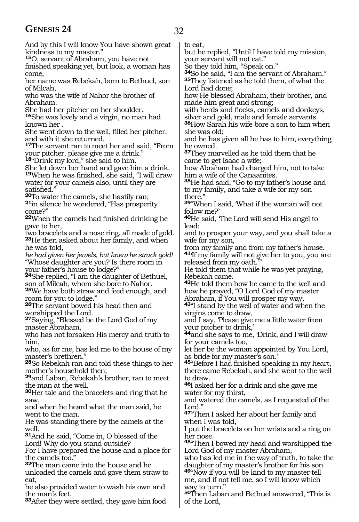### **GENESIS 24** 32

And by this I will know You have shown great kindness to my master."

**<sup>15</sup>**O, servant of Abraham, you have not

finished speaking yet, but look, a woman has come,

her name was Rebekah, born to Bethuel, son of Milcah,

who was the wife of Nahor the brother of Abraham.

She had her pitcher on her shoulder.

**<sup>16</sup>**She was lovely and a virgin, no man had known her .

She went down to the well, filled her pitcher, and with it she returned.

**<sup>17</sup>**The servant ran to meet her and said, "From your pitcher, please give me a drink."

**<sup>18</sup>**"Drink my lord," she said to him.

She let down her hand and gave him a drink. **<sup>19</sup>**When he was finished, she said, "I will draw water for your camels also, until they are

satisfied."<br>**20**To water the camels, she hastily ran;

**21**in silence he wondered, "Has prosperity come?"

**<sup>22</sup>**When the camels had finished drinking he gave to her,

two bracelets and a nose ring, all made of gold. **<sup>23</sup>**He then asked about her family, and when he was told,

*he had given her jewels, but knew he struck gold!*  "Whose daughter are you? Is there room in your father's house to lodge?"

**<sup>24</sup>**She replied, "I am the daughter of Bethuel, son of Milcah, whom she bore to Nahor.

**<sup>25</sup>**We have both straw and feed enough, and room for you to lodge."

**<sup>26</sup>**The servant bowed his head then and worshipped the Lord.

**<sup>27</sup>**Saying, "Blessed be the Lord God of my master Abraham,

who has not forsaken His mercy and truth to him,

who, as for me, has led me to the house of my master's brethren."

**<sup>28</sup>**So Rebekah ran and told these things to her mother's household then;

**<sup>29</sup>**and Laban, Rebekah's brother, ran to meet the man at the well.

**<sup>30</sup>**Her tale and the bracelets and ring that he saw,

and when he heard what the man said, he went to the man.

He was standing there by the camels at the well.

**<sup>31</sup>**And he said, "Come in, O blessed of the Lord! Why do you stand outside?

For I have prepared the house and a place for the camels too."

**<sup>32</sup>**The man came into the house and he

unloaded the camels and gave them straw to eat,

he also provided water to wash his own and the man's feet.

**<sup>33</sup>**After they were settled, they gave him food

to eat,

but he replied, "Until I have told my mission, your servant will not eat."

So they told him, "Speak on."

**<sup>34</sup>**So he said, "I am the servant of Abraham." **<sup>35</sup>**They listened as he told them, of what the Lord had done;

how He blessed Abraham, their brother, and made him great and strong;

with herds and flocks, camels and donkeys, silver and gold, male and female servants.

**<sup>36</sup>**How Sarah his wife bore a son to him when she was old;

and he has given all he has to him, everything he owned.

**<sup>37</sup>**They marvelled as he told them that he came to get Isaac a wife;

how Abraham had charged him, not to take him a wife of the Canaanites.

**<sup>38</sup>**He had said, "Go to my father's house and to my family, and take a wife for my son there."

**<sup>39</sup>**"When I said, 'What if the woman will not follow me?'

**<sup>40</sup>**He said, 'The Lord will send His angel to lead;

and to prosper your way, and you shall take a wife for my son,

from my family and from my father's house. **<sup>41</sup>**'If my family will not give her to you, you are

released from my oath.

He told them that while he was yet praying, Rebekah came.

**<sup>42</sup>**He told them how he came to the well and how he prayed, "O Lord God of my master

Abraham, if You will prosper my way, **<sup>43</sup>**"I stand by the well of water and when the

virgins come to draw,

and I say, 'Please give me a little water from your pitcher to drink,'

**<sup>44</sup>**and she says to me, 'Drink, and I will draw for your camels too,

let her be the woman appointed by You Lord, as bride for my master's son.'

**<sup>45</sup>**"Before I had finished speaking in my heart, there came Rebekah, and she went to the well to draw.

**<sup>46</sup>**I asked her for a drink and she gave me water for my thirst,

and watered the camels, as I requested of the Lord."

**<sup>47</sup>**"Then I asked her about her family and when I was told,

I put the bracelets on her wrists and a ring on her nose.

**<sup>48</sup>**"Then I bowed my head and worshipped the Lord God of my master Abraham,

who has led me in the way of truth, to take the daughter of my master's brother for his son.

**<sup>49</sup>**"Now if you will be kind to my master tell me, and if not tell me, so I will know which way to turn."

**<sup>50</sup>**Then Laban and Bethuel answered, "This is of the Lord,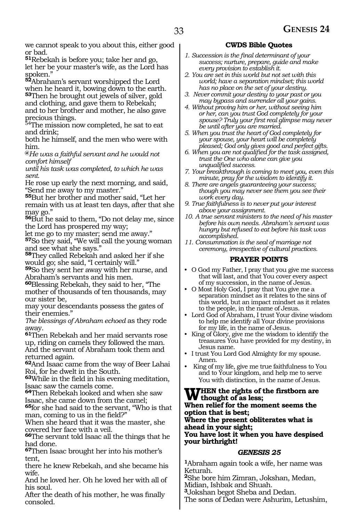we cannot speak to you about this, either good or bad.

**<sup>51</sup>**Rebekah is before you; take her and go, let her be your master's wife, as the Lord has spoken.'

**<sup>52</sup>**Abraham's servant worshipped the Lord when he heard it, bowing down to the earth. **<sup>53</sup>**Then he brought out jewels of silver, gold and clothing, and gave them to Rebekah; and to her brother and mother, he also gave precious things.

54The mission now completed, he sat to eat and drink;

both he himself, and the men who were with him.

**@***He was a faithful servant and he would not comfort himself*

*until his task was completed, to which he was sent.*

He rose up early the next morning, and said, "Send me away to my master."

**<sup>55</sup>**But her brother and mother said, "Let her remain with us at least ten days, after that she may go."

**<sup>56</sup>**But he said to them, "Do not delay me, since the Lord has prospered my way;

let me go to my master; send me away."

**<sup>57</sup>**So they said, "We will call the young woman and see what she says."

**<sup>58</sup>**They called Rebekah and asked her if she would go; she said, "I certainly will."

**<sup>59</sup>**So they sent her away with her nurse, and Abraham's servants and his men.

**<sup>60</sup>**Blessing Rebekah, they said to her, "The mother of thousands of ten thousands, may our sister be,

may your descendants possess the gates of their enemies."

*The blessings of Abraham echoed* as they rode away.

**<sup>61</sup>**Then Rebekah and her maid servants rose up, riding on camels they followed the man. And the servant of Abraham took them and returned again.

**<sup>62</sup>**And Isaac came from the way of Beer Lahai Roi, for he dwelt in the South.

**<sup>63</sup>**While in the field in his evening meditation, Isaac saw the camels come.

**<sup>64</sup>**Then Rebekah looked and when she saw Isaac, she came down from the camel;

**<sup>65</sup>**for she had said to the servant, "Who is that man, coming to us in the field?"

When she heard that it was the master, she covered her face with a veil.

**<sup>66</sup>**The servant told Isaac all the things that he had done.

**<sup>67</sup>**Then Isaac brought her into his mother's tent,

there he knew Rebekah, and she became his wife.

And he loved her. Oh he loved her with all of his soul.

After the death of his mother, he was finally consoled.

#### **CWDS Bible Quotes**

- *1. Succession is the final determinant of your success; nurture, prepare, guide and make every provision to establish it.*
- *2. You are set in this world but not set with this world; have a separation mindset; this world has no place on the set of your destiny.*
- *3. Never commit your destiny to your past or you may bypass and surrender all your gains.*
- *4. Without proving him or her, without seeing him or her, can you trust God completely for your spouse? Truly your first real glimpse may never be until after you are married.*
- *5. When you trust the heart of God completely for your spouse, your heart will be completely pleased; God only gives good and perfect gifts.*
- *6. When you are not qualified for the task assigned, trust the One who alone can give you unqualified success.*
- *7. Your breakthrough is coming to meet you, even this minute, pray for the wisdom to identify it.*
- *8. There are angels guaranteeing your success; though you may never see them you see their work every day.*
- *9. True faithfulness is to never put your interest above your assignment.*
- *10. A true servant ministers to the need of his master before his own needs. Abraham's servant was hungry but refused to eat before his task was accomplished.*
- *11. Consummation is the seal of marriage not ceremony, irrespective of cultural practices.*

#### **PRAYER POINTS**

- O God my Father, I pray that you give me success that will last, and that You cover every aspect of my succession, in the name of Jesus.
- O Most Holy God, I pray that You give me a separation mindset as it relates to the sins of this world, but an impact mindset as it relates to the people, in the name of Jesus.
- Lord God of Abraham, I trust Your divine wisdom to help me identify all Your divine provisions for my life, in the name of Jesus.
- King of Glory, give me the wisdom to identify the treasures You have provided for my destiny, in Jesus name.
- I trust You Lord God Almighty for my spouse. Amen.
- King of my life, give me true faithfulness to You and to Your kingdom, and help me to serve You with distinction, in the name of Jesus.

#### **When the rights of the firstborn are thought of as less; When relief for the moment seems the**

#### **option that is best; Where the present obliterates what is**

**ahead in your sight; You have lost it when you have despised your birthright!**

#### *GENESIS 25*

**<sup>1</sup>**Abraham again took a wife, her name was Keturah.

**<sup>2</sup>**She bore him Zimran, Jokshan, Medan, Midian, Ishbak and Shuah.

**<sup>3</sup>**Jokshan begot Sheba and Dedan.

The sons of Dedan were Ashurim, Letushim,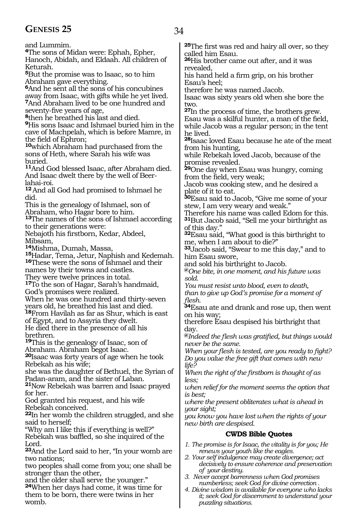### GENESIS 25 34

and Lummim. **<sup>4</sup>**The sons of Midan were: Ephah, Epher, Hanoch, Abidah, and Eldaah. All children of Keturah.

**<sup>5</sup>**But the promise was to Isaac, so to him Abraham gave everything.

**<sup>6</sup>**And he sent all the sons of his concubines away from Isaac, with gifts while he yet lived. **<sup>7</sup>**And Abraham lived to be one hundred and seventy-five years of age,

**<sup>8</sup>**then he breathed his last and died. **<sup>9</sup>**His sons Isaac and Ishmael buried him in the cave of Machpelah, which is before Mamre, in the field of Ephron;

**<sup>10</sup>**which Abraham had purchased from the sons of Heth, where Sarah his wife was buried.

**<sup>11</sup>**And God blessed Isaac, after Abraham died. And Isaac dwelt there by the well of Beerlahai-roi.

**<sup>12</sup>**And all God had promised to Ishmael he did.

This is the genealogy of Ishmael, son of Abraham, who Hagar bore to him.

**<sup>13</sup>**The names of the sons of Ishmael according to their generations were:

Nebajoth his firstborn, Kedar, Abdeel, Mibsam,

**<sup>14</sup>**Mishma, Dumah, Massa,

**<sup>15</sup>**Hadar, Tema, Jetur, Naphish and Kedemah. **<sup>16</sup>**These were the sons of Ishmael and their names by their towns and castles.

They were twelve princes in total.

**<sup>17</sup>**To the son of Hagar, Sarah's handmaid, God's promises were realized.

When he was one hundred and thirty-seven years old, he breathed his last and died.

**<sup>18</sup>**From Havilah as far as Shur, which is east of Egypt, and to Assyria they dwelt.

He died there in the presence of all his brethren.

**<sup>19</sup>**This is the genealogy of Isaac, son of Abraham. Abraham begot Isaac.

**<sup>20</sup>**Isaac was forty years of age when he took Rebekah as his wife;

she was the daughter of Bethuel, the Syrian of Padan-aram, and the sister of Laban.

**<sup>21</sup>**Now Rebekah was barren and Isaac prayed for her.

God granted his request, and his wife Rebekah conceived.

**<sup>22</sup>**In her womb the children struggled, and she said to herself;

"Why am I like this if everything is well?" Rebekah was baffled, so she inquired of the Lord.

**<sup>23</sup>**And the Lord said to her, "In your womb are two nations;

two peoples shall come from you; one shall be stronger than the other,

and the older shall serve the younger." **<sup>24</sup>**When her days had come, it was time for them to be born, there were twins in her womb.

**<sup>25</sup>**The first was red and hairy all over, so they called him Esau.

**<sup>26</sup>**His brother came out after, and it was revealed,

his hand held a firm grip, on his brother Esau's heel;

therefore he was named Jacob.

Isaac was sixty years old when she bore the two.

**<sup>27</sup>**In the process of time, the brothers grew. Esau was a skilful hunter, a man of the field, while Jacob was a regular person; in the tent he lived.

**<sup>28</sup>**Isaac loved Esau because he ate of the meat from his hunting,

while Rebekah loved Jacob, because of the promise revealed.

**<sup>29</sup>**One day when Esau was hungry, coming from the field, very weak;

Jacob was cooking stew, and he desired a plate of it to eat.

**<sup>30</sup>**Esau said to Jacob, "Give me some of your stew, I am very weary and weak."

Therefore his name was called Edom for this. **<sup>31</sup>**But Jacob said, "Sell me your birthright as of this day."

**<sup>32</sup>**Esau said, "What good is this birthright to me, when I am about to die?"

**<sup>33</sup>**Jacob said, "Swear to me this day," and to him Esau swore,

and sold his birthright to Jacob.

**@***One bite, in one moment, and his future was sold.*

*You must resist unto blood, even to death,*

*than to give up God's promise for a moment of flesh.*

**<sup>34</sup>**Esau ate and drank and rose up, then went on his way;

therefore Esau despised his birthright that day.

**@***Indeed the flesh was gratified, but things would never be the same.* 

*When your flesh is tested, are you ready to fight? Do you value the free gift that comes with new life?*

*When the right of the firstborn is thought of as less;*

*when relief for the moment seems the option that is best;*

*where the present obliterates what is ahead in your sight;*

*you know you have lost when the rights of your new birth are despised.*

#### **CWDS Bible Quotes**

- *1. The promise is for Isaac, the vitality is for you; He renews your youth like the eagles.*
- *2. Your self indulgence may create divergence; act decisively to ensure coherence and preservation of your destiny.*
- *3. Never accept barrenness when God promises numberless; seek God for divine correction .*
- *4. Divine wisdom is available for everyone who lacks it; seek God for discernment to understand your puzzling situations.*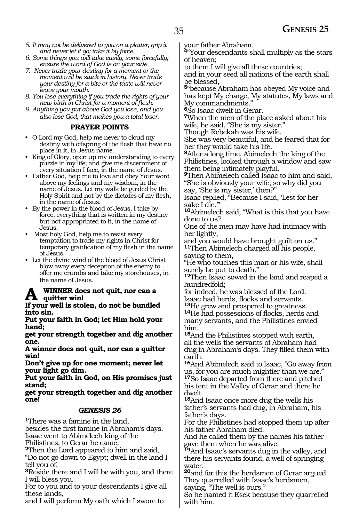*6. Some things you will take easily, some forcefully; ensure the word of God is on your side.*

- *7. Never trade your destiny for a moment or the moment will be stuck in history. Never trade your destiny for a bite or the taste will never leave your mouth.*
- *8. You lose everything if you trade the rights of your new birth in Christ for a moment of flesh.*
- *9. Anything you put above God you lose, and you also lose God, that makes you a total loser.*

#### **PRAYER POINTS**

- O Lord my God, help me never to cloud my destiny with offspring of the flesh that have no place in it, in Jesus name.
- King of Glory, open up my understanding to every puzzle in my life; and give me discernment of every situation I face, in the name of Jesus.
- Father God, help me to love and obey Your word above my feelings and my wisdom, in the name of Jesus. Let my walk be guided by the Holy Spirit and not by the dictates of my flesh, in the name of Jesus.
- By the power in the blood of Jesus, I take by force, everything that is written in my destiny but not appropriated to it, in the name of Jesus.
- Most holy God, help me to resist every temptation to trade my rights in Christ for temporary gratification of my flesh in the name of Jesus.
- Let the divine wind of the blood of Jesus Christ blow away every deception of the enemy to offer me crumbs and take my storehouses, in the name of Jesus.

#### **WINNER** does not quit, nor can a **quitter win!**

**If your well is stolen, do not be bundled into sin.** 

**Put your faith in God; let Him hold your hand;**

**get your strength together and dig another one.** 

**A winner does not quit, nor can a quitter win!**

**Don't give up for one moment; never let your light go dim.** 

**Put your faith in God, on His promises just stand;**

**get your strength together and dig another one!**

### *GENESIS 26*

**<sup>1</sup>**There was a famine in the land, besides the first famine in Abraham's days. Isaac went to Abimelech king of the Philistines; to Gerar he came.

**<sup>2</sup>**Then the Lord appeared to him and said, "Do not go down to Egypt; dwell in the land I tell you of.

**<sup>3</sup>**Reside there and I will be with you, and there I will bless you.

For to you and to your descendants I give all these lands,

and I will perform My oath which I swore to

your father Abraham.

**<sup>4</sup>**"Your descendants shall multiply as the stars of heaven;

to them I will give all these countries;

and in your seed all nations of the earth shall be blessed,

**<sup>5</sup>**"because Abraham has obeyed My voice and has kept My charge, My statutes, My laws and My commandments.

**<sup>6</sup>**So Isaac dwelt in Gerar.

**<sup>7</sup>**When the men of the place asked about his wife, he said, "She is my sister."

Though Rebekah was his wife.

She was very beautiful, and he feared that for her they would take his life.

**<sup>8</sup>**After a long time, Abimelech the king of the Philistines, looked through a window and saw them being intimately playful.

**<sup>9</sup>**Then Abimelech called Isaac to him and said, "She is obviously your wife, so why did you say, 'She is my sister,' then?"

Isaac replied, "Because I said, 'Lest for her sake I die."

**<sup>10</sup>**Abimelech said, "What is this that you have done to us?

One of the men may have had intimacy with her lightly,

and you would have brought guilt on us." **<sup>11</sup>**Then Abimelech charged all his people, saying to them,

"He who touches this man or his wife, shall surely be put to death."

**<sup>12</sup>**Then Isaac sowed in the land and reaped a hundredfold;

for indeed, he was blessed of the Lord. Isaac had herds, flocks and servants.

**<sup>13</sup>**He grew and prospered to greatness. **<sup>14</sup>**He had possessions of flocks, herds and many servants, and the Philistines envied him.

**<sup>15</sup>**And the Philistines stopped with earth, all the wells the servants of Abraham had dug in Abraham's days. They filled them with earth.

**<sup>16</sup>**And Abimelech said to Isaac, "Go away from us, for you are much mightier than we are." **<sup>17</sup>**So Isaac departed from there and pitched his tent in the Valley of Gerar and there he dwelt.

**<sup>18</sup>**And Isaac once more dug the wells his father's servants had dug, in Abraham, his father's days.

For the Philistines had stopped them up after his father Abraham died.

And he called them by the names his father gave them when he was alive.

**<sup>19</sup>**And Isaac's servants dug in the valley, and there his servants found, a well of springing water,

**<sup>20</sup>**and for this the herdsmen of Gerar argued. They quarrelled with Isaac's herdsmen,

saying, "The well is ours."

So he named it Esek because they quarrelled with him.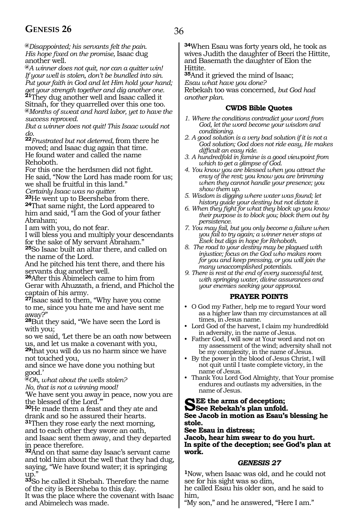### **GENESIS 26** 36

**@***Disappointed; his servants felt the pain. His hope fixed on the promise,* Isaac dug another well.

**@***A winner does not quit, nor can a quitter win! If your well is stolen, don't be bundled into sin. Put your faith in God and let Him hold your hand; get your strength together and dig another one.* **<sup>21</sup>**They dug another well and Isaac called it Sitnah, for they quarrelled over this one too. **@***Months of sweat and hard labor, yet to have the success reproved.*

*But a winner does not quit! This Isaac would not do.*

**<sup>22</sup>***Frustrated but not deterred,* from there he moved; and Isaac dug again that time. He found water and called the name Rehoboth.

For this one the herdsmen did not fight. He said, "Now the Lord has made room for us; we shall be fruitful in this land."

*Certainly Isaac was no quitter.* **24**That same night, the Lord appeared to him and said, "I am the God of your father Abraham;

I am with you, do not fear.

I will bless you and multiply your descendants for the sake of My servant Abraham."

**<sup>25</sup>**So Isaac built an altar there, and called on the name of the Lord.

And he pitched his tent there, and there his servants dug another well.

**<sup>26</sup>**After this Abimelech came to him from Gerar with Ahuzzath, a friend, and Phichol the captain of his army.

**<sup>27</sup>**Isaac said to them, "Why have you come to me, since you hate me and have sent me away?"

**<sup>28</sup>**But they said, "We have seen the Lord is with you;

so we said, 'Let there be an oath now between us, and let us make a covenant with you,

**<sup>29</sup>**that you will do us no harm since we have not touched you,

and since we have done you nothing but good.'

**@***Oh, what about the wells stolen?*

*No, that is not a winning mood!*

'We have sent you away in peace, now you are the blessed of the Lord.'"

**<sup>30</sup>**He made them a feast and they ate and drank and so he assured their hearts.

**<sup>31</sup>**Then they rose early the next morning, and to each other they swore an oath, and Isaac sent them away, and they departed in peace therefore.

**<sup>32</sup>**And on that same day Isaac's servant came and told him about the well that they had dug, saying, "We have found water; it is springing up."

**<sup>33</sup>**So he called it Shebah. Therefore the name of the city is Beersheba to this day.

It was the place where the covenant with Isaac and Abimelech was made.

**<sup>34</sup>**When Esau was forty years old, he took as wives Judith the daughter of Beeri the Hittite, and Basemath the daughter of Elon the Hittite.

**<sup>35</sup>**And it grieved the mind of Isaac; *Esau what have you done?* Rebekah too was concerned, *but God had another plan.* 

#### **CWDS Bible Quotes**

- *1. Where the conditions contradict your word from God, let the word become your wisdom and conditioning.*
- *2. A good solution is a very bad solution if it is not a God solution; God does not ride easy, He makes difficult an easy ride.*
- *3. A hundredfold in famine is a good viewpoint from which to get a glimpse of God.*
- *4. You know you are blessed when you attract the envy of the rest; you know you are brimming when they cannot handle your presence; you show them up.*
- *5. Wisdom is digging where water was found; let history guide your destiny but not dictate it.*
- *6. When they fight for what they block up you know their purpose is to block you; block them out by persistence.*
- *7. You may fail, but you only become a failure when you fail to try again; a winner never stops at Esek but digs in hope for Rehoboth.*
- *8. The road to your destiny may be plagued with injustice; focus on the God who makes room for you and keep pressing, or you will join the many unaccomplished potentials.*
- *9. There is rest at the end of every successful test, with springing water, divine assurances and your enemies seeking your approval.*

#### **PRAYER POINTS**

- O God my Father, help me to regard Your word as a higher law than my circumstances at all times, in Jesus name.
- Lord God of the harvest, I claim my hundredfold in adversity, in the name of Jesus.
- Father God, I will sow at Your word and not on my assessment of the wind; adversity shall not be my complexity, in the name of Jesus.
- By the power in the blood of Jesus Christ, I will not quit until I taste complete victory, in the name of Jesus.
- Thank You Lord God Almighty, that Your promise endures and outlasts my adversities, in the name of Jesus.

## See Rebekah's plan unfold.<br>
See Rebekah's plan unfold.

#### **See Jacob in motion as Esau's blessing he stole.**

**See Esau in distress;**

**Jacob, hear him swear to do you hurt. In spite of the deception; see God's plan at work.**

#### *GENESIS 27*

**<sup>1</sup>**Now, when Isaac was old, and he could not see for his sight was so dim,

he called Esau his older son, and he said to him,

"My son," and he answered, "Here I am."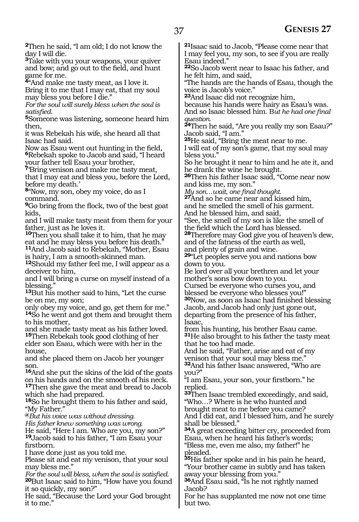**<sup>2</sup>**Then he said, "I am old; I do not know the day I will die.

**<sup>3</sup>**Take with you your weapons, your quiver and bow; and go out to the field, and hunt game for me.

**<sup>4</sup>**"And make me tasty meat, as I love it. Bring it to me that I may eat, that my soul may bless you before I die."

*For the soul will surely bless when the soul is* 

*satisfied.* **<sup>5</sup>**Someone was listening, someone heard him then,

it was Rebekah his wife, she heard all that Isaac had said.

Now as Esau went out hunting in the field, **<sup>6</sup>**Rebekah spoke to Jacob and said, "I heard your father tell Esau your brother,

**<sup>7</sup>**'Bring venison and make me tasty meat, that I may eat and bless you, before the Lord, before my death.'

**<sup>8</sup>**"Now, my son, obey my voice, do as I command.

**<sup>9</sup>**Go bring from the flock, two of the best goat kids,

and I will make tasty meat from them for your father, just as he loves it.

**<sup>10</sup>**Then you shall take it to him, that he may eat and he may bless you before his death."

**<sup>11</sup>**And Jacob said to Rebekah, "Mother, Esau is hairy, I am a smooth-skinned man.

**<sup>12</sup>**Should my father feel me, I will appear as a deceiver to him,

and I will bring a curse on myself instead of a blessing."

**<sup>13</sup>**But his mother said to him, "Let the curse be on me, my son;

only obey my voice, and go, get them for me." **<sup>14</sup>**So he went and got them and brought them to his mother,

and she made tasty meat as his father loved. **<sup>15</sup>**Then Rebekah took good clothing of her

elder son Esau, which were with her in the house,

and she placed them on Jacob her younger son.

**<sup>16</sup>**And she put the skins of the kid of the goats on his hands and on the smooth of his neck. **<sup>17</sup>**Then she gave the meat and bread to Jacob

which she had prepared.

**<sup>18</sup>**So he brought them to his father and said, "My Father."

**@***But his voice was without dressing.* 

*His father knew something was wrong.* He said, "Here I am. Who are you, my son?"

**<sup>19</sup>**Jacob said to his father, "I am Esau your firstborn.

I have done just as you told me.

Please sit and eat my venison, that your soul may bless me."

*For the soul will bless, when the soul is satisfied.* **<sup>20</sup>**But Isaac said to him, "How have you found it so quickly, my son?"

He said, "Because the Lord your God brought it to me."

**<sup>21</sup>**Isaac said to Jacob, "Please come near that I may feel you, my son, to see if you are really Esau indeed."

**<sup>22</sup>**So Jacob went near to Isaac his father, and he felt him, and said,

"The hands are the hands of Esau, though the voice is Jacob's voice."

**<sup>23</sup>**And Isaac did not recognize him,

because his hands were hairy as Esau's was. And so Isaac blessed him. B*ut he had one final question.*

**<sup>24</sup>**Then he said, "Are you really my son Esau?" Jacob said, "I am."

**<sup>25</sup>**He said, "Bring the meat near to me.

I will eat of my son's game, that my soul may bless you."

So he brought it near to him and he ate it, and he drank the wine he brought.

**<sup>26</sup>**Then his father Isaac said, "Come near now and kiss me, my son."

*My son…wait, one final thought.* 

**<sup>27</sup>**And so he came near and kissed him, and he smelled the smell of his garment.

And he blessed him, and said,

"See, the smell of my son is like the smell of the field which the Lord has blessed.

**<sup>28</sup>**Therefore may God give you of heaven's dew, and of the fatness of the earth as well,

and plenty of grain and wine.

**<sup>29</sup>**"Let peoples serve you and nations bow down to you.

Be lord over all your brethren and let your mother's sons bow down to you.

Cursed be everyone who curses you, and blessed be everyone who blesses you!"

**<sup>30</sup>**Now, as soon as Isaac had finished blessing Jacob, and Jacob had only just gone out, departing from the presence of his father, Isaac,

from his hunting, his brother Esau came. **<sup>31</sup>**He also brought to his father the tasty meat that he too had made.

And he said, "Father, arise and eat of my venison that your soul may bless me." **<sup>32</sup>**And his father Isaac answered, "Who are

you?"

"I am Esau, your son, your firstborn." he replied.

**<sup>33</sup>**Then Isaac trembled exceedingly, and said, "Who…? Where is he who hunted and

brought meat to me before you came? And I did eat, and I blessed him, and he surely shall be blessed."

**<sup>34</sup>**A great exceeding bitter cry, proceeded from Esau, when he heard his father's words; "Bless me, even me also, my father!" he pleaded.

**<sup>35</sup>**His father spoke and in his pain he heard, "Your brother came in subtly and has taken away your blessing from you."

**<sup>36</sup>**And Esau said, "Is he not rightly named Jacob?

For he has supplanted me now not one time but two.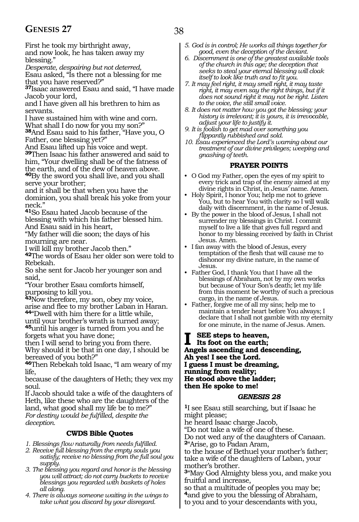First he took my birthright away, and now look, he has taken away my blessing."

*Desperate, despairing but not deterred,*

Esau asked, "Is there not a blessing for me that you have reserved?"

**<sup>37</sup>**Isaac answered Esau and said, "I have made Jacob your lord,

and I have given all his brethren to him as servants.

I have sustained him with wine and corn. What shall I do now for you my son?" **<sup>38</sup>**And Esau said to his father, "Have you, O Father, one blessing yet?"

And Esau lifted up his voice and wept. **<sup>39</sup>**Then Isaac his father answered and said to him, "Your dwelling shall be of the fatness of the earth, and of the dew of heaven above.

**<sup>40</sup>**By the sword you shall live, and you shall serve your brother;

and it shall be that when you have the dominion, you shall break his yoke from your neck."

**<sup>41</sup>**So Esau hated Jacob because of the blessing with which his father blessed him. And Esau said in his heart,

"My father will die soon; the days of his mourning are near.

I will kill my brother Jacob then."

**<sup>42</sup>**The words of Esau her older son were told to Rebekah.

So she sent for Jacob her younger son and said,

"Your brother Esau comforts himself, purposing to kill you.

**<sup>43</sup>**Now therefore, my son, obey my voice, arise and flee to my brother Laban in Haran. **<sup>44</sup>**"Dwell with him there for a little while,

until your brother's wrath is turned away; **<sup>45</sup>**until his anger is turned from you and he forgets what you have done;

then I will send to bring you from there. Why should it be that in one day, I should be bereaved of you both?"

**<sup>46</sup>**Then Rebekah told Isaac, "I am weary of my life,

because of the daughters of Heth; they vex my soul.

If Jacob should take a wife of the daughters of Heth, like these who are the daughters of the land, what good shall my life be to me?" *For destiny would be fulfilled, despite the deception.*

#### **CWDS Bible Quotes**

- *1. Blessings flow naturally from needs fulfilled.*
- *2. Receive full blessing from the empty souls you satisfy; receive no blessing from the full soul you supply.*
- *3. The blessing you regard and honor is the blessing you will attract; do not carry buckets to receive blessings you regarded with baskets of holes all along.*
- *4. There is always someone waiting in the wings to take what you discard by your disregard.*
- *5. God is in control; He works all things together for good, even the deception of the deviant.*
- *6. Discernment is one of the greatest available tools of the church in this age; the deception that seeks to steal your eternal blessing will cloak itself to look like truth and to fit you.*
- *7. It may feel right, it may smell right, it may taste right, it may even say the right things, but if it does not sound right it may not be right. Listen to the voice, the still small voice.*
- *8. It does not matter how you got the blessing; your history is irrelevant; it is yours, it is irrevocable, adjust your life to justify it.*
- *9. It is foolish to get mad over something you flippantly rubbished and sold.*
- *10. Esau experienced the Lord's warning about our treatment of our divine privileges; weeping and gnashing of teeth.*

#### **PRAYER POINTS**

- O God my Father, open the eyes of my spirit to every trick and trap of the enemy aimed at my divine rights in Christ, in Jesus' name. Amen.
- Holy Spirit, I honor You; help me not to grieve You, but to hear You with clarity so I will walk daily with discernment, in the name of Jesus.
- By the power in the blood of Jesus, I shall not surrender my blessings in Christ. I commit myself to live a life that gives full regard and honor to my blessing received by faith in Christ Jesus. Amen.
- I fan away with the blood of Jesus, every temptation of the flesh that will cause me to dishonor my divine nature, in the name of Jesus.
- Father God, I thank You that I have all the blessings of Abraham, not by my own works but because of Your Son's death; let my life from this moment be worthy of such a precious cargo, in the name of Jesus.
- Father, forgive me of all my sins; help me to maintain a tender heart before You always; I declare that I shall not gamble with my eternity for one minute, in the name of Jesus. Amen.

**I** SEE steps to heaven,<br>
Its foot on the earth;<br>
Angels according and deg **Angels ascending and descending, Ah yes! I see the Lord. I guess I must be dreaming, running from reality; He stood above the ladder; then He spoke to me!**

#### *GENESIS 28*

**<sup>1</sup>**I see Esau still searching, but if Isaac he might please; he heard Isaac charge Jacob,

"Do not take a wife of one of these.

Do not wed any of the daughters of Canaan. **<sup>2</sup>**"Arise, go to Padan Aram,

to the house of Bethuel your mother's father; take a wife of the daughters of Laban, your mother's brother.

**<sup>3</sup>**"May God Almighty bless you, and make you fruitful and increase,

so that a multitude of peoples you may be; **<sup>4</sup>**and give to you the blessing of Abraham, to you and to your descendants with you,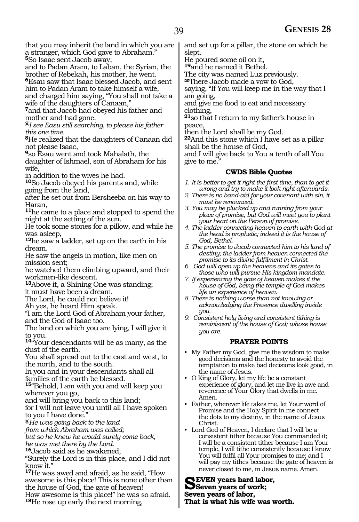that you may inherit the land in which you are a stranger, which God gave to Abraham."

**<sup>5</sup>**So Isaac sent Jacob away;

and to Padan Aram, to Laban, the Syrian, the brother of Rebekah, his mother, he went.

**<sup>6</sup>**Esau saw that Isaac blessed Jacob, and sent him to Padan Aram to take himself a wife,

and charged him saying, "You shall not take a wife of the daughters of Canaan,"

**<sup>7</sup>**and that Jacob had obeyed his father and mother and had gone.

**@***I see Easu still searching, to please his father this one time.*

**<sup>8</sup>**He realized that the daughters of Canaan did not please Isaac,

**<sup>9</sup>**so Esau went and took Mahalath, the

daughter of Ishmael, son of Abraham for his wife,

in addition to the wives he had.

**<sup>10</sup>**So Jacob obeyed his parents and, while going from the land,

after he set out from Bersheeba on his way to Haran,

**<sup>11</sup>**he came to a place and stopped to spend the night at the setting of the sun.

He took some stones for a pillow, and while he was asleep,

**<sup>12</sup>**he saw a ladder, set up on the earth in his dream.

He saw the angels in motion, like men on mission sent;

he watched them climbing upward, and their workmen-like descent.

**<sup>13</sup>**Above it, a Shining One was standing; it must have been a dream.

The Lord, he could not believe it!

Ah yes, he heard Him speak.

"I am the Lord God of Abraham your father, and the God of Isaac too.

The land on which you are lying, I will give it to you.

**<sup>14</sup>**"Your descendants will be as many, as the dust of the earth.

You shall spread out to the east and west, to the north, and to the south.

In you and in your descendants shall all families of the earth be blessed.

**<sup>15</sup>**"Behold, I am with you and will keep you wherever you go,

and will bring you back to this land;

for I will not leave you until all I have spoken to you I have done."

**@***He was going back to the land*

*from which Abraham was called;*

*but so he knew he would surely come back, he was met there by the Lord.* 

**<sup>16</sup>**Jacob said as he awakened,

"Surely the Lord is in this place, and I did not know it."

**<sup>17</sup>**He was awed and afraid, as he said, "How awesome is this place! This is none other than the house of God, the gate of heaven! How awesome is this place!" he was so afraid.

**<sup>18</sup>**He rose up early the next morning,

and set up for a pillar, the stone on which he slept.

He poured some oil on it,

**<sup>19</sup>**and he named it Bethel.

The city was named Luz previously.

**<sup>20</sup>**There Jacob made a vow to God,

saying, "If You will keep me in the way that I am going,

and give me food to eat and necessary clothing,

**<sup>21</sup>**so that I return to my father's house in peace,

then the Lord shall be my God.

**<sup>22</sup>**And this stone which I have set as a pillar shall be the house of God,

and I will give back to You a tenth of all You give to me."

#### **CWDS Bible Quotes**

- *1. It is better to get it right the first time, than to get it wrong and try to make it look right afterwards.*
- *2. There is no band-aid for your covenant with sin, it must be renounced.*
- *3. You may be plucked up and running from your place of promise, but God will meet you to plant your heart on the Person of promise.*
- *4. The ladder connecting heaven to earth with God at the head is prophetic; indeed it is the house of God, Bethel.*
- *5. The promise to Jacob connected him to his land of destiny; the ladder from heaven connected the promise to its divine fulfilment in Christ.*
- *6. God will open up the heavens and its gates to those who will pursue His kingdom mandate.*
- *7. If experiencing the gate of heaven makes it the house of God, being the temple of God makes life an experience of heaven.*
- *8. There is nothing worse than not knowing or acknowledging the Presence dwelling inside you.*

*9. Consistent holy living and consistent tithing is reminiscent of the house of God; whose house you are.* 

#### **PRAYER POINTS**

- My Father my God, give me the wisdom to make good decisions and the honesty to avoid the temptation to make bad decisions look good, in the name of Jesus.
- O King of Glory, let my life be a constant experience of glory, and let me live in awe and reverence of Your Glory that dwells in me. Amen.
- Father, wherever life takes me, let Your word of Promise and the Holy Spirit in me connect the dots to my destiny, in the name of Jesus Christ.
- Lord God of Heaven, I declare that I will be a consistent tither because You commanded it; I will be a consistent tither because I am Your temple, I will tithe consistently because I know You will fulfil all Your promises to me; and I will pay my tithes because the gate of heaven is never closed to me, in Jesus name. Amen.

Seven years hard labor,<br>
Seven years of work;<br>
Seven years of labor **Seven years of labor, That is what his wife was worth.**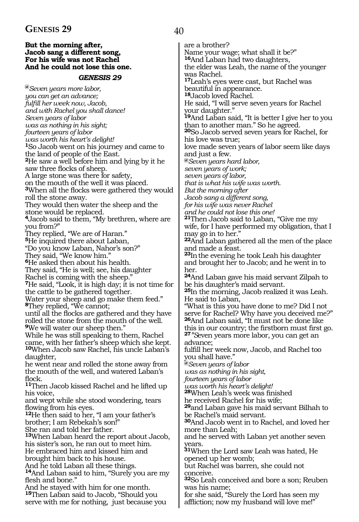#### **But the morning after, Jacob sang a different song, For his wife was not Rachel And he could not lose this one.**

#### *GENESIS 29*

**@***Seven years more labor, you can get an advance; fulfill her week now, Jacob, and with Rachel you shall dance! Seven years of labor was as nothing in his sight; fourteen years of labor was worth his heart's delight!* **<sup>1</sup>**So Jacob went on his journey and came to the land of people of the East. **<sup>2</sup>**He saw a well before him and lying by it he saw three flocks of sheep. A large stone was there for safety, on the mouth of the well it was placed. **<sup>3</sup>**When all the flocks were gathered they would roll the stone away. They would then water the sheep and the stone would be replaced. **<sup>4</sup>**Jacob said to them, "My brethren, where are you from?" They replied, "We are of Haran." **<sup>5</sup>**He inquired there about Laban, "Do you know Laban, Nahor's son?" They said, "We know him." **<sup>6</sup>**He asked then about his health. They said, "He is well; see, his daughter Rachel is coming with the sheep." **<sup>7</sup>**He said, "Look, it is high day; it is not time for the cattle to be gathered together. Water your sheep and go make them feed." **<sup>8</sup>**They replied, "We cannot; until all the flocks are gathered and they have rolled the stone from the mouth of the well. **<sup>9</sup>**We will water our sheep then." While he was still speaking to them, Rachel came, with her father's sheep which she kept. **<sup>10</sup>**When Jacob saw Rachel, his uncle Laban's daughter, he went near and rolled the stone away from the mouth of the well, and watered Laban's flock. **<sup>11</sup>**Then Jacob kissed Rachel and he lifted up his voice, and wept while she stood wondering, tears flowing from his eyes. **<sup>12</sup>**He then said to her, "I am your father's brother; I am Rebekah's son!" She ran and told her father. **<sup>13</sup>**When Laban heard the report about Jacob, his sister's son, he ran out to meet him. He embraced him and kissed him and brought him back to his house. And he told Laban all these things. **<sup>14</sup>**And Laban said to him, "Surely you are my flesh and bone." And he stayed with him for one month. **<sup>15</sup>**Then Laban said to Jacob, "Should you serve with me for nothing, just because you

are a brother? Name your wage; what shall it be?" **<sup>16</sup>**And Laban had two daughters, the elder was Leah, the name of the younger was Rachel. **<sup>17</sup>**Leah's eyes were cast, but Rachel was beautiful in appearance. **<sup>18</sup>**Jacob loved Rachel. He said, "I will serve seven years for Rachel your daughter." **<sup>19</sup>**And Laban said, "It is better I give her to you than to another man." So he agreed. **<sup>20</sup>**So Jacob served seven years for Rachel, for his love was true; love made seven years of labor seem like days and just a few. **@***Seven years hard labor, seven years of work; seven years of labor, that is what his wife was worth. But the morning after Jacob sang a different song, for his wife was never Rachel and he could not lose this one!* **<sup>21</sup>**Then Jacob said to Laban, "Give me my wife, for I have performed my obligation, that I may go in to her." **<sup>22</sup>**And Laban gathered all the men of the place and made a feast. **<sup>23</sup>**Inthe evening he took Leah his daughter and brought her to Jacob; and he went in to her. **<sup>24</sup>**And Laban gave his maid servant Zilpah to be his daughter's maid servant. **<sup>25</sup>**In the morning, Jacob realized it was Leah. He said to Laban, "What is this you have done to me? Did I not serve for Rachel? Why have you deceived me?" **<sup>26</sup>**And Laban said, "It must not be done like this in our country; the firstborn must first go. **27***"S*even years more labor, you can get an advance; fulfill her week now, Jacob, and Rachel too you shall have." **@***Seven years of labor was as nothing in his sight, fourteen years of labor was worth his heart's delight!* **<sup>28</sup>**When Leah's week was finished he received Rachel for his wife; **<sup>29</sup>**and Laban gave his maid servant Bilhah to be Rachel's maid servant. **<sup>30</sup>**And Jacob went in to Rachel, and loved her more than Leah; and he served with Laban yet another seven years. **<sup>31</sup>**When the Lord saw Leah was hated, He opened up her womb; but Rachel was barren, she could not conceive. **<sup>32</sup>**So Leah conceived and bore a son; Reuben was his name;

for she said, "Surely the Lord has seen my affliction; now my husband will love me!"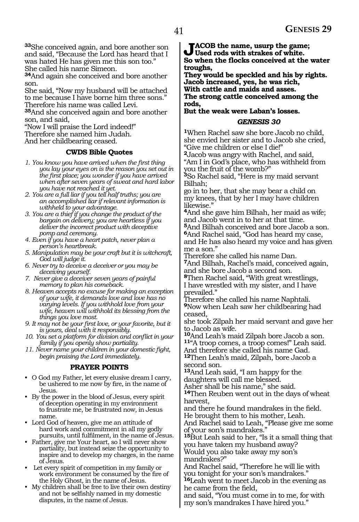**<sup>33</sup>**She conceived again, and bore another son and said, "Because the Lord has heard that I was hated He has given me this son too." She called his name Simeon.

**<sup>34</sup>**And again she conceived and bore another son.

She said, "Now my husband will be attached to me because I have borne him three sons." Therefore his name was called Levi.

**<sup>35</sup>**And she conceived again and bore another son, and said,

"Now I will praise the Lord indeed!" Therefore she named him Judah.

And her childbearing ceased.

#### **CWDS Bible Quotes**

- *1. You know you have arrived when the first thing you lay your eyes on is the reason you set out in the first place; you wonder if you have arrived when after seven years of sweat and hard labor you have not reached it yet.*
- *2. You are a full liar if you tell half truths; you are an accomplished liar if relevant information is withheld to your advantage.*
- *3. You are a thief if you change the product of the bargain on delivery; you are heartless if you deliver the incorrect product with deceptive pomp and ceremony.*
- *4. Even if you have a heart patch, never plan a person's heartbreak.*
- *5. Manipulation may be your craft but it is witchcraft, God will judge it.*
- *6. Never try to deceive a deceiver or you may be deceiving yourself.*
- *7. Never give a deceiver seven years of painful memory to plan his comeback.*
- *8. Heaven accepts no excuse for making an exception of your wife, it demands love and love has no varying levels. If you withhold love from your wife, heaven will withhold its blessing from the things you love most.*
- *9. It may not be your first love, or your favorite, but it is yours, deal with it responsibly.*
- *10. You set a platform for division and conflict in your family if you openly show partiality.*
- *11. Never name your children in your domestic fight, begin praising the Lord immediately.*

#### **PRAYER POINTS**

- O God my Father, let every elusive dream I carry, be ushered to me now by fire, in the name of Jesus.
- By the power in the blood of Jesus, every spirit of deception operating in my environment to frustrate me, be frustrated now, in Jesus name.
- Lord God of heaven, give me an attitude of hard work and commitment in all my godly pursuits, until fulfilment, in the name of Jesus.
- Father, give me Your heart, so I will never show partiality, but instead seize the opportunity to inspire and to develop my charges, in the name of Jesus.
- Let every spirit of competition in my family or work environment be consumed by the fire of the Holy Ghost, in the name of Jesus.
- My children shall be free to live their own destiny and not be selfishly named in my domestic disputes, in the name of Jesus.

**Jacob the name, usurp the game; Used rods with strakes of white. So when the flocks conceived at the water troughs,**

**They would be speckled and his by rights. Jacob increased, yes, he was rich, With cattle and maids and asses.**

**The strong cattle conceived among the rods,**

#### **But the weak were Laban's losses.**

#### *GENESIS 30*

**<sup>1</sup>**When Rachel saw she bore Jacob no child, she envied her sister and to Jacob she cried, "Give me children or else I die!"

**<sup>2</sup>**Jacob was angry with Rachel, and said, "Am I in God's place, who has withheld from you the fruit of the womb?"

**<sup>3</sup>**So Rachel said, "Here is my maid servant Bilhah;

go in to her, that she may bear a child on my knees, that by her I may have children likewise.'

**<sup>4</sup>**And she gave him Bilhah, her maid as wife; and Jacob went in to her at that time.

**<sup>5</sup>**And Bilhah conceived and bore Jacob a son. **<sup>6</sup>**And Rachel said, "God has heard my case, and He has also heard my voice and has given

me a son."

Therefore she called his name Dan. **<sup>7</sup>**And Bilhah, Rachel's maid, conceived again, and she bore Jacob a second son.

**<sup>8</sup>**Then Rachel said, "With great wrestlings, I have wrestled with my sister, and I have prevailed."

Therefore she called his name Naphtali. **<sup>9</sup>**Now when Leah saw her childbearing had ceased,

she took Zilpah her maid servant and gave her

to Jacob as wife.<br>10And Leah's maid Zilpah bore Jacob a son. 11"A troop comes, a troop comes!" Leah said.

And therefore she called his name Gad. **<sup>12</sup>**Then Leah's maid, Zilpah, bore Jacob a

second son. **<sup>13</sup>**And Leah said, "I am happy for the

daughters will call me blessed.

Asher shall be his name," she said.

**<sup>14</sup>**Then Reuben went out in the days of wheat harvest,

and there he found mandrakes in the field.

He brought them to his mother, Leah. And Rachel said to Leah, "Please give me some

of your son's mandrakes." **<sup>15</sup>**But Leah said to her, "Is it a small thing that you have taken my husband away?

Would you also take away my son's mandrakes?"

And Rachel said, "Therefore he will lie with you tonight for your son's mandrakes."

**<sup>16</sup>**Leah went to meet Jacob in the evening as he came from the field,

and said, "You must come in to me, for with my son's mandrakes I have hired you."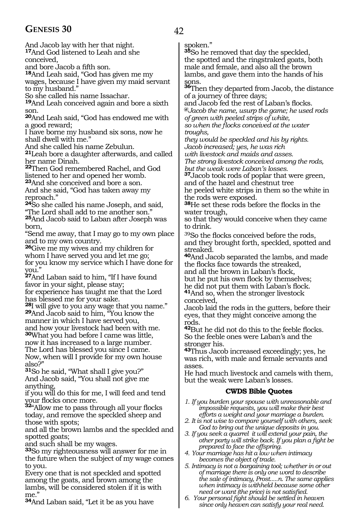## **GENESIS 30** 42

And Jacob lay with her that night. **<sup>17</sup>**And God listened to Leah and she conceived,

and bore Jacob a fifth son.

**<sup>18</sup>**And Leah said, "God has given me my wages, because I have given my maid servant to my husband."

So she called his name Issachar.

**<sup>19</sup>**And Leah conceived again and bore a sixth son.

**<sup>20</sup>**And Leah said, "God has endowed me with a good reward;

I have borne my husband six sons, now he shall dwell with me."

And she called his name Zebulun.

**<sup>21</sup>**Leah bore a daughter afterwards, and called her name Dinah.

**<sup>22</sup>**Then God remembered Rachel, and God listened to her and opened her womb.

**<sup>23</sup>**And she conceived and bore a son.

And she said, "God has taken away my reproach."

**<sup>24</sup>**So she called his name Joseph, and said, "The Lord shall add to me another son."

**<sup>25</sup>**And Jacob said to Laban after Joseph was born,

"Send me away, that I may go to my own place and to my own country.

**<sup>26</sup>**Give me my wives and my children for whom I have served you and let me go; for you know my service which I have done for you."

**<sup>27</sup>**And Laban said to him, "If I have found favor in your sight, please stay;

for experience has taught me that the Lord has blessed me for your sake.

**<sup>28</sup>**I will give to you any wage that you name." **<sup>29</sup>**And Jacob said to him, "You know the manner in which I have served you,

and how your livestock had been with me. **<sup>30</sup>**What you had before I came was little,

now it has increased to a large number. The Lord has blessed you since I came. Now, when will I provide for my own house

also?" **<sup>31</sup>**So he said, "What shall I give you?" And Jacob said, "You shall not give me

anything, if you will do this for me, I will feed and tend

your flocks once more. **<sup>32</sup>**"Allow me to pass through all your flocks today, and remove the speckled sheep and those with spots;

and all the brown lambs and the speckled and spotted goats;

and such shall be my wages.

**<sup>33</sup>**So my righteousness will answer for me in the future when the subject of my wage comes to you.

Every one that is not speckled and spotted among the goats, and brown among the lambs, will be considered stolen if it is with me."

**<sup>34</sup>**And Laban said, "Let it be as you have

spoken."

**<sup>35</sup>**So he removed that day the speckled, the spotted and the ringstraked goats, both male and female, and also all the brown lambs, and gave them into the hands of his

sons. **<sup>36</sup>**Then they departed from Jacob, the distance of a journey of three days;

and Jacob fed the rest of Laban's flocks. **@***Jacob the name, usurp the game; he used rods of green with peeled strips of white, so when the flocks conceived at the water troughs,*

*they would be speckled and his by rights. Jacob increased; yes, he was rich with livestock and maids and asses.*

*The strong livestock conceived among the rods, but the weak were Laban's losses.*

**<sup>37</sup>**Jacob took rods of poplar that were green, and of the hazel and chestnut tree

he peeled white strips in them so the white in the rods were exposed.

**<sup>38</sup>**He set these rods before the flocks in the water trough,

so that they would conceive when they came to drink.

<sup>39</sup>So the flocks conceived before the rods, and they brought forth, speckled, spotted and streaked.

**<sup>40</sup>**And Jacob separated the lambs, and made the flocks face towards the streaked, and all the brown in Laban's flock,

but he put his own flock by themselves;

he did not put them with Laban's flock. **<sup>41</sup>**And so, when the stronger livestock

conceived,

Jacob laid the rods in the gutters, before their eyes, that they might conceive among the rods.

**<sup>42</sup>**But he did not do this to the feeble flocks. So the feeble ones were Laban's and the stronger his.

**<sup>43</sup>**Thus Jacob increased exceedingly; yes, he was rich, with male and female servants and asses.

He had much livestock and camels with them, but the weak were Laban's losses.

## **CWDS Bible Quotes**

*1. If you burden your spouse with unreasonable and impossible requests, you will make their best efforts a weight and your marriage a burden.*

- *2. It is not wise to compare yourself with others, seek God to bring out the unique deposits in you.*
- *3. If you seek a quarrel it will extend your pain, the other party will strike back. If you plan a fight be prepared to face the offspring.*
- *4. Your marriage has hit a low when intimacy becomes the object of trade.*
- *5. Intimacy is not a bargaining tool; whether in or out of marriage there is only one word to describe the sale of intimacy, Prost.....n. The same applies when intimacy is withheld because some other need or want (the price) is not satisfied.*
- *6. Your personal fight should be settled in heaven since only heaven can satisfy your real need.*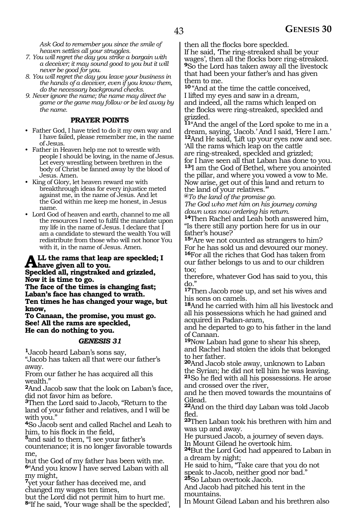*Ask God to remember you since the smile of heaven settles all your struggles.*

- *7. You will regret the day you strike a bargain with a deceiver; it may sound good to you but it will never be good for you.*
- *8. You will regret the day you leave your business in the hands of a deceiver, even if you know them, do the necessary background checks.*
- *9. Never ignore the name; the name may direct the game or the game may follow or be led away by the name.*

#### **PRAYER POINTS**

- Father God, I have tried to do it my own way and I have failed, please remember me, in the name of Jesus.
- Father in Heaven help me not to wrestle with people I should be loving, in the name of Jesus. Let every wrestling between brethren in the body of Christ be fanned away by the blood of Jesus. Amen.
- King of Glory, let heaven reward me with breakthrough ideas for every injustice meted against me, in the name of Jesus. And let the God within me keep me honest, in Jesus name.
- Lord God of heaven and earth, channel to me all the resources I need to fulfil the mandate upon my life in the name of Jesus. I declare that I am a candidate to steward the wealth You will redistribute from those who will not honor You with it, in the name of Jesus. Amen.

## ALL the rams that leap are speckled; I<br>Speckled all *singstraled* and grigaded. **Speckled all, ringstraked and grizzled,**

**Now it is time to go.**

**The face of the times is changing fast; Laban's face has changed to wrath. Ten times he has changed your wage, but know,**

**To Canaan, the promise, you must go. See! All the rams are speckled, He can do nothing to you.**

## *GENESIS 31*

**<sup>1</sup>**Jacob heard Laban's sons say,

"Jacob has taken all that were our father's away.

From our father he has acquired all this wealth."

**<sup>2</sup>**And Jacob saw that the look on Laban's face, did not favor him as before.

**<sup>3</sup>**Then the Lord said to Jacob, "Return to the land of your father and relatives, and I will be with you."

**<sup>4</sup>**So Jacob sent and called Rachel and Leah to him, to his flock in the field,

**<sup>5</sup>**and said to them, "I see your father's countenance; it is no longer favorable towards

me, but the God of my father has been with me. **<sup>6</sup>**"And you know I have served Laban with all my might,

**<sup>7</sup>**yet your father has deceived me, and changed my wages ten times,

but the Lord did not permit him to hurt me. **<sup>8</sup>**"If he said, 'Your wage shall be the speckled', then all the flocks bore speckled.

If he said, 'The ring-streaked shall be your wages', then all the flocks bore ring-streaked. **<sup>9</sup>**So the Lord has taken away all the livestock that had been your father's and has given them to me.

**<sup>10</sup>** "And at the time the cattle conceived, I lifted my eyes and saw in a dream, and indeed, all the rams which leaped on the flocks were ring-streaked, speckled and grizzled.

**<sup>11</sup>**"And the angel of the Lord spoke to me in a dream, saying, 'Jacob.' And I said, 'Here I am.' **<sup>12</sup>**And He said, 'Lift up your eyes now and see. 'All the rams which leap on the cattle are ring-streaked, speckled and grizzled; for I have seen all that Laban has done to you. **<sup>13</sup>**'I am the God of Bethel, where you anointed

the pillar, and where you vowed a vow to Me. Now arise, get out of this land and return to the land of your relatives.'"

**@***To the land of the promise go.*

*The God who met him on his journey coming down was now ordering his return.*

**<sup>14</sup>**Then Rachel and Leah both answered him, "Is there still any portion here for us in our father's house?

**<sup>15</sup>**"Are we not counted as strangers to him? For he has sold us and devoured our money.

**<sup>16</sup>**For all the riches that God has taken from our father belongs to us and to our children too;

therefore, whatever God has said to you, this do."

**<sup>17</sup>**Then Jacob rose up, and set his wives and his sons on camels.

**<sup>18</sup>**And he carried with him all his livestock and all his possessions which he had gained and acquired in Padan-aram,

and he departed to go to his father in the land of Canaan.

**<sup>19</sup>**Now Laban had gone to shear his sheep, and Rachel had stolen the idols that belonged to her father.

**<sup>20</sup>**And Jacob stole away, unknown to Laban the Syrian; he did not tell him he was leaving. **<sup>21</sup>**So he fled with all his possessions. He arose and crossed over the river,

and he then moved towards the mountains of Gilead.

**<sup>22</sup>**And on the third day Laban was told Jacob fled.

**<sup>23</sup>**Then Laban took his brethren with him and was up and away.

He pursued Jacob, a journey of seven days. In Mount Gilead he overtook him.

**<sup>24</sup>**But the Lord God had appeared to Laban in a dream by night;

He said to him, "Take care that you do not speak to Jacob, neither good nor bad."

**<sup>25</sup>**So Laban overtook Jacob.

And Jacob had pitched his tent in the mountains.

In Mount Gilead Laban and his brethren also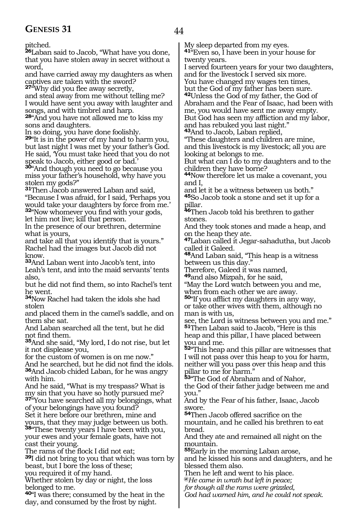pitched.

**<sup>26</sup>**Laban said to Jacob, "What have you done, that you have stolen away in secret without a word,

and have carried away my daughters as when captives are taken with the sword?

**<sup>27</sup>**"Why did you flee away secretly,

and steal away from me without telling me? I would have sent you away with laughter and songs, and with timbrel and harp.

**<sup>28</sup>**"And you have not allowed me to kiss my sons and daughters.

In so doing, you have done foolishly.

**<sup>29</sup>**"It is in the power of my hand to harm you, but last night I was met by your father's God. He said, 'You must take heed that you do not speak to Jacob, either good or bad.'

**<sup>30</sup>**"And though you need to go because you miss your father's household, why have you stolen my gods?"

**<sup>31</sup>**Then Jacob answered Laban and said, "Because I was afraid, for I said, 'Perhaps you would take your daughters by force from me.' **<sup>32</sup>**"Now whomever you find with your gods,

let him not live; kill that person.

In the presence of our brethren, determine what is yours,

and take all that you identify that is yours." Rachel had the images but Jacob did not know.

**<sup>33</sup>**And Laban went into Jacob's tent, into Leah's tent, and into the maid servants' tents also,

but he did not find them, so into Rachel's tent he went.

**<sup>34</sup>**Now Rachel had taken the idols she had stolen

and placed them in the camel's saddle, and on them she sat.

And Laban searched all the tent, but he did not find them.

**<sup>35</sup>**And she said, "My lord, I do not rise, but let it not displease you,

for the custom of women is on me now."

And he searched, but he did not find the idols. **<sup>36</sup>**And Jacob chided Laban, for he was angry with him.

And he said, "What is my trespass? What is my sin that you have so hotly pursued me? **<sup>37</sup>**"You have searched all my belongings, what of your belongings have you found?

Set it here before our brethren, mine and yours, that they may judge between us both. **<sup>38</sup>**"These twenty years I have been with you,

your ewes and your female goats, have not cast their young.

The rams of the flock I did not eat;

**<sup>39</sup>**I did not bring to you that which was torn by beast, but I bore the loss of these; you required it of my hand.

Whether stolen by day or night, the loss belonged to me.

**<sup>40</sup>**"I was there; consumed by the heat in the day, and consumed by the frost by night.

My sleep departed from my eyes.

**<sup>41</sup>**"Even so, I have been in your house for twenty years.

I served fourteen years for your two daughters, and for the livestock I served six more.

You have changed my wages ten times, but the God of my father has been sure.

**<sup>42</sup>**Unless the God of my father, the God of Abraham and the Fear of Isaac, had been with me, you would have sent me away empty. But God has seen my affliction and my labor, and has rebuked you last night."

**<sup>43</sup>**And to Jacob, Laban replied,

"These daughters and children are mine, and this livestock is my livestock; all you are looking at belongs to me.

But what can I do to my daughters and to the children they have borne?

**<sup>44</sup>**Now therefore let us make a covenant, you and I,

and let it be a witness between us both."

**<sup>45</sup>**So Jacob took a stone and set it up for a pillar.

**<sup>46</sup>**Then Jacob told his brethren to gather stones.

And they took stones and made a heap, and on the heap they ate.

**<sup>47</sup>**Laban called it Jegar-sahadutha, but Jacob called it Galeed.

**<sup>48</sup>**And Laban said, "This heap is a witness between us this day."

Therefore, Galeed it was named,

**<sup>49</sup>**and also Mizpah, for he said, "May the Lord watch between you and me,

when from each other we are away.

**<sup>50</sup>**"If you afflict my daughters in any way, or take other wives with them, although no man is with us,

see, the Lord is witness between you and me." **<sup>51</sup>**Then Laban said to Jacob, "Here is this heap and this pillar, I have placed between you and me.

**<sup>52</sup>**"This heap and this pillar are witnesses that I will not pass over this heap to you for harm, neither will you pass over this heap and this pillar to me for harm."

**<sup>53</sup>**"The God of Abraham and of Nahor, the God of their father judge between me and you."

And by the Fear of his father, Isaac, Jacob swore.

**<sup>54</sup>**Then Jacob offered sacrifice on the mountain, and he called his brethren to eat bread.

And they ate and remained all night on the mountain.

**<sup>55</sup>**Early in the morning Laban arose, and he kissed his sons and daughters, and he blessed them also.

Then he left and went to his place.

**@***He came in wrath but left in peace;*

*for though all the rams were grizzled,*

*God had warned him, and he could not speak.*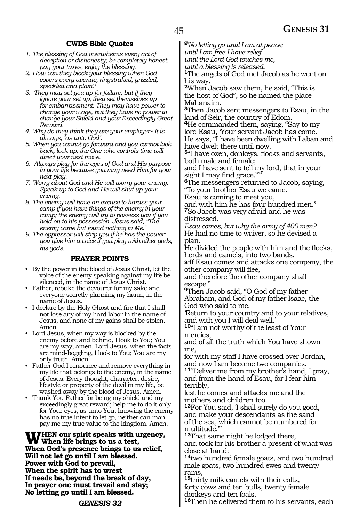### **CWDS Bible Quotes**

- *1. The blessing of God overwhelms every act of deception or dishonesty; be completely honest, pay your taxes, enjoy the blessing.*
- *2. How can they block your blessing when God covers every avenue, ringstraked, grizzled, speckled and plain?*
- *3. They may set you up for failure, but if they ignore your set up, they set themselves up for embarrassment. They may have power to change your wage, but they have no power to change your Shield and your Exceedingly Great Reward.*
- *4. Why do they think they are your employer? It is always, 'as unto God'.*
- *5. When you cannot go forward and you cannot look back, look up; the One who controls time will direct your next move.*
- *6. Always play for the eyes of God and His purpose in your life because you may need Him for your next play.*
- *7. Worry about God and He will worry your enemy. Speak up to God and He will shut up your enemy.*
- *8. The enemy will have an excuse to harass your camp if you have things of the enemy in your camp; the enemy will try to possess you if you hold on to his possession. Jesus said, "The enemy came but found nothing in Me."*
- *9. The oppressor will strip you if he has the power; you give him a voice if you play with other gods, his gods.*

#### **PRAYER POINTS**

- By the power in the blood of Jesus Christ, let the voice of the enemy speaking against my life be silenced, in the name of Jesus Christ.
- Father, rebuke the devourer for my sake and everyone secretly planning my harm, in the name of Jesus.
- I declare by the Holy Ghost and fire that I shall not lose any of my hard labor in the name of Jesus, and none of my gains shall be stolen. Amen.
- Lord Jesus, when my way is blocked by the enemy before and behind, I look to You; You are my way, amen. Lord Jesus, when the facts are mind-boggling, I look to You; You are my only truth. Amen.
- Father God I renounce and remove everything in my life that belongs to the enemy, in the name of Jesus. Every thought, character, desire, lifestyle or property of the devil in my life, be washed away by the blood of Jesus. Amen.
- Thank You Father for being my shield and my exceedingly great reward; help me to do it only for Your eyes, as unto You, knowing the enemy has no true intent to let go, neither can man pay me my true value to the kingdom. Amen.

#### WHEN our spirit speaks with urgency,<br>When life brings to us a test,<br>When Ged's assesses height to us relief. **When God's presence brings to us relief, Will not let go until I am blessed. Power with God to prevail, When the spirit has to wrest If needs be, beyond the break of day, In prayer one must travail and stay; No letting go until I am blessed.**

**@***No letting go until I am at peace; until I am free I have relief*

*until the Lord God touches me,*

*until a blessing is released.*

**<sup>1</sup>**The angels of God met Jacob as he went on his way.

**<sup>2</sup>**When Jacob saw them, he said, "This is the host of God", so he named the place Mahanaim.

**<sup>3</sup>**Then Jacob sent messengers to Esau, in the land of Seir, the country of Edom.

**<sup>4</sup>**He commanded them, saying, "Say to my lord Esau, 'Your servant Jacob has come.

He says, "I have been dwelling with Laban and have dwelt there until now.

**<sup>5</sup>**"I have oxen, donkeys, flocks and servants, both male and female;

and I have sent to tell my lord, that in your sight I may find grace."'"

**<sup>6</sup>**The messengers returned to Jacob, saying, "To your brother Esau we came.

Esau is coming to meet you,

and with him he has four hundred men." **<sup>7</sup>**So Jacob was very afraid and he was distressed.

*Esau comes, but why the army of 400 men?* He had no time to waiver, so he devised a plan.

He divided the people with him and the flocks, herds and camels, into two bands.

**8"**If Esau comes and attacks one company, the other company will flee,

and therefore the other company shall escape."

**<sup>9</sup>**Then Jacob said, "O God of my father Abraham, and God of my father Isaac, the God who said to me,

'Return to your country and to your relatives, and with you I will deal well.'

**<sup>10</sup>**"I am not worthy of the least of Your mercies,

and of all the truth which You have shown me,

for with my staff I have crossed over Jordan, and now I am become two companies.

**<sup>11</sup>**"Deliver me from my brother's hand, I pray, and from the hand of Esau, for I fear him terribly,

lest he comes and attacks me and the mothers and children too.

**<sup>12</sup>**For You said, 'I shall surely do you good, and make your descendants as the sand of the sea, which cannot be numbered for multitude.'"

**<sup>13</sup>**That same night he lodged there,

and took for his brother a present of what was close at hand:

**<sup>14</sup>**two hundred female goats, and two hundred male goats, two hundred ewes and twenty rams,

**<sup>15</sup>**thirty milk camels with their colts, forty cows and ten bulls, twenty female donkeys and ten foals.

**16**Then he delivered them to his servants, each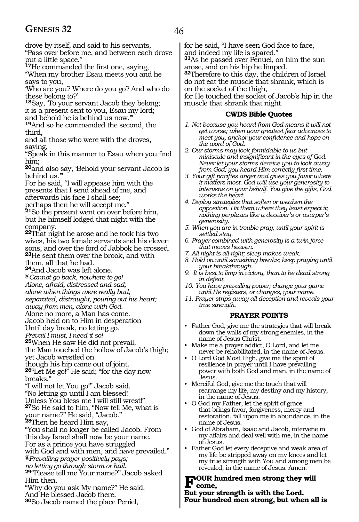## GENESIS 32 46

drove by itself, and said to his servants, "Pass over before me, and between each drove put a little space."

**<sup>17</sup>**He commanded the first one, saying,

"When my brother Esau meets you and he says to you,

'Who are you? Where do you go? And who do these belong to?'

**<sup>18</sup>**Say, 'To your servant Jacob they belong; it is a present sent to you, Esau my lord; and behold he is behind us now.'"

**<sup>19</sup>**And so he commanded the second, the third,

and all those who were with the droves, saying,

"Speak in this manner to Esau when you find him;

**<sup>20</sup>**and also say, 'Behold your servant Jacob is behind us.'"

For he said, "I will appease him with the presents that I send ahead of me, and afterwards his face I shall see;

perhaps then he will accept me."

**<sup>21</sup>**So the present went on over before him, but he himself lodged that night with the company.

**<sup>22</sup>**That night he arose and he took his two wives, his two female servants and his eleven sons, and over the ford of Jabbok he crossed. **<sup>23</sup>**He sent them over the brook, and with them, all that he had.

**<sup>24</sup>**And Jacob was left alone.

**@***Cannot go back, nowhere to go!* 

*Alone, afraid, distressed and sad;*

*alone when things were really bad;*

*separated, distraught, pouring out his heart;*

*away from men, alone with God.* 

Alone no more, a Man has come.

Jacob held on to Him in desperation Until day break, no letting go.

*Prevail I must, I need it so!*

**<sup>25</sup>**When He saw He did not prevail,

the Man touched the hollow of Jacob's thigh; yet Jacob wrestled on

though his hip came out of joint.

**<sup>26</sup>**"Let Me go!" He said; "for the day now breaks.'

"I will not let You go!" Jacob said.

"No letting go until I am blessed!

Unless You bless me I will still wrest!"

**<sup>27</sup>**So He said to him, "Now tell Me, what is

your name?" He said, "Jacob."

**<sup>28</sup>**Then he heard Him say,

"You shall no longer be called Jacob. From this day Israel shall now be your name. For as a prince you have struggled with God and with men, and have prevailed." **@***Prevailing prayer positively pays;*

*no letting go through storm or hail.*

**<sup>29</sup>**"Please tell me Your name?" Jacob asked Him then.

"Why do you ask My name?" He said. And He blessed Jacob there.

**<sup>30</sup>**So Jacob named the place Peniel,

for he said, "I have seen God face to face, and indeed my life is spared."

**<sup>31</sup>**As he passed over Penuel, on him the sun arose, and on his hip he limped.

**<sup>32</sup>**Therefore to this day, the children of Israel do not eat the muscle that shrank, which is on the socket of the thigh,

for He touched the socket of Jacob's hip in the muscle that shrank that night.

### **CWDS Bible Quotes**

- *1. Not because you heard from God means it will not get worse; when your greatest fear advances to meet you, anchor your confidence and hope on the word of God.*
- *2. Our storms may look formidable to us but miniscule and insignificant in the eyes of God. Never let your storms deceive you to look away from God; you heard Him correctly first time.*
- *3. Your gift pacifies anger and gives you favor where it matters most. God will use your generosity to intervene on your behalf. You give the gifts, God works the heart.*
- *4. Deploy strategies that soften or weaken the opposition. Hit them where they least expect it; nothing perplexes like a deceiver's or usurper's generosity.*
- *5. When you are in trouble pray; until your spirit is settled stay.*
- *6. Prayer combined with generosity is a twin force that moves heaven.*
- *7. All night is all-right; sleep makes weak.*
- *8. Hold on until something breaks; keep praying until your breakthrough.*
- *9. It is best to limp in victory, than to be dead strong in defeat.*
- *10. You have prevailing power; change your game until He registers, or changes, your name.*
- *11. Prayer strips away all deception and reveals your true strength.*

## **PRAYER POINTS**

- Father God, give me the strategies that will break down the walls of my strong enemies, in the name of Jesus Christ.
- Make me a prayer addict, O Lord, and let me never be rehabilitated, in the name of Jesus.
- O Lord God Most High, give me the spirit of resilience in prayer until I have prevailing power with both God and man, in the name of Jesus.
- Merciful God, give me the touch that will rearrange my life, my destiny and my history, in the name of Jesus.
- O God my Father, let the spirit of grace that brings favor, forgiveness, mercy and restoration, fall upon me in abundance, in the name of Jesus.
- God of Abraham, Isaac and Jacob, intervene in my affairs and deal well with me, in the name of Jesus.
- Father God let every deceptive and weak area of my life be stripped away on my knees and let my true strength with You and among men be revealed, in the name of Jesus. Amen.

# **FOUR** hundred men strong they will<br> **Put your strength is with the Lard**

**But your strength is with the Lord. Four hundred men strong, but when all is**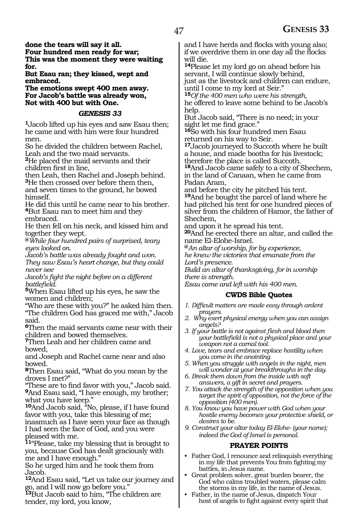**done the tears will say it all. Four hundred men ready for war; This was the moment they were waiting for.**

**But Esau ran; they kissed, wept and embraced.**

**The emotions swept 400 men away. For Jacob's battle was already won, Not with 400 but with One.**

#### *GENESIS 33*

**<sup>1</sup>**Jacob lifted up his eyes and saw Esau then; he came and with him were four hundred men.

So he divided the children between Rachel, Leah and the two maid servants.

**<sup>2</sup>**He placed the maid servants and their children first in line,

then Leah, then Rachel and Joseph behind. **<sup>3</sup>**He then crossed over before them then, and seven times to the ground, he bowed himself.

He did this until he came near to his brother. **<sup>4</sup>**But Esau ran to meet him and they embraced.

He then fell on his neck, and kissed him and together they wept.

**@***While four hundred pairs of surprised, teary eyes looked on.*

*Jacob's battle was already fought and won. They saw Esau's heart change, but they could never see*

*Jacob's fight the night before on a different battlefield.*

**<sup>5</sup>**When Esau lifted up his eyes, he saw the women and children;

"Who are these with you?" he asked him then. "The children God has graced me with," Jacob said.

**<sup>6</sup>**Then the maid servants came near with their children and bowed themselves.

**<sup>7</sup>**Then Leah and her children came and bowed,

and Joseph and Rachel came near and also bowed.

**<sup>8</sup>**Then Esau said, "What do you mean by the droves I met?"

"These are to find favor with you," Jacob said. **<sup>9</sup>**And Esau said, "I have enough, my brother; what you have keep."

**<sup>10</sup>**And Jacob said, "No, please, if I have found favor with you, take this blessing of me;

inasmuch as I have seen your face as though I had seen the face of God, and you were pleased with me.

**<sup>11</sup>**"Please, take my blessing that is brought to you, because God has dealt graciously with me and I have enough."

So he urged him and he took them from Jacob.

**<sup>12</sup>**And Esau said, "Let us take our journey and go, and I will now go before you."

**<sup>13</sup>**But Jacob said to him, "The children are tender, my lord, you know,

and I have herds and flocks with young also; if we overdrive them in one day all the flocks will die.

**<sup>14</sup>**Please let my lord go on ahead before his servant, I will continue slowly behind, just as the livestock and children can endure, until I come to my lord at Seir."

**<sup>15</sup>***Of the 400 men who were his strength,* he offered to leave some behind to be Jacob's help.

But Jacob said, "There is no need; in your sight let me find grace."

**<sup>16</sup>**So with his four hundred men Esau returned on his way to Seir.

**<sup>17</sup>**Jacob journeyed to Succoth where he built a house, and made booths for his livestock; therefore the place is called Succoth.

**<sup>18</sup>**And Jacob came safely to a city of Shechem, in the land of Canaan, when he came from Padan Aram,

and before the city he pitched his tent. **<sup>19</sup>**And he bought the parcel of land where he had pitched his tent for one hundred pieces of silver from the children of Hamor, the father of Shechem,

and upon it he spread his tent.

**<sup>20</sup>**And he erected there an altar, and called the name El-Elohe-Israel.

**@***An altar of worship, for by experience, he knew the victories that emanate from the* 

*Lord's presence.*

*Build an altar of thanksgiving, for in worship there is strength.*

*Esau came and left with his 400 men.*

## **CWDS Bible Quotes**

- *1. Difficult matters are made easy through ardent prayers.*
- *2. Why exert physical energy when you can assign angels?*
- *3. If your battle is not against flesh and blood then your battlefield is not a physical place and your weapon not a carnal tool.*
- *4. Love, tears and embrace replace hostility when you come in the anointing.*
- *5. When you struggle with angels in the night, men will wonder at your breakthroughs in the day.*
- *6. Break them down from the inside with soft answers, a gift in secret and prayers.*
- *7. You attack the strength of the opposition when you target the spirit of opposition, not the force of the opposition (400 men).*
- *8. You know you have power with God when your hostile enemy becomes your protective shield, or desires to be.*
- *9. Construct your altar today El-Elohe- (your name); indeed the God of Israel is personal.*

## **PRAYER POINTS**

- Father God, I renounce and relinquish everything in my life that prevents You from fighting my battles, in Jesus name.
- Great problem solver, great burden bearer, the God who calms troubled waters, please calm the storms in my life, in the name of Jesus.
- Father, in the name of Jesus, dispatch Your host of angels to fight against every spirit that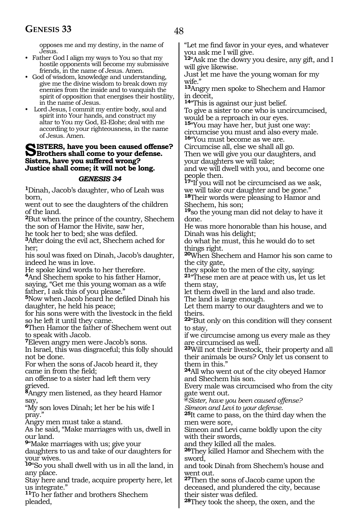opposes me and my destiny, in the name of Jesus.

- Father God I align my ways to You so that my hostile opponents will become my submissive friends, in the name of Jesus. Amen.
- God of wisdom, knowledge and understanding, give me the divine wisdom to break down my enemies from the inside and to vanquish the spirit of opposition that energises their hostility, in the name of Jesus.
- Lord Jesus, I commit my entire body, soul and spirit into Your hands, and construct my altar to You my God, El-Elohe; deal with me according to your righteousness, in the name of Jesus. Amen.

## **SISTERS, have you been caused offense?**<br>
Brothers shall come to your defense.<br>
Sistem have you suffered wave? **Sisters, have you suffered wrong? Justice shall come; it will not be long.**

#### *GENESIS 34*

**<sup>1</sup>**Dinah, Jacob's daughter, who of Leah was born,

went out to see the daughters of the children of the land.

**<sup>2</sup>**But when the prince of the country, Shechem the son of Hamor the Hivite, saw her,

he took her to bed; she was defiled.

**<sup>3</sup>**After doing the evil act, Shechem ached for her;

his soul was fixed on Dinah, Jacob's daughter, indeed he was in love.

He spoke kind words to her therefore.

**<sup>4</sup>**And Shechem spoke to his father Hamor, saying, "Get me this young woman as a wife father, I ask this of you please."

**<sup>5</sup>**Now when Jacob heard he defiled Dinah his daughter, he held his peace;

for his sons were with the livestock in the field so he left it until they came.

**<sup>6</sup>**Then Hamor the father of Shechem went out to speak with Jacob.

**<sup>7</sup>**Eleven angry men were Jacob's sons.

In Israel, this was disgraceful; this folly should not be done.

For when the sons of Jacob heard it, they came in from the field;

an offense to a sister had left them very grieved.

**<sup>8</sup>**Angry men listened, as they heard Hamor say,

"My son loves Dinah; let her be his wife I pray."

Angry men must take a stand.

As he said, "Make marriages with us, dwell in our land.

**<sup>9</sup>**"Make marriages with us; give your

daughters to us and take of our daughters for your wives.

**<sup>10</sup>**"So you shall dwell with us in all the land, in any place.

Stay here and trade, acquire property here, let us integrate."

**<sup>11</sup>**To her father and brothers Shechem pleaded,

"Let me find favor in your eyes, and whatever you ask me I will give.

**<sup>12</sup>**"Ask me the dowry you desire, any gift, and I will give likewise.

Just let me have the young woman for my wife."

**<sup>13</sup>**Angry men spoke to Shechem and Hamor in deceit,

**<sup>14</sup>**"This is against our just belief.

To give a sister to one who is uncircumcised, would be a reproach in our eyes.

**<sup>15</sup>**"You may have her, but just one way: circumcise you must and also every male. **<sup>16</sup>**"You must become as we are.

Circumcise all, else we shall all go.

Then we will give you our daughters, and your daughters we will take;

and we will dwell with you, and become one people then.

**<sup>17</sup>**"If you will not be circumcised as we ask, we will take our daughter and be gone."

**<sup>18</sup>**Their words were pleasing to Hamor and Shechem, his son;

**<sup>19</sup>**so the young man did not delay to have it done.

He was more honorable than his house, and Dinah was his delight;

do what he must, this he would do to set things right.

**<sup>20</sup>**When Shechem and Hamor his son came to the city gate,

they spoke to the men of the city, saying:

**<sup>21</sup>**"These men are at peace with us, let us let them stay,

let them dwell in the land and also trade. The land is large enough.

Let them marry to our daughters and we to theirs.

**<sup>22</sup>**"But only on this condition will they consent to stay,

if we circumcise among us every male as they are circumcised as well.

**<sup>23</sup>**Will not their livestock, their property and all their animals be ours? Only let us consent to them in this."

**<sup>24</sup>**All who went out of the city obeyed Hamor and Shechem his son.

Every male was circumcised who from the city gate went out.

**@***Sister, have you been caused offense?* 

*Simeon and Levi to your defense.*

**<sup>25</sup>**It came to pass, on the third day when the men were sore,

Simeon and Levi came boldly upon the city with their swords,

and they killed all the males.

**26**They killed Hamor and Shechem with the sword,

and took Dinah from Shechem's house and went out.

**<sup>27</sup>**Then the sons of Jacob came upon the deceased, and plundered the city, because their sister was defiled.

**28**They took the sheep, the oxen, and the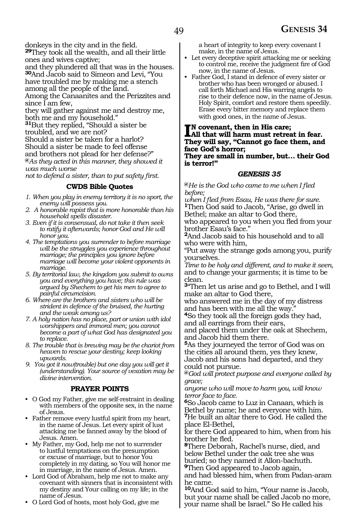donkeys in the city and in the field.

**<sup>29</sup>**They took all the wealth, and all their little ones and wives captive;

and they plundered all that was in the houses. **<sup>30</sup>**And Jacob said to Simeon and Levi, "You have troubled me by making me a stench

among all the people of the land.

Among the Canaanites and the Perizzites and since I am few,

they will gather against me and destroy me, both me and my household."

**<sup>31</sup>**But they replied, "Should a sister be troubled, and we are not? Should a sister be taken for a harlot? Should a sister be made to feel offense and brothers not plead for her defense?"

**@***As they acted in this manner, they showed it was much worse* 

*not to defend a sister, than to put safety first.* 

## **CWDS Bible Quotes**

- *1. When you play in enemy territory it is no sport, the enemy will possess you.*
- *2. A honorable rapist that is more honorable than his household spells disaster.*
- *3. Even if it is consensual, do not take it then seek to ratify it afterwards; honor God and He will honor you.*
- *4. The temptations you surrender to before marriage will be the struggles you experience throughout marriage; the principles you ignore before marriage will become your violent opponents in marriage.*
- *5. By territorial law, the kingdom you submit to owns you and everything you have; this rule was argued by Shechem to get his men to agree to painful circumcision.*
- *6. Where are the brothers and sisters who will be strident in defence of the bruised, the hurting and the weak among us?*
- *7. A holy nation has no place, part or union with idol worshippers and immoral men; you cannot become a part of what God has designated you to replace.*
- *8. The trouble that is brewing may be the chariot from heaven to rescue your destiny; keep looking upwards.*
- *9. You got it now(trouble) but one day you will get it (understanding). Your source of vexation may be divine intervention.*

#### **PRAYER POINTS**

- O God my Father, give me self-restraint in dealing with members of the opposite sex, in the name of Jesus.
- Father remove every lustful spirit from my heart, in the name of Jesus. Let every spirit of lust attacking me be fanned away by the blood of Jesus. Amen.
- My Father, my God, help me not to surrender to lustful temptations on the presumption or excuse of marriage, but to honor You completely in my dating, so You will honor me in marriage, in the name of Jesus. Amen.
- Lord God of Abraham, help me not to make any covenant with sinners that is inconsistent with my destiny and Your calling on my life; in the name of Jesus.
- O Lord God of hosts, most holy God, give me

a heart of integrity to keep every covenant I make, in the name of Jesus.

- Let every deceptive spirit attacking me or seeking to control me, receive the judgment fire of God now, in the name of Jesus.
- Father God, I stand in defence of every sister or brother who has been wronged or abused. I call forth Michael and His warring angels to rise to their defence now, in the name of Jesus. Holy Spirit, comfort and restore them speedily. Erase every bitter memory and replace them with good ones, in the name of Jesus.

## **n covenant, then in His care;**

**I**N covenant, then in His care;<br>All that will harm must retreat in fear.<br>They will car, "Connect go foot them, and **They will say, "Cannot go face them, and face God's horror;**

#### **They are small in number, but… their God is terror!"**

#### *GENESIS 35*

**@***He is the God who came to me when I fled before;*

*when I fled from Esau, He was there for sure.* **<sup>1</sup>**Then God said to Jacob, "Arise, go dwell in Bethel; make an altar to God there, who appeared to you when you fled from your

brother Esau's face."

**<sup>2</sup>**And Jacob said to his household and to all who were with him,

"Put away the strange gods among you, purify yourselves.

*Time to be holy and different, and to make it seen,* and to change your garments; it is time to be clean.

**<sup>3</sup>**"Then let us arise and go to Bethel, and I will make an altar to God there,

who answered me in the day of my distress and has been with me all the way.

**<sup>4</sup>**So they took all the foreign gods they had, and all earrings from their ears,

and placed them under the oak at Shechem, and Jacob hid them there.

**<sup>5</sup>**As they journeyed the terror of God was on the cities all around them, yes they knew, Jacob and his sons had departed, and they could not pursue.

**@***God will protect purpose and everyone called by grace;*

*anyone who will move to harm you, will know terror face to face.*

**<sup>6</sup>**So Jacob came to Luz in Canaan, which is Bethel by name; he and everyone with him. **<sup>7</sup>**He built an altar there to God. He called the place El-Bethel,

for there God appeared to him, when from his brother he fled.

**<sup>8</sup>**There Deborah, Rachel's nurse, died, and below Bethel under the oak tree she was buried; so they named it Allon-bachuth.

**<sup>9</sup>**Then God appeared to Jacob again, and had blessed him, when from Padan-aram he came.

**<sup>10</sup>**And God said to him, "Your name is Jacob, but your name shall be called Jacob no more, your name shall be Israel." So He called his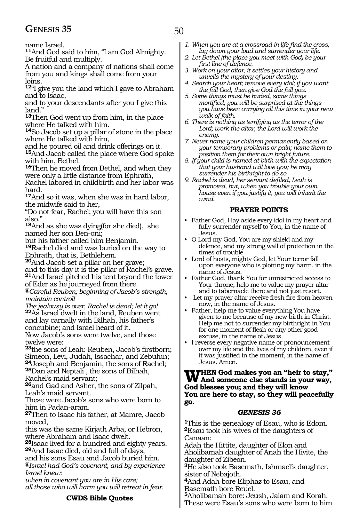## **GENESIS 35** 50

name Israel.

**<sup>11</sup>**And God said to him, "I am God Almighty. Be fruitful and multiply.

A nation and a company of nations shall come from you and kings shall come from your loins.

**<sup>12</sup>**"I give you the land which I gave to Abraham and to Isaac,

and to your descendants after you I give this land<sup>"</sup>

**<sup>13</sup>**Then God went up from him, in the place where He talked with him.

**<sup>14</sup>**So Jacob set up a pillar of stone in the place where He talked with him,

and he poured oil and drink offerings on it. **<sup>15</sup>**And Jacob called the place where God spoke with him, Bethel.

**<sup>16</sup>**Then he moved from Bethel, and when they were only a little distance from Ephrath,

Rachel labored in childbirth and her labor was hard.

**<sup>17</sup>**And so it was, when she was in hard labor, the midwife said to her,

"Do not fear, Rachel; you will have this son also.'

**<sup>18</sup>**And as she was dying(for she died), she named her son Ben-oni;

but his father called him Benjamin.

**<sup>19</sup>**Rachel died and was buried on the way to Ephrath, that is, Bethlehem.

**<sup>20</sup>**And Jacob set a pillar on her grave; and to this day it is the pillar of Rachel's grave.

**<sup>21</sup>**And Israel pitched his tent beyond the tower of Eder as he journeyed from there.

**@***Careful Reuben; beginning of Jacob's strength, maintain control!*

*The jealousy is over, Rachel is dead; let it go!* **<sup>22</sup>**As Israel dwelt in the land, Reuben went and lay carnally with Bilhah, his father's concubine; and Israel heard of it.

Now Jacob's sons were twelve, and those twelve were:

**<sup>23</sup>**the sons of Leah: Reuben, Jacob's firstborn; Simeon, Levi, Judah, Issachar, and Zebulun; **<sup>24</sup>**Joseph and Benjamin, the sons of Rachel; **<sup>25</sup>**Dan and Neptali , the sons of Bilhah, Rachel's maid servant;

**<sup>26</sup>**and Gad and Asher, the sons of Zilpah, Leah's maid servant.

These were Jacob's sons who were born to him in Padan-aram.

**<sup>27</sup>**Then to Isaac his father, at Mamre, Jacob moved,

this was the same Kirjath Arba, or Hebron, where Abraham and Isaac dwelt.

**<sup>28</sup>**Isaac lived for a hundred and eighty years. **<sup>29</sup>**And Isaac died, old and full of days,

and his sons Esau and Jacob buried him. **@***Israel had God's covenant, and by experience Israel knew:*

*when in covenant you are in His care; all those who will harm you will retreat in fear.*

## **CWDS Bible Quotes**

- *1. When you are at a crossroad in life find the cross, lay down your load and surrender your life.*
- *2. Let Bethel (the place you meet with God) be your first line of defence.*
- *3. Work on your altar, it settles your history and unveils the mystery of your destiny.*
- *4. Search your heart; remove every idol; if you want the full God, then give God the full you.*
- *5. Some things must be buried, some things mortified; you will be surprised at the things you have been carrying all this time in your new walk of faith.*
- *6. There is nothing as terrifying as the terror of the Lord; work the altar, the Lord will work the enemy.*
- *7. Never name your children permanently based on your temporary problems or pain; name them to position them for their own bright future.*
- *8. If your child is named at birth with the expectation that your husband will love you; he may surrender his birthright to do so.*
- *9. Rachel is dead, her servant defiled, Leah is promoted, but, when you trouble your own house even if you justify it, you will inherit the wind.*

#### **PRAYER POINTS**

- Father God, I lay aside every idol in my heart and fully surrender myself to You, in the name of Jesus.
- O Lord my God, You are my shield and my defence, and my strong wall of protection in the times of trouble.
- Lord of hosts, mighty God, let Your terror fall upon everyone who is plotting my harm, in the name of Jesus.
- Father God, thank You for unrestricted access to Your throne; help me to value my prayer altar and to tabernacle there and not just resort.
- Let my prayer altar receive fresh fire from heaven now, in the name of Jesus.
- Father, help me to value everything You have given to me because of my new birth in Christ. Help me not to surrender my birthright in You for one moment of flesh or any other good excuse, in the name of Jesus.
- I reverse every negative name or pronouncement over my life and the lives of my children, even if it was justified in the moment, in the name of Jesus. Amen.

## **When God makes you an "heir to stay," And someone else stands in your way, God blesses you; and they will know You are here to stay, so they will peacefully go.**

## *GENESIS 36*

**<sup>1</sup>**This is the genealogy of Esau, who is Edom. **<sup>2</sup>**Esau took his wives of the daughters of Canaan:

Adah the Hittite, daughter of Elon and Aholibamah daughter of Anah the Hivite, the daughter of Zibeon.

**<sup>3</sup>**He also took Basemath, Ishmael's daughter, sister of Nebajoth.

**<sup>4</sup>**And Adah bore Eliphaz to Esau, and Basemath bore Reuel.

**<sup>5</sup>**Aholibamah bore: Jeush, Jalam and Korah. These were Esau's sons who were born to him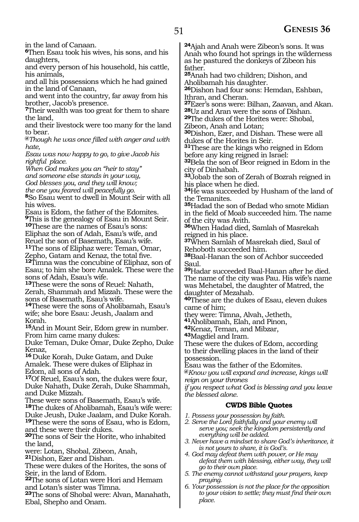in the land of Canaan.

**<sup>6</sup>**Then Esau took his wives, his sons, and his daughters,

and every person of his household, his cattle, his animals,

and all his possessions which he had gained in the land of Canaan,

and went into the country, far away from his brother, Jacob's presence.

**<sup>7</sup>**Their wealth was too great for them to share the land,

and their livestock were too many for the land to bear.

**@***Though he was once filled with anger and with hate,*

*Esau was now happy to go, to give Jacob his rightful place.*

*When God makes you an "heir to stay"*

*and someone else stands in your way, God blesses you, and they will know;*

*the one you feared will peacefully go.*

**<sup>8</sup>**So Esau went to dwell in Mount Seir with all his wives.

Esau is Edom, the father of the Edomites. **<sup>9</sup>**This is the genealogy of Esau in Mount Seir. **<sup>10</sup>**These are the names of Esau's sons:

Eliphaz the son of Adah, Esau's wife, and Reuel the son of Basemath, Esau's wife.

**<sup>11</sup>**The sons of Eliphaz were: Teman, Omar,

Zepho, Gatam and Kenaz, the total five.

**<sup>12</sup>**Timna was the concubine of Eliphaz, son of Esau; to him she bore Amalek. These were the sons of Adah, Esau's wife.

**<sup>13</sup>**These were the sons of Reuel: Nahath, Zerah, Shammah and Mizzah. These were the sons of Basemath, Esau's wife.

**<sup>14</sup>**These were the sons of Aholibamah, Esau's wife; she bore Esau: Jeush, Jaalam and Korah.

**<sup>15</sup>**And in Mount Seir, Edom grew in number. From him came many dukes:

Duke Teman, Duke Omar, Duke Zepho, Duke Kenaz,

**<sup>16</sup>** Duke Korah, Duke Gatam, and Duke Amalek. These were dukes of Eliphaz in Edom, all sons of Adah.

**<sup>17</sup>**Of Reuel, Esau's son, the dukes were four, Duke Nahath, Duke Zerah, Duke Shammah, and Duke Mizzah.

These were sons of Basemath, Esau's wife.

**<sup>18</sup>**The dukes of Aholibamah, Esau's wife were: Duke Jeush, Duke Jaalam, and Duke Korah. **<sup>19</sup>**These were the sons of Esau, who is Edom,

and these were their dukes.

**<sup>20</sup>**The sons of Seir the Horite, who inhabited the land,

were: Lotan, Shobal, Zibeon, Anah,

**<sup>21</sup>**Dishon, Ezer and Dishan.

These were dukes of the Horites, the sons of Seir, in the land of Edom.

**<sup>22</sup>**The sons of Lotan were Hori and Hemam and Lotan's sister was Timna.

**<sup>23</sup>**The sons of Shobal were: Alvan, Manahath, Ebal, Shepho and Onam.

**<sup>24</sup>**Ajah and Anah were Zibeon's sons. It was Anah who found hot springs in the wilderness as he pastured the donkeys of Zibeon his father.

**<sup>25</sup>**Anah had two children; Dishon, and Aholibamah his daughter.

**<sup>26</sup>**Dishon had four sons: Hemdan, Eshban, Ithran, and Cheran.

**<sup>27</sup>**Ezer's sons were: Bilhan, Zaavan, and Akan. **<sup>28</sup>**Uz and Aran were the sons of Dishan.

**<sup>29</sup>**The dukes of the Horites were: Shobal,

Zibeon, Anah and Lotan;

**<sup>30</sup>**Dishon, Ezer, and Dishan. These were all dukes of the Horites in Seir.

**<sup>31</sup>**These are the kings who reigned in Edom before any king reigned in Israel:

**<sup>32</sup>**Bela the son of Beor reigned in Edom in the city of Dinhabah.

**<sup>33</sup>**Jobab the son of Zerah of Bozrah reigned in his place when he died.

**<sup>34</sup>**He was succeeded by Husham of the land of the Temanites.

**<sup>35</sup>**Hadad the son of Bedad who smote Midian in the field of Moab succeeded him. The name of the city was Avith.

**<sup>36</sup>**When Hadad died, Samlah of Masrekah reigned in his place.

**<sup>37</sup>**When Samlah of Masrekah died, Saul of Rehoboth succeeded him.

**<sup>38</sup>**Baal-Hanan the son of Achbor succeeded Saul.

**<sup>39</sup>**Hadar succeeded Baal-Hanan after he died. The name of the city was Pau. His wife's name was Mehetabel, the daughter of Matred, the daughter of Mezahab.

**<sup>40</sup>**These are the dukes of Esau, eleven dukes came of him;

they were: Timna, Alvah, Jetheth,

**<sup>41</sup>**Aholibamah, Elah, and Pinon,

**<sup>42</sup>**Kenaz, Teman, and Mibzar,

**<sup>43</sup>**Magdiel and Iram.

These were the dukes of Edom, according to their dwelling places in the land of their possession.

Esau was the father of the Edomites.

**@***Know you will expand and increase, kings will reign on your thrones*

*if you respect what God is blessing and you leave the blessed alone.*

## **CWDS Bible Quotes**

- *1. Possess your possession by faith.*
- *2. Serve the Lord faithfully and your enemy will serve you; seek the kingdom persistently and everything will be added.*
- *3. Never have a mindset to share God's inheritance, it is not yours to share, it is God's.*
- *4. God may defeat them with power, or He may defeat them with blessing, either way, they will go to their own place.*
- *5. The enemy cannot withstand your prayers, keep praying.*
- *6. Your possession is not the place for the opposition to your vision to settle; they must find their own place.*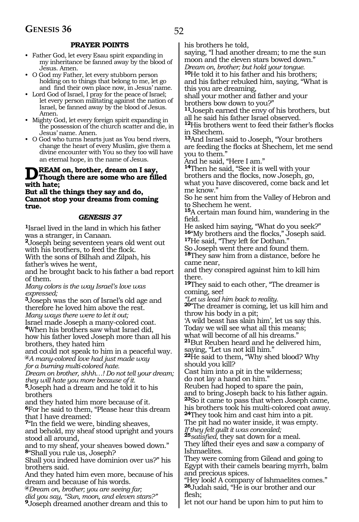## **PRAYER POINTS**

- Father God, let every Esau spirit expanding in my inheritance be fanned away by the blood of Jesus. Amen.
- O God my Father, let every stubborn person holding on to things that belong to me, let go and find their own place now, in Jesus' name.
- Lord God of Israel, I pray for the peace of Israel; let every person militating against the nation of Israel, be fanned away by the blood of Jesus. Amen.
- Mighty God, let every foreign spirit expanding in the possession of the church scatter and die, in Jesus' name. Amen.
- O God who turns hearts just as You bend rivers, change the heart of every Muslim, give them a divine encounter with You so they too will have an eternal hope, in the name of Jesus.

## **DREAM on, brother, dream on I say,**<br>
Though there are some who are filled with bate: **with hate;**

**But all the things they say and do, Cannot stop your dreams from coming true.**

#### *GENESIS 37*

**<sup>1</sup>**Israel lived in the land in which his father was a stranger, in Canaan.

**<sup>2</sup>**Joseph being seventeen years old went out with his brothers, to feed the flock.

With the sons of Bilhah and Zilpah, his father's wives he went,

and he brought back to his father a bad report of them.

*Many colors is the way Israel's love was expressed;*

**<sup>3</sup>**Joseph was the son of Israel's old age and therefore he loved him above the rest.

*Many ways there were to let it out;*

Israel made Joseph a many-colored coat.

**<sup>4</sup>**When his brothers saw what Israel did,

how his father loved Joseph more than all his brothers, they hated him

and could not speak to him in a peaceful way. **@***A many-colored love had just made way*

*for a burning multi-colored hate.*

*Dream on brother, shhh…! Do not tell your dream; they will hate you more because of it.*

**<sup>5</sup>**Joseph had a dream and he told it to his brothers

and they hated him more because of it.

**<sup>6</sup>**For he said to them, "Please hear this dream that I have dreamed:

**<sup>7</sup>**"In the field we were, binding sheaves, and behold, my sheaf stood upright and yours stood all around,

and to my sheaf, your sheaves bowed down." **<sup>8</sup>**"Shall you rule us, Joseph?

Shall you indeed have dominion over us?" his brothers said.

And they hated him even more, because of his dream and because of his words.

**@***Dream on, brother; you are seeing far;*

*did you say, "Sun, moon, and eleven stars?"*

**<sup>9</sup>**Joseph dreamed another dream and this to

his brothers he told,

saying, "I had another dream; to me the sun moon and the eleven stars bowed down." *Dream on, brother; but hold your tongue.*

**<sup>10</sup>**He told it to his father and his brothers;

and his father rebuked him, saying, "What is this you are dreaming,

shall your mother and father and your brothers bow down to you?"

**<sup>11</sup>**Joseph earned the envy of his brothers, but all he said his father Israel observed.

**<sup>12</sup>**His brothers went to feed their father's flocks in Shechem.

**<sup>13</sup>**And Israel said to Joseph, "Your brothers are feeding the flocks at Shechem, let me send you to them."

And he said, "Here I am."

**<sup>14</sup>**Then he said, "See it is well with your brothers and the flocks, now Joseph, go, what you have discovered, come back and let me know."

So he sent him from the Valley of Hebron and to Shechem he went.

**<sup>15</sup>**A certain man found him, wandering in the field.

He asked him saying, "What do you seek?" **<sup>16</sup>**"My brothers and the flocks," Joseph said. **<sup>17</sup>**He said, "They left for Dothan."

So Joseph went there and found them.

**<sup>18</sup>**They saw him from a distance, before he came near,

and they conspired against him to kill him there.

**<sup>19</sup>**They said to each other, "The dreamer is coming, see!

*"Let us lead him back to reality.*

**20"** The dreamer is coming, let us kill him and throw his body in a pit;

'A wild beast has slain him', let us say this. Today we will see what all this means;

what will become of all his dreams."

**<sup>21</sup>**But Reuben heard and he delivered him, saying, "Let us not kill him."

**<sup>22</sup>**He said to them, "Why shed blood? Why should you kill?

Cast him into a pit in the wilderness; do not lay a hand on him."

Reuben had hoped to spare the pain,

and to bring Joseph back to his father again. **<sup>23</sup>**So it came to pass that when Joseph came, his brothers took his multi-colored coat away.

**<sup>24</sup>**They took him and cast him into a pit.

The pit had no water inside, it was empty. *If they felt guilt it was concealed;*

**<sup>25</sup>***satisfied,* they sat down for a meal. They lifted their eyes and saw a company of Ishmaelites.

They were coming from Gilead and going to Egypt with their camels bearing myrrh, balm and precious spices.

"Hey look! A company of Ishmaelites comes." **<sup>26</sup>**Judah said, "He is our brother and our flesh;

let not our hand be upon him to put him to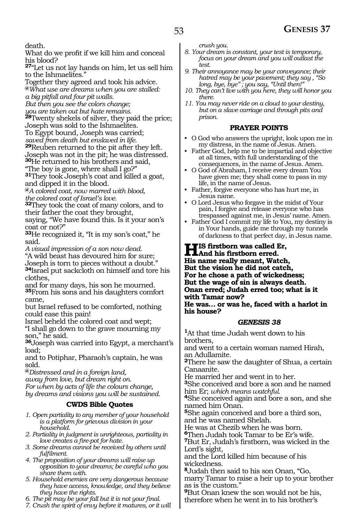death.

What do we profit if we kill him and conceal his blood?

**<sup>27</sup>**"Let us not lay hands on him, let us sell him to the Ishmaelites."

Together they agreed and took his advice.

**@***What use are dreams when you are stalled: a big pitfall and four pit walls.*

*But then you see the colors change;*

*you are taken out but hate remains.*

you are *unen* our pair name comes and the price;<br><sup>28</sup>Twenty shekels of silver, they paid the price; Joseph was sold to the Ishmaelites.

To Egypt bound, Joseph was carried;

*saved from death but enslaved in life.*

**<sup>29</sup>**Reuben returned to the pit after they left. Joseph was not in the pit; he was distressed.

**<sup>30</sup>**He returned to his brothers and said,

"The boy is gone, where shall I go?"

**<sup>31</sup>**They took Joseph's coat and killed a goat, and dipped it in the blood.

**@***A colored coat, now marred with blood, the colored coat of Israel's love.*

**<sup>32</sup>**They took the coat of many colors, and to their father the coat they brought, saying, "We have found this. Is it your son's coat or not?"

**<sup>33</sup>**He recognized it, "It is my son's coat," he said.

*A visual impression of a son now dead.*

"A wild beast has devoured him for sure; Joseph is torn to pieces without a doubt." **<sup>34</sup>**Israel put sackcloth on himself and tore his clothes,

and for many days, his son he mourned. **<sup>35</sup>**From his sons and his daughters comfort came,

but Israel refused to be comforted, nothing could ease this pain!

Israel beheld the colored coat and wept;

"I shall go down to the grave mourning my son," he said.

**<sup>36</sup>**Joseph was carried into Egypt, a merchant's load;

and to Potiphar, Pharaoh's captain, he was sold.

**@***Distressed and in a foreign land,*

*away from love, but dream right on.* 

*For when by acts of life the colours change, by dreams and visions you will be sustained.*

## **CWDS Bible Quotes**

*1. Open partiality to any member of your household is a platform for grievous division in your household.*

*2. Partiality in judgment is unrighteous, partiality in love creates a fire-pot for hate.*

*3. Some dreams cannot be received by others until fulfilment.*

*4. The proposition of your dreams will raise up opposition to your dreams; be careful who you share them with.*

*5. Household enemies are very dangerous because they have access, knowledge, and they believe they have the rights.*

*6. The pit may be your fall but it is not your final.*

*7. Crush the spirit of envy before it matures, or it will* 

*crush you.*

- *8. Your dream is constant, your test is temporary, focus on your dream and you will outlast the test.*
- *9. Their annoyance may be your conveyance; their hatred may be your pavement; they say , "So long, bye, bye" ; you say, "Until then!"*
- *10. They can't live with you here, they will honor you there.*
- *11. You may never ride on a cloud to your destiny, but on a slave carriage and through pits and prison.*

#### **PRAYER POINTS**

- O God who answers the upright, look upon me in my distress, in the name of Jesus. Amen.
- Father God, help me to be impartial and objective at all times, with full understanding of the consequences, in the name of Jesus. Amen.
- O God of Abraham, I receive every dream You have given me; they shall come to pass in my life, in the name of Jesus.
- Father, forgive everyone who has hurt me, in Jesus name.
- O Lord Jesus who forgave in the midst of Your pain, I forgive and release everyone who has trespassed against me, in Jesus' name. Amen.
- Father God I commit my life to You, my destiny is in Your hands, guide me through my tunnels of darkness to that perfect day, in Jesus name.

#### **His firstborn was called Er, And his firstborn erred. His name really meant, Watch, But the vision he did not catch, For he chose a path of wickedness; But the wage of sin is always death. Onan erred; Judah erred too; what is it with Tamar now? He was… or was he, faced with a harlot in his house?**

#### *GENESIS 38*

**<sup>1</sup>**At that time Judah went down to his brothers, and went to a certain woman named Hirah, an Adullamite. **<sup>2</sup>**There he saw the daughter of Shua, a certain Canaanite. He married her and went in to her. **<sup>3</sup>**She conceived and bore a son and he named him Er; *which means watchful.* **<sup>4</sup>**She conceived again and bore a son, and she named him Onan. **<sup>5</sup>**She again conceived and bore a third son, and he was named Shelah. He was at Chezib when he was born. **<sup>6</sup>**Then Judah took Tamar to be Er's wife. **<sup>7</sup>**But Er, Judah's firstborn, was wicked in the Lord's sight, and the Lord killed him because of his wickedness. **<sup>8</sup>**Judah then said to his son Onan, "Go, marry Tamar to raise a heir up to your brother as is the custom." **<sup>9</sup>**But Onan knew the son would not be his,

therefore when he went in to his brother's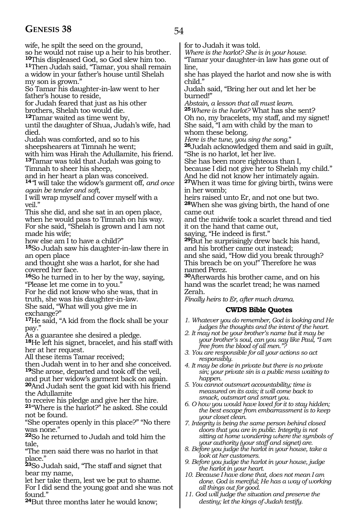## **GENESIS 38** 54

wife, he spilt the seed on the ground,

so he would not raise up a heir to his brother.

**<sup>10</sup>**This displeased God, so God slew him too. **<sup>11</sup>**Then Judah said, "Tamar, you shall remain a widow in your father's house until Shelah my son is grown."

So Tamar his daughter-in-law went to her father's house to reside,

for Judah feared that just as his other

brothers, Shelah too would die.

**<sup>12</sup>**Tamar waited as time went by,

until the daughter of Shua, Judah's wife, had died.

Judah was comforted, and so to his

sheepshearers at Timnah he went; with him was Hirah the Adullamite, his friend. **<sup>13</sup>**Tamar was told that Judah was going to

Timnah to sheer his sheep,

and in her heart a plan was conceived.

**<sup>14</sup>***"*I will take the widow's garment off, *and once again be tender and soft,*

I will wrap myself and cover myself with a veil."

This she did, and she sat in an open place, when he would pass to Timnah on his way. For she said, "Shelah is grown and I am not made his wife;

how else am I to have a child?"

**<sup>15</sup>**So Judah saw his daughter-in-law there in an open place

and thought she was a harlot, for she had covered her face.

**<sup>16</sup>**So he turned in to her by the way, saying, "Please let me come in to you."

For he did not know who she was, that in truth, she was his daughter-in-law. She said, "What will you give me in

exchange?"

**<sup>17</sup>**He said, "A kid from the flock shall be your pay."

As a guarantee she desired a pledge.

**<sup>18</sup>**He left his signet, bracelet, and his staff with her at her request.

All these items Tamar received;

then Judah went in to her and she conceived. **<sup>19</sup>**She arose, departed and took off the veil,

and put her widow's garment back on again.

**<sup>20</sup>**And Judah sent the goat kid with his friend the Adullamite

to receive his pledge and give her the hire.

**<sup>21</sup>**"Where is the harlot?" he asked. She could not be found.

"She operates openly in this place?" "No there was none."

**<sup>22</sup>**So he returned to Judah and told him the tale,

"The men said there was no harlot in that place."

**<sup>23</sup>**So Judah said, "The staff and signet that bear my name,

let her take them, lest we be put to shame. For I did send the young goat and she was not found."

**<sup>24</sup>**But three months later he would know;

for to Judah it was told.

*Where is the harlot? She is in your house.* "Tamar your daughter-in law has gone out of line,

she has played the harlot and now she is with child."

Judah said, "Bring her out and let her be burned!"

*Abstain, a lesson that all must learn.* **<sup>25</sup>***Where is the harlot?* What has she sent? Oh no, my bracelets, my staff, and my signet! She said, "I am with child by the man to

whom these belong.<br>Here is the tune, you sing the song."

*Here is the tune, you sing the song.*" **<sup>26</sup>**Judah acknowledged them and said in guilt, "She is no harlot, let her live.

She has been more righteous than I, because I did not give her to Shelah my child." And he did not know her intimately again.

**<sup>27</sup>**When it was time for giving birth, twins were in her womb;

heirs raised unto Er, and not one but two. **<sup>28</sup>**When she was giving birth, the hand of one came out

and the midwife took a scarlet thread and tied it on the hand that came out,

saying, "He indeed is first."

**<sup>29</sup>**But he surprisingly drew back his hand, and his brother came out instead;

and she said, "How did you break through? This breach be on you!" Therefore he was named Perez.

**<sup>30</sup>**Afterwards his brother came, and on his hand was the scarlet tread; he was named Zerah.

*Finally heirs to Er, after much drama.*

## **CWDS Bible Quotes**

*1. Whatever you do remember, God is looking and He judges the thoughts and the intent of the heart.*

- *2. It may not be your brother's name but it may be your brother's soul, can you say like Paul, "I am free from the blood of all men."?*
- *3. You are responsible for all your actions so act responsibly.*
- *4. It may be done in private but there is no private sin; your private sin is a public mess waiting to happen.*
- *5. You cannot outsmart accountability; time is measured on its axis; it will come back to smack, outsmart and smart you.*
- *6. O how you would have loved for it to stay hidden; the best escape from embarrassment is to keep your closet clean.*

*7. Integrity is being the same person behind closed doors that you are in public. Integrity is not sitting at home wondering where the symbols of your authority (your staff and signet) are.*

- *8. Before you judge the harlot in your house, take a look at her customers.*
- *9. Before you judge the harlot in your house, judge the harlot in your heart.*
- *10. Because I have done that, does not mean I am done. God is merciful; He has a way of working all things out for good.*
- *11. God will judge the situation and preserve the destiny; let the kings of Judah testify.*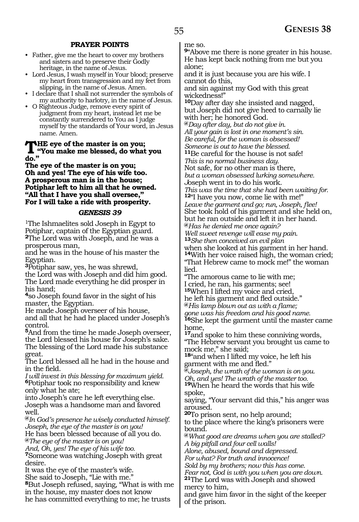#### **PRAYER POINTS**

- Father, give me the heart to cover my brothers and sisters and to preserve their Godly heritage, in the name of Jesus.
- Lord Jesus, I wash myself in Your blood; preserve my heart from transgression and my feet from slipping, in the name of Jesus. Amen.
- I declare that I shall not surrender the symbols of my authority to harlotry, in the name of Jesus.
- O Righteous Judge, remove every spirit of judgment from my heart, instead let me be constantly surrendered to You as I judge myself by the standards of Your word, in Jesus name. Amen.

## **THE eye of the master is on you;**<br>"You make me blessed, do what you **do."**

**The eye of the master is on you; Oh and yes! The eye of his wife too. A prosperous man is in the house; Potiphar left to him all that he owned. "All that I have you shall oversee," For I will take a ride with prosperity.**

#### *GENESIS 39*

1The Ishmaelites sold Joseph in Egypt to Potiphar, captain of the Egyptian guard. **<sup>2</sup>**The Lord was with Joseph, and he was a prosperous man,

and he was in the house of his master the Egyptian.

**<sup>3</sup>**Potiphar saw, yes, he was shrewd, the Lord was with Joseph and did him good. The Lord made everything he did prosper in his hand;

**<sup>4</sup>**so Joseph found favor in the sight of his master, the Egyptian.

He made Joseph overseer of his house, and all that he had he placed under Joseph's control.

**<sup>5</sup>**And from the time he made Joseph overseer, the Lord blessed his house for Joseph's sake. The blessing of the Lord made his substance great.

The Lord blessed all he had in the house and in the field.

*I will invest in this blessing for maximum yield.* **<sup>6</sup>**Potiphar took no responsibility and knew only what he ate;

into Joseph's care he left everything else. Joseph was a handsome man and favored well.

**@***In God's presence he wisely conducted himself. Joseph, the eye of the master is on you!* He has been blessed because of all you do. **@***The eye of the master is on you!*

*And, Oh, yes! The eye of his wife too.* **<sup>7</sup>**Someone was watching Joseph with great desire.

It was the eye of the master's wife.

She said to Joseph, "Lie with me."

**<sup>8</sup>**But Joseph refused, saying, "What is with me in the house, my master does not know he has committed everything to me; he trusts

me so.

**<sup>9</sup>**"Above me there is none greater in his house. He has kept back nothing from me but you alone;

and it is just because you are his wife. I cannot do this,

and sin against my God with this great wickedness!"

**<sup>10</sup>**Day after day she insisted and nagged, but Joseph did not give heed to carnally lie with her; he honored God.

**@***Day after day, but do not give in. All your gain is lost in one moment's sin.*

*Be careful, for the woman is obsessed!*

*Someone is out to have the blessed.* **<sup>11</sup>**Be careful for the house is not safe!

*This is no normal business day.*

Not safe, for no other man is there,

*but a woman obsessed lurking somewhere.* 

*J*oseph went in to do his work.

*This was the time that she had been waiting for.* **<sup>12</sup>**"I have you now, come lie with me!" *Leave the garment and go; run, Joseph, flee!* She took hold of his garment and she held on, but he ran outside and left it in her hand.

**@***Has he denied me once again?*

*Well sweet revenge will ease my pain.*

**<sup>13</sup>***She then conceived an evil plan* when she looked at his garment in her hand. **<sup>14</sup>**With her voice raised high, the woman cried; "That Hebrew came to mock me!" the woman lied.

"The amorous came to lie with me; I cried, he ran, his garments; see! **<sup>15</sup>**When I lifted my voice and cried,

he left his garment and fled outside."

**@***His lamp blown out as with a flame;*

*gone was his freedom and his good name.*

**<sup>16</sup>**She kept the garment until the master came home,

**<sup>17</sup>**and spoke to him these conniving words, "The Hebrew servant you brought us came to mock me," she said;

**<sup>18</sup>**"and when I lifted my voice, he left his garment with me and fled."

**@***Joseph, the wrath of the woman is on you. Oh, and yes! The wrath of the master too.*

**<sup>19</sup>**When he heard the words that his wife spoke,

saying, "Your servant did this," his anger was aroused.

**<sup>20</sup>**To prison sent, no help around;

to the place where the king's prisoners were bound.

**@***What good are dreams when you are stalled? A big pitfall and four cell walls!*

*Alone, abused, bound and depressed. For what? For truth and innocence!*

*Sold by my brothers; now this has come.*

*Fear not, God is with you when you are down.* **<sup>21</sup>**The Lord was with Joseph and showed mercy to him,

and gave him favor in the sight of the keeper of the prison.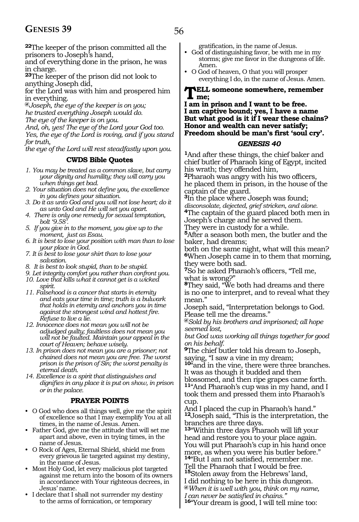## **GENESIS 39** 56

**<sup>22</sup>**The keeper of the prison committed all the prisoners to Joseph's hand,

and of everything done in the prison, he was in charge.

**<sup>23</sup>**The keeper of the prison did not look to anything Joseph did,

for the Lord was with him and prospered him in everything.

**@***Joseph, the eye of the keeper is on you; he trusted everything Joseph would do.*

*The eye of the keeper is on you.*

*And, oh, yes! The eye of the Lord your God too. Yes, the eye of the Lord is roving, and if you stand for truth,*

*the eye of the Lord will rest steadfastly upon you.*

## **CWDS Bible Quotes**

- *1. You may be treated as a common slave, but carry your dignity and humility; they will carry you when things get bad.*
- *2. Your situation does not define you, the excellence in you defines your situation.*
- *3. Do it as unto God and you will not lose heart; do it as unto God and He will set you apart.*
- *4. There is only one remedy for sexual temptation, bolt '9.58'.*
- *5. If you give in to the moment, you give up to the moment, just as Esau.*
- *6. It is best to lose your position with man than to lose your place in God.*
- *7. It is best to lose your shirt than to lose your salvation.*
- *8. It is best to look stupid, than to be stupid.*
- *9. Let integrity comfort you rather than confront you.*
- *10. Love that kills what it cannot get is a wicked spirit.*
- *11. Falsehood is a cancer that starts in eternity and eats your time in time; truth is a bulwark that holds in eternity and anchors you in time against the strongest wind and hottest fire. Refuse to live a lie.*
- *12. Innocence does not mean you will not be adjudged guilty; faultless does not mean you will not be faulted. Maintain your appeal in the court of Heaven; behave wisely.*
- *13. In prison does not mean you are a prisoner; not chained does not mean you are free. The worst prison is the prison of Sin; the worst penalty is eternal death.*

*14. Excellence is a spirit that distinguishes and dignifies in any place it is put on show, in prison or in the palace.* 

## **PRAYER POINTS**

- O God who does all things well, give me the spirit of excellence so that I may exemplify You at all times, in the name of Jesus. Amen.
- Father God, give me the attitude that will set me apart and above, even in trying times, in the name of Jesus.
- O Rock of Ages, Eternal Shield, shield me from every grievous lie targeted against my destiny, in the name of Jesus.
- Most Holy God, let every malicious plot targeted against me return into the bosom of its owners in accordance with Your righteous decrees, in Jesus' name.
- I declare that I shall not surrender my destiny to the arms of fornication, or temporary

gratification, in the name of Jesus.

- God of distinguishing favor, be with me in my storms; give me favor in the dungeons of life. Amen.
- O God of heaven, O that you will prosper everything I do, in the name of Jesus. Amen.

### **Tell someone somewhere, remember me;**

#### **I am in prison and I want to be free. I am captive bound; yes, I have a name But what good is it if I wear these chains? Honor and wealth can never satisfy; Freedom should be man's first 'soul cry'.**

#### *GENESIS 40*

**<sup>1</sup>**And after these things, the chief baker and chief butler of Pharaoh king of Egypt, incited his wrath; they offended him,

**<sup>2</sup>**Pharaoh was angry with his two officers, he placed them in prison, in the house of the captain of the guard.

**<sup>3</sup>**In the place where Joseph was found; *disconsolate, dejected, grief stricken, and alone.* **<sup>4</sup>**The captain of the guard placed both men in

Joseph's charge and he served them.

They were in custody for a while.

**<sup>5</sup>**After a season both men, the butler and the baker, had dreams;

both on the same night, what will this mean? **<sup>6</sup>**When Joseph came in to them that morning, they were both sad.

**<sup>7</sup>**So he asked Pharaoh's officers, "Tell me, what is wrong?"

**<sup>8</sup>**They said, "We both had dreams and there is no one to interpret, and to reveal what they mean."

Joseph said, "Interpretation belongs to God. Please tell me the dreams."

**@***Sold by his brothers and imprisoned; all hope seemed lost,*

*but God was working all things together for good on his behalf.* 

**<sup>9</sup>**The chief butler told his dream to Joseph, saying, "I saw a vine in my dream;

**<sup>10</sup>**"and in the vine, there were three branches. It was as though it budded and then blossomed, and then ripe grapes came forth. **<sup>11</sup>**"And Pharaoh's cup was in my hand, and I

took them and pressed them into Pharaoh's cup.

And I placed the cup in Pharaoh's hand." **<sup>12</sup>**Joseph said, "This is the interpretation, the branches are three days.

**<sup>13</sup>**"Within three days Pharaoh will lift your head and restore you to your place again. You will put Pharaoh's cup in his hand once more, as when you were his butler before." **<sup>14</sup>**"But I am not satisfied, remember me. Tell the Pharaoh that I would be free.

**<sup>15</sup>**Stolen away from the Hebrews' land, I did nothing to be here in this dungeon. **@***When it is well with you, think on my name,*

*I can never be satisfied in chains."*

**16**"Your dream is good, I will tell mine too: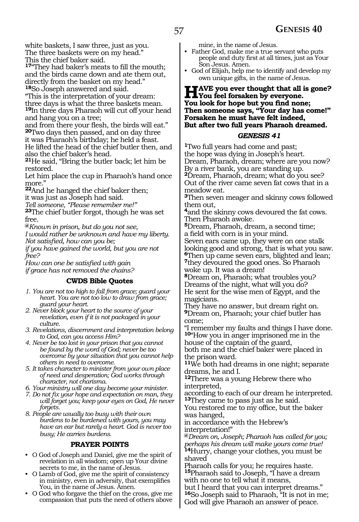white baskets, I saw three, just as you. The three baskets were on my head." This the chief baker said.

**<sup>17</sup>**"They had baker's meats to fill the mouth; and the birds came down and ate them out, directly from the basket on my head." **<sup>18</sup>**So Joseph answered and said.

"This is the interpretation of your dream: three days is what the three baskets mean. **<sup>19</sup>**In three days Pharaoh will cut off your head and hang you on a tree;

and from there your flesh, the birds will eat." **<sup>20</sup>**Two days then passed, and on day three it was Pharaoh's birthday; he held a feast. He lifted the head of the chief butler then, and also the chief baker's head.

**<sup>21</sup>**He said, "Bring the butler back; let him be restored.

Let him place the cup in Pharaoh's hand once more."

**<sup>22</sup>**And he hanged the chief baker then; it was just as Joseph had said.

*Tell someone, "Please remember me!"*

**<sup>23</sup>**The chief butler forgot, though he was set free.

**@***Known in prison, but do you not see,*

*I would rather be unknown and have my liberty. Not satisfied, how can you be;*

*if you have gained the world, but you are not free?*

*How can one be satisfied with gain if grace has not removed the chains?* 

#### **CWDS Bible Quotes**

- *1. You are not too high to fall from grace; guard your heart. You are not too low to draw from grace; guard your heart.*
- *2. Never block your heart to the source of your revelation, even if it is not packaged in your culture.*
- *3. Revelations, discernment and interpretation belong to God, can you access Him?*
- *4. Never be too lost in your prison that you cannot be found by the word of God; never be too overcome by your situation that you cannot help others in need to overcome.*
- *5. It takes character to minister from your own place of need and desperation; God works through character, not charisma.*
- *6. Your ministry will one day become your minister.*
- *7. Do not fix your hope and expectation on man, they will forget you; keep your eyes on God, He never forgets.*
- *8. People are usually too busy with their own burdens to be burdened with yours, you may have an ear but rarely a heart. God is never too busy; He carries burdens.*

## **PRAYER POINTS**

- O God of Joseph and Daniel, give me the spirit of revelation in all wisdom; open up Your divine secrets to me, in the name of Jesus.
- O Lamb of God, give me the spirit of consistency in ministry, even in adversity, that exemplifies You, in the name of Jesus. Amen.
- O God who forgave the thief on the cross, give me compassion that puts the need of others above

mine, in the name of Jesus.

- Father God, make me a true servant who puts people and duty first at all times, just as Your Son Jesus. Amen.
- God of Elijah, help me to identify and develop my own unique gifts, in the name of Jesus.

## **Have you ever thought that all is gone? You feel forsaken by everyone. You look for hope but you find none; Then someone says, "Your day has come!" Forsaken he must have felt indeed, But after two full years Pharaoh dreamed.**

## *GENESIS 41*

**<sup>1</sup>**Two full years had come and past; the hope was dying in Joseph's heart. Dream, Pharaoh, dream; where are you now? By a river bank, you are standing up. **<sup>2</sup>**Dream, Pharaoh, dream; what do you see? Out of the river came seven fat cows that in a meadow eat.

**<sup>3</sup>**Then seven meager and skinny cows followed them out,

**<sup>4</sup>**and the skinny cows devoured the fat cows. Then Pharaoh awoke.

**<sup>5</sup>**Dream, Pharaoh, dream, a second time; a field with corn is in your mind.

Seven ears came up, they were on one stalk looking good and strong, that is what you saw. **<sup>6</sup>**Then up came seven ears, blighted and lean; **<sup>7</sup>**they devoured the good ones. So Pharaoh woke up. It was a dream!

**<sup>8</sup>**Dream on, Pharaoh; what troubles you? Dreams of the night, what will you do? He sent for the wise men of Egypt, and the magicians.

They have no answer, but dream right on. **<sup>9</sup>**Dream on, Pharaoh; your chief butler has come;

"I remember my faults and things I have done. **<sup>10</sup>**"How you in anger imprisoned me in the house of the captain of the guard,

both me and the chief baker were placed in the prison ward.

**<sup>11</sup>**We both had dreams in one night; separate dreams, he and I.

**<sup>12</sup>**There was a young Hebrew there who interpreted,

according to each of our dream he interpreted. **<sup>13</sup>**They came to pass just as he said.

You restored me to my office, but the baker was hanged,

in accordance with the Hebrew's interpretation!"

**@***Dream on, Joseph; Pharaoh ha*s *called for you; perhaps his dream will make yours come true!* **<sup>14</sup>**Hurry, change your clothes, you must be

shaved Pharaoh calls for you; he requires haste.

**<sup>15</sup>**Pharaoh said to Joseph, "I have a dream with no one to tell what it means,

but I heard that you can interpret dreams." **<sup>16</sup>**So Joseph said to Pharaoh, "It is not in me; God will give Pharaoh an answer of peace.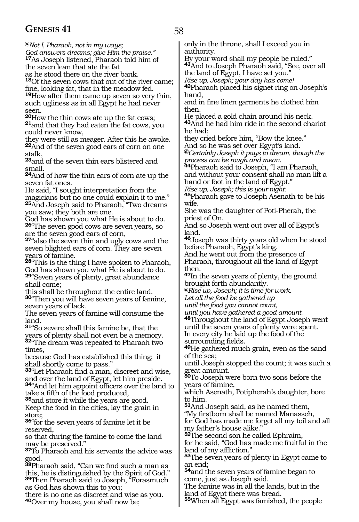## **GENESIS 41** 58

**@***Not I, Pharaoh, not in my ways; God answers dreams; give Him the praise."*

**<sup>17</sup>**As Joseph listened, Pharaoh told him of the seven lean that ate the fat

as he stood there on the river bank.

**<sup>18</sup>**Of the seven cows that out of the river came; fine, looking fat, that in the meadow fed.

**<sup>19</sup>**How after them came up seven so very thin, such ugliness as in all Egypt he had never

seen.<br>**20**How the thin cows ate up the fat cows; **21**and that they had eaten the fat cows, you could never know,

they were still as meager. After this he awoke. **<sup>22</sup>**And of the seven good ears of corn on one stalk,

**<sup>23</sup>**and of the seven thin ears blistered and small.

**<sup>24</sup>**And of how the thin ears of corn ate up the seven fat ones.

He said, "I sought interpretation from the magicians but no one could explain it to me." **<sup>25</sup>**And Joseph said to Pharaoh, "Two dreams you saw; they both are one.

God has shown you what He is about to do. **<sup>26</sup>**"The seven good cows are seven years, so are the seven good ears of corn,

**<sup>27</sup>**"also the seven thin and ugly cows and the seven blighted ears of corn. They are seven years of famine.

**<sup>28</sup>**"This is the thing I have spoken to Pharaoh, God has shown you what He is about to do.

**<sup>29</sup>**"Seven years of plenty, great abundance shall come;

this shall be throughout the entire land. **<sup>30</sup>**"Then you will have seven years of famine, seven years of lack.

The seven years of famine will consume the land.

**<sup>31</sup>**"So severe shall this famine be, that the years of plenty shall not even be a memory. **<sup>32</sup>**"The dream was repeated to Pharaoh two times,

because God has established this thing; it shall shortly come to pass."

**<sup>33</sup>**"Let Pharaoh find a man, discreet and wise, and over the land of Egypt, let him preside.

**<sup>34</sup>**"And let him appoint officers over the land to take a fifth of the food produced, **35**and store it while the years are good.

Keep the food in the cities, lay the grain in store;

**<sup>36</sup>**"for the seven years of famine let it be reserved,

so that during the famine to come the land may be preserved."

**<sup>37</sup>**To Pharaoh and his servants the advice was good.

**<sup>38</sup>**Pharaoh said, "Can we find such a man as this, he is distinguished by the Spirit of God." **<sup>39</sup>**Then Pharaoh said to Joseph, "Forasmuch as God has shown this to you;

there is no one as discreet and wise as you. **<sup>40</sup>**Over my house, you shall now be;

only in the throne, shall I exceed you in authority.

By your word shall my people be ruled." **<sup>41</sup>**And to Joseph Pharaoh said, "See, over all the land of Egypt, I have set you."

*Rise up, Joseph; your day has come!* 

**<sup>42</sup>**Pharaoh placed his signet ring on Joseph's hand,

and in fine linen garments he clothed him then.

He placed a gold chain around his neck. **<sup>43</sup>**And he had him ride in the second chariot he had;

they cried before him, "Bow the knee." And so he was set over Egypt's land.

**@***Certainly Joseph it pays to dream, though the process can be rough and mean.*

**<sup>44</sup>**Pharaoh said to Joseph, "I am Pharaoh, and without your consent shall no man lift a hand or foot in the land of Egypt."

*Rise up, Joseph; this is your night:*

**<sup>45</sup>**Pharaoh gave to Joseph Asenath to be his wife.

She was the daughter of Poti-Pherah, the priest of On.

And so Joseph went out over all of Egypt's land.

**<sup>46</sup>**Joseph was thirty years old when he stood before Pharaoh, Egypt's king.

And he went out from the presence of Pharaoh, throughout all the land of Egypt then.

**<sup>47</sup>**In the seven years of plenty, the ground brought forth abundantly.

**@***Rise up, Joseph; it is time for work.*

*Let all the food be gathered up*

*until the food you cannot count,*

*until you have gathered a good amount.*

**<sup>48</sup>**Throughout the land of Egypt Joseph went until the seven years of plenty were spent. In every city he laid up the food of the surrounding fields.

**<sup>49</sup>**He gathered much grain, even as the sand of the sea;

until Joseph stopped the count; it was such a great amount.

**<sup>50</sup>**To Joseph were born two sons before the years of famine,

which Asenath, Potipherah's daughter, bore to him.

**<sup>51</sup>**And Joseph said, as he named them,

"My firstborn shall be named Manasseh, for God has made me forget all my toil and all my father's house alike."

**<sup>52</sup>**The second son he called Ephraim,

for he said, "God has made me fruitful in the land of my affliction."

**<sup>53</sup>**The seven years of plenty in Egypt came to an end;

**<sup>54</sup>**and the seven years of famine began to come, just as Joseph said.

The famine was in all the lands, but in the land of Egypt there was bread.

**55**When all Egypt was famished, the people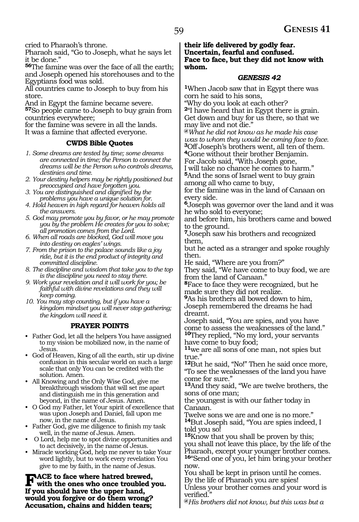cried to Pharaoh's throne.

Pharaoh said, "Go to Joseph, what he says let it be done."

**<sup>56</sup>**The famine was over the face of all the earth; and Joseph opened his storehouses and to the Egyptians food was sold.

All countries came to Joseph to buy from his store.

And in Egypt the famine became severe. **<sup>57</sup>**So people came to Joseph to buy grain from countries everywhere;

for the famine was severe in all the lands. It was a famine that affected everyone.

## **CWDS Bible Quotes**

- *1. Some dreams are tested by time; some dreams are connected in time; the Person to connect the dreams will be the Person who controls dreams, destinies and time.*
- *2. Your destiny helpers may be rightly positioned but preoccupied and have forgotten you.*
- *3. You are distinguished and dignified by the problems you have a unique solution for.*
- *4. Hold heaven in high regard for heaven holds all the answers.*
- *5. God may promote you by favor, or he may promote you by the problem He creates for you to solve; all promotion comes from the Lord.*
- *6. When all roads are blocked, God will move you into destiny on eagles' wings.*
- *7. From the prison to the palace sounds like a joy ride, but it is the end product of integrity and committed discipline.*
- *8. The discipline and wisdom that take you to the top is the discipline you need to stay there.*
- *9. Work your revelation and it will work for you; be faithful with divine revelations and they will keep coming.*
- *10. You may stop counting, but if you have a kingdom mindset you will never stop gathering; the kingdom will need it.*

## **PRAYER POINTS**

- Father God, let all the helpers You have assigned to my vision be mobilized now, in the name of Jesus.
- God of Heaven, King of all the earth, stir up divine confusion in this secular world on such a large scale that only You can be credited with the solution. Amen.
- All Knowing and the Only Wise God, give me breakthrough wisdom that will set me apart and distinguish me in this generation and beyond, in the name of Jesus. Amen.
- O God my Father, let Your spirit of excellence that was upon Joseph and Daniel, fall upon me now, in the name of Jesus.
- Father God, give me diligence to finish my task well, in the name of Jesus. Amen.
- O Lord, help me to spot divine opportunities and to act decisively, in the name of Jesus.
- Miracle working God, help me never to take Your word lightly, but to work every revelation You give to me by faith, in the name of Jesus.

FACE to face where hatred brewed,<br>with the ones who once troubled you. **If you should have the upper hand, would you forgive or do them wrong? Accusation, chains and hidden tears;**

**their life delivered by godly fear. Uncertain, fearful and confused. Face to face, but they did not know with whom.**

#### *GENESIS 42*

**<sup>1</sup>**When Jacob saw that in Egypt there was corn he said to his sons,

"Why do you look at each other? **<sup>2</sup>**"I have heard that in Egypt there is grain.

Get down and buy for us there, so that we may live and not die."

**@***What he did not know as he made his case was to whom they would be coming face to face.* **<sup>3</sup>**Off Joseph's brothers went, all ten of them.

**<sup>4</sup>**Gone without their brother Benjamin.

For Jacob said, "With Joseph gone, I will take no chance he comes to harm."

**<sup>5</sup>**And the sons of Israel went to buy grain among all who came to buy,

for the famine was in the land of Canaan on every side.

**<sup>6</sup>**Joseph was governor over the land and it was he who sold to everyone;

and before him, his brothers came and bowed to the ground.

**<sup>7</sup>**Joseph saw his brothers and recognized them,

but he acted as a stranger and spoke roughly then.

He said, "Where are you from?"

They said, "We have come to buy food, we are from the land of Canaan."

**<sup>8</sup>**Face to face they were recognized, but he made sure they did not realize.

**<sup>9</sup>**As his brothers all bowed down to him, Joseph remembered the dreams he had dreamt.

Joseph said, "You are spies, and you have come to assess the weaknesses of the land." **<sup>10</sup>**They replied, "No my lord, your servants have come to buy food;

**<sup>11</sup>**we are all sons of one man, not spies but true."

**<sup>12</sup>**But he said, "No!" Then he said once more, "To see the weaknesses of the land you have come for sure."

**<sup>13</sup>**And they said, "We are twelve brothers, the sons of one man;

the youngest is with our father today in Canaan.

Twelve sons we are and one is no more." **<sup>14</sup>**But Joseph said, "You are spies indeed, I told you so!

**<sup>15</sup>**Know that you shall be proven by this; you shall not leave this place, by the life of the Pharaoh, except your younger brother comes. **<sup>16</sup>**"Send one of you, let him bring your brother now.

You shall be kept in prison until he comes. By the life of Pharaoh you are spies!

Unless your brother comes and your word is verified.

**@***His brothers did not know, but this was but a*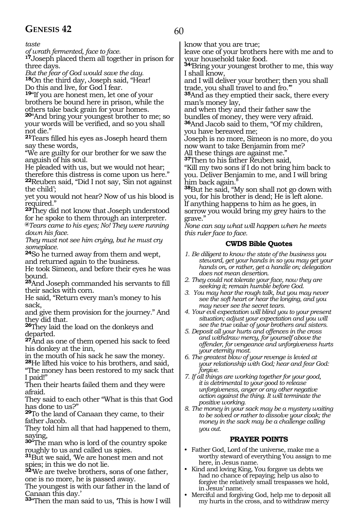## **GENESIS 42** 60

*taste* 

*of wrath fermented, face to face.*

**<sup>17</sup>**Joseph placed them all together in prison for three days.

*But the fear of God would save the day.* **<sup>18</sup>**On the third day, Joseph said, "Hear!

Do this and live, for God I fear.

**<sup>19</sup>**"If you are honest men, let one of your brothers be bound here in prison, while the others take back grain for your homes.

**<sup>20</sup>**"And bring your youngest brother to me; so your words will be verified, and so you shall not die."

**<sup>21</sup>**Tears filled his eyes as Joseph heard them say these words,

"We are guilty for our brother for we saw the anguish of his soul.

He pleaded with us, but we would not hear; therefore this distress is come upon us here."

**<sup>22</sup>**Reuben said, "Did I not say, 'Sin not against the child';

yet you would not hear? Now of us his blood is required."

**<sup>23</sup>**They did not know that Joseph understood for he spoke to them through an interpreter. **@***Tears came to his eyes; No! They were running down his face.*

*They must not see him crying, but he must cry someplace.*

**<sup>24</sup>**So he turned away from them and wept, and returned again to the business.

He took Simeon, and before their eyes he was bound.

**<sup>25</sup>**And Joseph commanded his servants to fill their sacks with corn.

He said, "Return every man's money to his sack,

and give them provision for the journey." And they did that.

**<sup>26</sup>**They laid the load on the donkeys and departed.

**<sup>27</sup>**And as one of them opened his sack to feed his donkey at the inn,

in the mouth of his sack he saw the money.

**<sup>28</sup>**He lifted his voice to his brothers, and said, "The money has been restored to my sack that

I paid!"

Then their hearts failed them and they were afraid.

They said to each other "What is this that God has done to us?"

**<sup>29</sup>**To the land of Canaan they came, to their father Jacob.

They told him all that had happened to them, saying,

**<sup>30</sup>**"The man who is lord of the country spoke roughly to us and called us spies.

**<sup>31</sup>**But we said, 'We are honest men and not spies; in this we do not lie.

**<sup>32</sup>**'We are twelve brothers, sons of one father, one is no more, he is passed away.

The youngest is with our father in the land of Canaan this day.'

**<sup>33</sup>**"Then the man said to us, 'This is how I will

know that you are true;

leave one of your brothers here with me and to your household take food.

**<sup>34</sup>**'Bring your youngest brother to me, this way I shall know,

and I will deliver your brother; then you shall trade, you shall travel to and fro.'"

**<sup>35</sup>**And as they emptied their sack, there every man's money lay,

and when they and their father saw the bundles of money, they were very afraid.

**<sup>36</sup>**And Jacob said to them, "Of my children, you have bereaved me;

Joseph is no more, Simeon is no more, do you now want to take Benjamin from me?

All these things are against me."

**<sup>37</sup>**Then to his father Reuben said,

"Kill my two sons if I do not bring him back to you. Deliver Benjamin to me, and I will bring him back again."

**<sup>38</sup>**But he said, "My son shall not go down with you, for his brother is dead; He is left alone. If anything happens to him as he goes, in sorrow you would bring my grey hairs to the grave."

*None can say what will happen when he meets this ruler face to face.* 

## **CWDS Bible Quotes**

- *1. Be diligent to know the state of the business you steward, get your hands in so you may get your hands on, or rather, get a handle on; delegation does not mean desertion.*
- *2. They could not tolerate your face, now they are seeking it; remain humble before God.*
- *3. You may hear the rough talk, but you may never see the soft heart or hear the longing, and you may never see the secret tears.*
- *4. Your evil expectation will blind you to your present situation; adjust your expectation and you will see the true value of your brothers and sisters.*
- *5. Deposit all your hurts and offences in the cross and withdraw mercy, for yourself above the offender, for vengeance and unforgiveness hurts your eternity most.*
- *6. The greatest blow of your revenge is levied at your relationship with God; hear and fear God: forgive.*
- *7. If all things are working together for your good, it is detrimental to your good to release unforgiveness, anger or any other negative action against the thing. It will terminate the positive working.*
- *8. The money in your sack may be a mystery waiting to be solved or rather to dissolve your cloak; the money in the sack may be a challenge calling you out.*

## **PRAYER POINTS**

- Father God, Lord of the universe, make me a worthy steward of everything You assign to me here, in Jesus name.
- Kind and loving King, You forgave us debts we had no chance of repaying; help us also to forgive the relatively small trespasses we hold, in Jesus' name.
- Merciful and forgiving God, help me to deposit all my hurts in the cross, and to withdraw mercy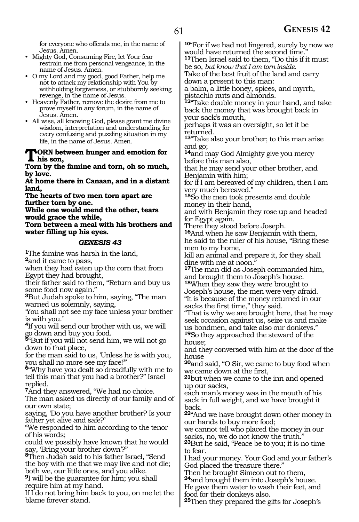for everyone who offends me, in the name of Jesus. Amen.

- Mighty God, Consuming Fire, let Your fear restrain me from personal vengeance, in the name of Jesus. Amen.
- O my Lord and my good, good Father, help me not to attack my relationship with You by withholding forgiveness, or stubbornly seeking revenge, in the name of Jesus.
- Heavenly Father, remove the desire from me to prove myself in any forum, in the name of Jesus. Amen.
- All wise, all knowing God, please grant me divine wisdom, interpretation and understanding for every confusing and puzzling situation in my life, in the name of Jesus. Amen.

#### **NORN** between hunger and emotion for **his son,**

**Torn by the famine and torn, oh so much, by love.**

**At home there in Canaan, and in a distant land,**

**The hearts of two men torn apart are further torn by one.** 

**While one would mend the other, tears would grace the while,**

**Torn between a meal with his brothers and water filling up his eyes.**

#### *GENESIS 43*

**<sup>1</sup>**The famine was harsh in the land, **<sup>2</sup>**and it came to pass,

when they had eaten up the corn that from Egypt they had brought,

their father said to them, "Return and buy us some food now again."

**<sup>3</sup>**But Judah spoke to him, saying, "The man warned us solemnly, saying,

'You shall not see my face unless your brother is with you.'

**<sup>4</sup>**If you will send our brother with us, we will go down and buy you food.

**<sup>5</sup>**"But if you will not send him, we will not go down to that place,

for the man said to us, 'Unless he is with you, you shall no more see my face!'"

**<sup>6</sup>**"Why have you dealt so dreadfully with me to tell this man that you had a brother?" Israel replied.

**<sup>7</sup>**And they answered, "We had no choice.

The man asked us directly of our family and of our own state;

saying, 'Do you have another brother? Is your father yet alive and safe?'

"We responded to him according to the tenor of his words;

could we possibly have known that he would say, 'Bring your brother down'?"

**<sup>8</sup>**Then Judah said to his father Israel, "Send the boy with me that we may live and not die; both we, our little ones, and you alike.

**<sup>9</sup>**I will be the guarantee for him; you shall require him at my hand.

If I do not bring him back to you, on me let the blame forever stand.

**<sup>10</sup>**"For if we had not lingered, surely by now we would have returned the second time.

**<sup>11</sup>**Then Israel said to them, "Do this if it must be so, *but know that I am torn inside.*

Take of the best fruit of the land and carry down a present to this man:

a balm, a little honey, spices, and myrrh, pistachio nuts and almonds.

**<sup>12</sup>**"Take double money in your hand, and take back the money that was brought back in your sack's mouth,

perhaps it was an oversight, so let it be returned.

**<sup>13</sup>**"Take also your brother; to this man arise and go;

**<sup>14</sup>**and may God Almighty give you mercy before this man also,

that he may send your other brother, and Benjamin with him;

for if I am bereaved of my children, then I am very much bereaved."

**<sup>15</sup>**So the men took presents and double money in their hand,

and with Benjamin they rose up and headed for Egypt again.

There they stood before Joseph.

**<sup>16</sup>**And when he saw Benjamin with them, he said to the ruler of his house, "Bring these men to my home,

kill an animal and prepare it, for they shall dine with me at noon.

**<sup>17</sup>**The man did as Joseph commanded him, and brought them to Joseph's house.

**<sup>18</sup>**When they saw they were brought to Joseph's house, the men were very afraid.

"It is because of the money returned in our sacks the first time," they said.

"That is why we are brought here, that he may seek occasion against us, seize us and make us bondmen, and take also our donkeys." **<sup>19</sup>**So they approached the steward of the

house;

and they conversed with him at the door of the house

**<sup>20</sup>**and said, "O Sir, we came to buy food when we came down at the first,

**<sup>21</sup>**but when we came to the inn and opened up our sacks,

each man's money was in the mouth of his sack in full weight, and we have brought it back.

**<sup>22</sup>**"And we have brought down other money in our hands to buy more food;

we cannot tell who placed the money in our sacks, no, we do not know the truth."

**<sup>23</sup>**But he said, "Peace be to you; it is no time to fear.

I had your money. Your God and your father's God placed the treasure there."

Then he brought Simeon out to them,

**<sup>24</sup>**and brought them into Joseph's house. He gave them water to wash their feet, and

food for their donkeys also.

**25**Then they prepared the gifts for Joseph's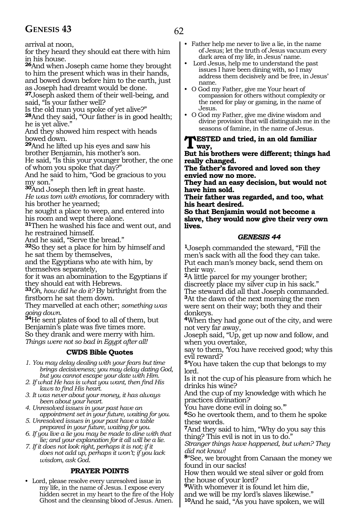## GENESIS 43 62

arrival at noon,

for they heard they should eat there with him in his house.

**<sup>26</sup>**And when Joseph came home they brought to him the present which was in their hands, and bowed down before him to the earth, just

as Joseph had dreamt would be done. **<sup>27</sup>**Joseph asked them of their well-being, and said, "Is your father well?

Is the old man you spoke of yet alive?"

**<sup>28</sup>**And they said, "Our father is in good health; he is yet alive."

And they showed him respect with heads bowed down.

**<sup>29</sup>**And he lifted up his eyes and saw his brother Benjamin, his mother's son.

He said, "Is this your younger brother, the one of whom you spoke that day?"

And he said to him, "God be gracious to you my son."

**<sup>30</sup>**And Joseph then left in great haste.

*He was torn with emotions,* for comradery with his brother he yearned;

he sought a place to weep, and entered into his room and wept there alone.

**<sup>31</sup>**Then he washed his face and went out, and he restrained himself.

And he said, "Serve the bread."

**<sup>32</sup>**So they set a place for him by himself and he sat them by themselves,

and the Egyptians who ate with him, by themselves separately,

for it was an abomination to the Egyptians if they should eat with Hebrews.

**<sup>33</sup>***Oh, how did he do it?* By birthright from the firstborn he sat them down.

They marvelled at each other; *something was going down.*

**<sup>34</sup>**He sent plates of food to all of them, but Benjamin's plate was five times more. So they drank and were merry with him. *Things were not so bad in Egypt after all!*

## **CWDS Bible Quotes**

*1. You may delay dealing with your fears but time brings decisiveness; you may delay dating God, but you cannot escape your date with Him.*

*2. If what He has is what you want, then find His laws to find His heart.*

*3. It was never about your money, it has always been about your heart.*

*4. Unresolved issues in your past have an appointment set in your future, waiting for you.*

- *5. Unresolved issues in your past have a table prepared in your future, waiting for you.*
- *6. If you live a lie you may be made to dine with that lie; and your explanation for it all will be a lie.*

*7. If it does not look right, perhaps it is not; if it does not add up, perhaps it won't; if you lack wisdom, ask God.*

## **PRAYER POINTS**

• Lord, please resolve every unresolved issue in my life, in the name of Jesus. I expose every hidden secret in my heart to the fire of the Holy Ghost and the cleansing blood of Jesus. Amen.

- Father help me never to live a lie, in the name of Jesus; let the truth of Jesus vacuum every dark area of my life, in Jesus' name.
- Lord Jesus, help me to understand the past issues I have been dining with, so I may address them decisively and be free, in Jesus' name.
- O God my Father, give me Your heart of compassion for others without complexity or the need for play or gaming, in the name of Jesus.
- O God my Father, give me divine wisdom and divine provision that will distinguish me in the seasons of famine, in the name of Jesus.

#### **NESTED and tried, in an old familiar way,**

**But his brothers were different; things had really changed.**

**The father's favored and loved son they envied now no more.**

**They had an easy decision, but would not have him sold.**

**Their father was regarded, and too, what his heart desired.**

**So that Benjamin would not become a slave, they would now give their very own lives.**

#### *GENESIS 44*

**<sup>1</sup>**Joseph commanded the steward, "Fill the men's sack with all the food they can take. Put each man's money back, send them on their way.

**<sup>2</sup>**A little parcel for my younger brother; discreetly place my silver cup in his sack." The steward did all that Joseph commanded. **<sup>3</sup>**At the dawn of the next morning the men were sent on their way; both they and their donkeys.

**<sup>4</sup>**When they had gone out of the city, and were not very far away,

Joseph said, "Up, get up now and follow, and when you overtake,

say to them, 'You have received good; why this evil reward?

**<sup>5</sup>**'You have taken the cup that belongs to my lord.

Is it not the cup of his pleasure from which he drinks his wine?

And the cup of my knowledge with which he practices divination?

You have done evil in doing so.'"

**<sup>6</sup>**So he overtook them, and to them he spoke these words.

**<sup>7</sup>**And they said to him, "Why do you say this thing? This evil is not in us to do."

*Stranger things have happened, but when? They did not know!*

**<sup>8</sup>**"See, we brought from Canaan the money we found in our sacks!

How then would we steal silver or gold from the house of your lord?

**<sup>9</sup>**With whomever it is found let him die, and we will be my lord's slaves likewise."

**10**And he said, "As you have spoken, we will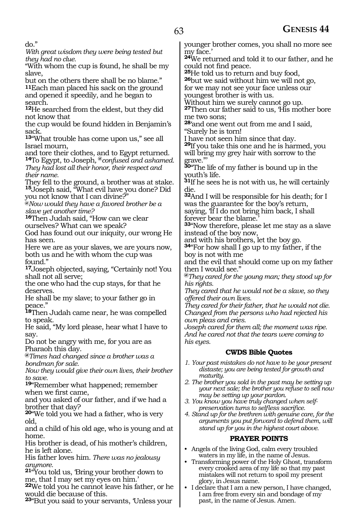do."

*With great wisdom they were being tested but they had no clue.*

"With whom the cup is found, he shall be my slave,

but on the others there shall be no blame." **11**Each man placed his sack on the ground and opened it speedily, and he began to search.

**<sup>12</sup>**He searched from the eldest, but they did not know that

the cup would be found hidden in Benjamin's sack.

**<sup>13</sup>**"What trouble has come upon us," see all Israel mourn,

and tore their clothes, and to Egypt returned. **<sup>14</sup>**To Egypt, to Joseph*,* **@***confused and ashamed. They had lost all their honor, their respect and* 

*their name.*

They fell to the ground, a brother was at stake. **<sup>15</sup>**Joseph said, "What evil have you done? Did you not know that I can divine?"

**@***Now would they have a favored brother be a slave yet another time?*

**<sup>16</sup>**Then Judah said, "How can we clear ourselves? What can we speak?

God has found out our iniquity, our wrong He has seen.

Here we are as your slaves, we are yours now, both us and he with whom the cup was found."

**<sup>17</sup>**Joseph objected, saying, "Certainly not! You shall not all serve;

the one who had the cup stays, for that he deserves.

He shall be my slave; to your father go in peace."

**<sup>18</sup>**Then Judah came near, he was compelled to speak.

He said, "My lord please, hear what I have to say.

Do not be angry with me, for you are as Pharaoh this day.

**@***Times had changed since a brother was a bondman for sale.*

*Now they would give their own lives, their brother to save.* 

**<sup>19</sup>**"Remember what happened; remember when we first came,

and you asked of our father, and if we had a brother that day?

**<sup>20</sup>**"We told you we had a father, who is very old,

and a child of his old age, who is young and at home.

His brother is dead, of his mother's children, he is left alone.

His father loves him. *There was no jealousy anymore.*

**<sup>21</sup>**"You told us, 'Bring your brother down to me, that I may set my eyes on him.'

**<sup>22</sup>**We told you he cannot leave his father, or he would die because of this.

**<sup>23</sup>**"But you said to your servants, 'Unless your

younger brother comes, you shall no more see my face.'

**<sup>24</sup>**We returned and told it to our father, and he could not find peace.<br><sup>25</sup>He told us to return and buy food,

**26**but we said without him we will not go, for we may not see your face unless our youngest brother is with us.

Without him we surely cannot go up. **<sup>27</sup>**Then our father said to us, 'His mother bore me two sons;

**<sup>28</sup>**'and one went out from me and I said, "Surely he is torn!

I have not seen him since that day.

**<sup>29</sup>**If you take this one and he is harmed, you will bring my grey hair with sorrow to the grave."'

**<sup>30</sup>**"The life of my father is bound up in the youth's life.

**<sup>31</sup>**If he sees he is not with us, he will certainly die.

**<sup>32</sup>**And I will be responsible for his death; for I was the guarantee for the boy's return, saying, 'If I do not bring him back, I shall forever bear the blame.

**<sup>33</sup>**"Now therefore, please let me stay as a slave instead of the boy now,

and with his brothers, let the boy go.

**<sup>34</sup>**"For how shall I go up to my father, if the boy is not with me

and the evil that should come up on my father then I would see."

**@***They cared for the young man; they stood up for his rights.*

*They cared that he would not be a slave, so they offered their own lives.*

*They cared for their father, that he would not die. Changed from the persons who had rejected his own pleas and cries.*

*Joseph cared for them all; the moment was ripe. And he cared not that the tears were coming to his eyes.*

## **CWDS Bible Quotes**

- *1. Your past mistakes do not have to be your present distaste; you are being tested for growth and maturity.*
- *2. The brother you sold in the past may be setting up your next sale; the brother you refuse to sell now may be setting up your pardon.*
- *3. You know you have truly changed when selfpreservation turns to selfless sacrifice.*

*4. Stand up for the brethren with genuine care, for the arguments you put forward to defend them, will stand up for you in the highest court above.*

## **PRAYER POINTS**

- Angels of the living God, calm every troubled waters in my life, in the name of Jesus.
- Transforming power of the Holy Ghost, transform every crooked area of my life so that my past mistakes will not return to spoil my present glory, in Jesus name.
- I declare that I am a new person, I have changed, I am free from every sin and bondage of my past, in the name of Jesus. Amen.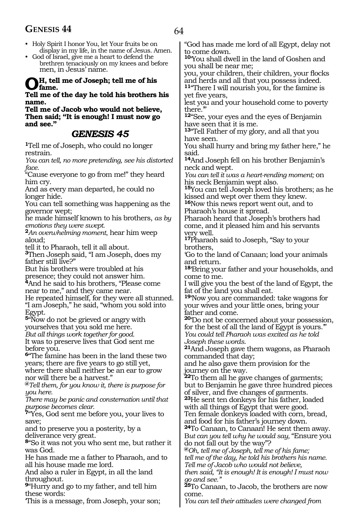## **GENESIS 44** 64

- Holy Spirit I honor You, let Your fruits be on display in my life, in the name of Jesus. Amen.
- God of Israel, give me a heart to defend the brethren tenaciously on my knees and before men, in Jesus' name.

## **Oh, tell me of Joseph; tell me of his fame.**

#### **Tell me of the day he told his brothers his name.**

**Tell me of Jacob who would not believe, Then said; "It is enough! I must now go and see."**

## *GENESIS 45*

**<sup>1</sup>**Tell me of Joseph, who could no longer restrain.

*You can tell, no more pretending, see his distorted face.*

"Cause everyone to go from me!" they heard him cry.

And as every man departed, he could no longer hide.

You can tell something was happening as the governor wept;

he made himself known to his brothers, *as by emotions they were swept.*

**<sup>2</sup>***An overwhelming moment*, hear him weep aloud;

tell it to Pharaoh, tell it all about.

**<sup>3</sup>**Then Joseph said, "I am Joseph, does my father still live?"

But his brothers were troubled at his presence; they could not answer him.

**<sup>4</sup>**And he said to his brothers, "Please come near to me," and they came near.

He repeated himself, for they were all stunned. "I am Joseph," he said, "whom you sold into Egypt.

**<sup>5</sup>**"Now do not be grieved or angry with yourselves that you sold me here.

*But all things work together for good.*

It was to preserve lives that God sent me before you.

**<sup>6</sup>**"The famine has been in the land these two years; there are five years to go still yet, where there shall neither be an ear to grow nor will there be a harvest."

**@***Tell them, for you know it, there is purpose for you here.*

*There may be panic and consternation until that purpose becomes clear.*

**<sup>7</sup>**"Yes, God sent me before you, your lives to save;

and to preserve you a posterity, by a deliverance very great.

**<sup>8</sup>**"So it was not you who sent me, but rather it was God.

He has made me a father to Pharaoh, and to all his house made me lord.

And also a ruler in Egypt, in all the land throughout.

**<sup>9</sup>**"Hurry and go to my father, and tell him these words:

'This is a message, from Joseph, your son;

"God has made me lord of all Egypt, delay not to come down.

**<sup>10</sup>**'You shall dwell in the land of Goshen and you shall be near me;

you, your children, their children, your flocks and herds and all that you possess indeed.

**<sup>11</sup>**"There I will nourish you, for the famine is yet five years,

lest you and your household come to poverty there.'"

**<sup>12</sup>**"See, your eyes and the eyes of Benjamin have seen that it is me.

**<sup>13</sup>**"Tell Father of my glory, and all that you have seen.

You shall hurry and bring my father here," he said.

**<sup>14</sup>**And Joseph fell on his brother Benjamin's neck and wept.

*You can tell it was a heart-rending moment;* on his neck Benjamin wept also.

**<sup>15</sup>**You can tell Joseph loved his brothers; as he kissed and wept over them they knew.

**<sup>16</sup>**Now this news report went out, and to Pharaoh's house it spread.

Pharaoh heard that Joseph's brothers had come, and it pleased him and his servants very well.

**<sup>17</sup>**Pharaoh said to Joseph, "Say to your brothers,

'Go to the land of Canaan; load your animals and return.

**<sup>18</sup>**'Bring your father and your households, and come to me.

I will give you the best of the land of Egypt, the fat of the land you shall eat.

**<sup>19</sup>**'Now you are commanded: take wagons for your wives and your little ones, bring your father and come.

**<sup>20</sup>**'Do not be concerned about your possession, for the best of all the land of Egypt is yours.'" *You could tell Pharaoh was excited as he told* 

**21**And Joseph gave them wagons, as Pharaoh commanded that day;

and he also gave them provision for the journey on the way.

**<sup>22</sup>**To them all he gave changes of garments; but to Benjamin he gave three hundred pieces of silver, and five changes of garments. **<sup>23</sup>**He sent ten donkeys for his father, loaded

with all things of Egypt that were good. Ten female donkeys loaded with corn, bread,

and food for his father's journey down.

**<sup>24</sup>**To Canaan, to Canaan! He sent them away. B*ut can you tell why he would say,* "Ensure you do not fall out by the way"?

**@***Oh, tell me of Joseph, tell me of his fame; tell me of the day, he told his brothers his name. Tell me of Jacob who would not believe,*

*then said, "It is enough! It is enough! I must now go and see."*

**<sup>25</sup>**To Canaan, to Jacob, the brothers are now come.

*You can tell their attitudes were changed from*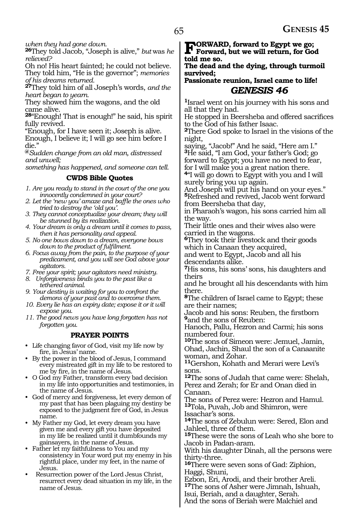*when they had gone down.*

**<sup>26</sup>**They told Jacob, "Joseph is alive," *but* was *he relieved?*

Oh no! His heart fainted; he could not believe. They told him, "He is the governor"; *memories of his dreams returned.*

**<sup>27</sup>**They told him of all Joseph's words, *and the heart began to yearn.*

They showed him the wagons, and the old came alive.

**<sup>28</sup>**"Enough! That is enough!" he said, his spirit fully revived.

"Enough, for I have seen it; Joseph is alive. Enough, I believe it; I will go see him before I die."

**@***Sudden change from an old man, distressed and unwell;*

*something has happened, and someone can tell.*

#### **CWDS Bible Quotes**

*1. Are you ready to stand in the court of the one you innocently condemned in your court?*

- *2. Let the 'new you' amaze and baffle the ones who tried to destroy the 'old you'.*
- *3. They cannot conceptualize your dream; they will be stunned by its realization.*
- *4. Your dream is only a dream until it comes to pass, then it has personality and appeal.*
- *5. No one bows down to a dream, everyone bows down to the product of fulfilment.*
- *6. Focus away from the pain, to the purpose of your predicament, and you will see God above your agitators.*
- *7. Free your spirit; your agitators need ministry.*
- *8. Unforgiveness binds you to the past like a tethered animal.*
- *9. Your destiny is waiting for you to confront the demons of your past and to overcome them.*
- *10. Every lie has an expiry date; expose it or it will expose you.*
- *11. The good news you have long forgotten has not forgotten you.*

#### **PRAYER POINTS**

- Life changing favor of God, visit my life now by fire, in Jesus' name.
- By the power in the blood of Jesus, I command every mistreated gift in my life to be restored to me by fire, in the name of Jesus.
- O God my Father, transform every bad decision in my life into opportunities and testimonies, in the name of Jesus.
- God of mercy and forgiveness, let every demon of my past that has been plaguing my destiny be exposed to the judgment fire of God, in Jesus name.
- My Father my God, let every dream you have given me and every gift you have deposited in my life be realized until it dumbfounds my gainsayers, in the name of Jesus.
- Father let my faithfulness to You and my consistency in Your word put my enemy in his rightful place, under my feet, in the name of Jesus.
- Resurrection power of the Lord Jesus Christ, resurrect every dead situation in my life, in the name of Jesus.

## **Forward, forward to Egypt we go; Forward, but we will return, for God told me so.**

**The dead and the dying, through turmoil survived;**

## **Passionate reunion, Israel came to life!** *GENESIS 46*

**<sup>1</sup>**Israel went on his journey with his sons and all that they had.

He stopped in Beersheba and offered sacrifices to the God of his father Isaac.

**<sup>2</sup>**There God spoke to Israel in the visions of the night,

saying, "Jacob!" And he said, "Here am I." **<sup>3</sup>**He said, "I am God, your father's God; go forward to Egypt; you have no need to fear, for I will make you a great nation there.

**<sup>4</sup>**"I will go down to Egypt with you and I will surely bring you up again.

And Joseph will put his hand on your eyes." **<sup>5</sup>**Refreshed and revived, Jacob went forward from Beersheba that day,

in Pharaoh's wagon, his sons carried him all the way.

Their little ones and their wives also were carried in the wagons.

**<sup>6</sup>**They took their livestock and their goods which in Canaan they acquired,

and went to Egypt, Jacob and all his descendants alike.

**<sup>7</sup>**His sons, his sons' sons, his daughters and theirs

and he brought all his descendants with him there.

**<sup>8</sup>**The children of Israel came to Egypt; these are their names;

Jacob and his sons: Reuben, the firstborn **<sup>9</sup>**and the sons of Reuben:

Hanoch, Pallu, Hezron and Carmi; his sons numbered four.

**<sup>10</sup>**The sons of Simeon were: Jemuel, Jamin, Ohad, Jachin, Shaul the son of a Canaanite woman, and Zohar.

**<sup>11</sup>**Gershon, Kohath and Merari were Levi's sons.

**<sup>12</sup>**The sons of Judah that came were: Shelah, Perez and Zerah; for Er and Onan died in Canaan.

The sons of Perez were: Hezron and Hamul. **<sup>13</sup>**Tola, Puvah, Job and Shimron, were Issachar's sons.

**<sup>14</sup>**The sons of Zebulun were: Sered, Elon and Jahleel, three of them.

**<sup>15</sup>**These were the sons of Leah who she bore to Jacob in Padan-aram.

With his daughter Dinah, all the persons were thirty-three.

**<sup>16</sup>**There were seven sons of Gad: Ziphion, Haggi, Shuni,

Ezbon, Eri, Arodi, and their brother Areli. **<sup>17</sup>**The sons of Asher were Jimnah, Ishuah, Isui, Beriah, and a daughter, Serah.

And the sons of Beriah were Malchiel and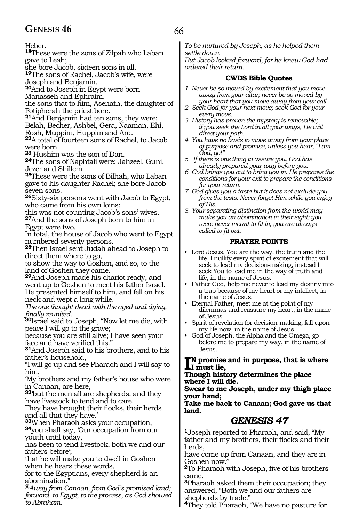## GENESIS 46 66

Heber.

**<sup>18</sup>**These were the sons of Zilpah who Laban gave to Leah;

she bore Jacob, sixteen sons in all.

**<sup>19</sup>**The sons of Rachel, Jacob's wife, were Joseph and Benjamin.

**<sup>20</sup>**And to Joseph in Egypt were born

Manasseh and Ephraim,

the sons that to him, Asenath, the daughter of Potipherah the priest bore.

**<sup>21</sup>**And Benjamin had ten sons, they were:

Belah, Becher, Ashbel, Gera, Naaman, Ehi,

Rosh, Muppim, Huppim and Ard.

**<sup>22</sup>**A total of fourteen sons of Rachel, to Jacob were born.

**<sup>23</sup>** Hushim was the son of Dan.

**<sup>24</sup>**The sons of Naphtali were: Jahzeel, Guni, Jezer and Shillem.

**<sup>25</sup>**These were the sons of Bilhah, who Laban gave to his daughter Rachel; she bore Jacob seven sons.

**<sup>26</sup>**Sixty-six persons went with Jacob to Egypt, who came from his own loins;

this was not counting Jacob's sons' wives. **<sup>27</sup>**And the sons of Joseph born to him in Egypt were two.

In total, the house of Jacob who went to Egypt numbered seventy persons.

**<sup>28</sup>**Then Israel sent Judah ahead to Joseph to direct them where to go,

to show the way to Goshen, and so, to the land of Goshen they came.

**<sup>29</sup>**And Joseph made his chariot ready, and went up to Goshen to meet his father Israel. He presented himself to him, and fell on his neck and wept a long while.

*The one thought dead with the aged and dying, finally reunited.*

**<sup>30</sup>**Israel said to Joseph, "Now let me die, with peace I will go to the grave;

because you are still alive; I have seen your face and have verified this."

**<sup>31</sup>**And Joseph said to his brothers, and to his father's household,

"I will go up and see Pharaoh and I will say to him,

'My brothers and my father's house who were in Canaan, are here,

**<sup>32</sup>**'but the men all are shepherds, and they have livestock to tend and to care.

They have brought their flocks, their herds and all that they have.'<br><sup>33</sup>When Pharaoh asks your occupation,

**34**you shall say, 'Our occupation from our youth until today,

has been to tend livestock, both we and our fathers before';

that he will make you to dwell in Goshen when he hears these words,

for to the Egyptians, every shepherd is an abomination.

**@***Away from Canaan, from God's promised land; forward, to Egypt, to the process, as God showed to Abraham.*

*To be nurtured by Joseph, as he helped them settle down.*

*But Jacob looked forward, for he knew God had ordered their return.*

#### **CWDS Bible Quotes**

- *1. Never be so moved by excitement that you move away from your altar; never be so moved by your heart that you move away from your call.*
- *2. Seek God for your next move; seek God for your every move.*
- *3. History has proven the mystery is removable; if you seek the Lord in all your ways, He will direct your path.*
- *4. You have no basis to move away from your place of purpose and promise, unless you hear, "I am God; go!"*
- *5. If there is one thing to assure you, God has already prepared your way before you.*
- *6. God brings you out to bring you in. He prepares the conditions for your exit to prepare the conditions for your return.*
- *7. God gives you a taste but it does not exclude you from the tests. Never forget Him while you enjoy of His.*

*8. Your separating distinction from the world may make you an abomination in their sight; you were never meant to fit in; you are always called to fit out.*

#### **PRAYER POINTS**

- Lord Jesus, You are the way, the truth and the life, I nullify every spirit of excitement that will seek to lead my decision-making, instead I seek You to lead me in the way of truth and life, in the name of Jesus.
- Father God, help me never to lead my destiny into a trap because of my heart or my intellect, in the name of Jesus.

• Eternal Father, meet me at the point of my dilemmas and reassure my heart, in the name of Jesus.

- Spirit of revelation for decision-making, fall upon my life now, in the name of Jesus.
- God of Joseph, the Alpha and the Omega, go before me to prepare my way, in the name of Jesus.

**I**<sup>N</sup> promise and in purpose, that is where<br>I must lie,<br>That the above determines the alone **I must lie,**

**Though history determines the place where I will die.**

**Swear to me Joseph, under my thigh place your hand;**

**Take me back to Canaan; God gave us that land.**

## *GENESIS 47*

**<sup>1</sup>**Joseph reported to Pharaoh, and said, "My father and my brothers, their flocks and their herds,

have come up from Canaan, and they are in Goshen now.

**<sup>2</sup>**To Pharaoh with Joseph, five of his brothers came.

**<sup>3</sup>**Pharaoh asked them their occupation; they answered, "Both we and our fathers are shepherds by trade."

**4**They told Pharaoh, "We have no pasture for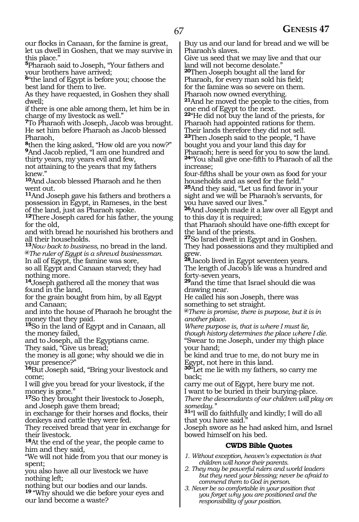our flocks in Canaan, for the famine is great, let us dwell in Goshen, that we may survive in this place."

**<sup>5</sup>**Pharaoh said to Joseph, "Your fathers and your brothers have arrived;

**<sup>6</sup>**"the land of Egypt is before you; choose the best land for them to live.

As they have requested, in Goshen they shall dwell;

if there is one able among them, let him be in charge of my livestock as well."

**<sup>7</sup>**To Pharaoh with Joseph, Jacob was brought. He set him before Pharaoh as Jacob blessed Pharaoh,

**<sup>8</sup>**then the king asked, "How old are you now?" **<sup>9</sup>**And Jacob replied, "I am one hundred and thirty years, my years evil and few,

not attaining to the years that my fathers knew."

**<sup>10</sup>**And Jacob blessed Pharaoh and he then went out.

**<sup>11</sup>**And Joseph gave his fathers and brothers a possession in Egypt, in Rameses, in the best of the land, just as Pharaoh spoke.

**<sup>12</sup>**There Joseph cared for his father, the young for the old,

and with bread he nourished his brothers and all their households.

**<sup>13</sup>***Now back to business,* no bread in the land. **@***The ruler of Egypt is a shrewd businessman.* In all of Egypt, the famine was sore,

so all Egypt and Canaan starved; they had nothing more.

**<sup>14</sup>**Joseph gathered all the money that was found in the land,

for the grain bought from him, by all Egypt and Canaan;

and into the house of Pharaoh he brought the money that they paid.

**<sup>15</sup>**So in the land of Egypt and in Canaan, all the money failed,

and to Joseph, all the Egyptians came.

They said, "Give us bread;

the money is all gone; why should we die in your presence?"

**<sup>16</sup>**But Joseph said, "Bring your livestock and come;

I will give you bread for your livestock, if the money is gone."

**<sup>17</sup>**So they brought their livestock to Joseph, and Joseph gave them bread;

in exchange for their horses and flocks, their donkeys and cattle they were fed.

They received bread that year in exchange for their livestock.

**<sup>18</sup>**At the end of the year, the people came to him and they said,

"We will not hide from you that our money is spent;

you also have all our livestock we have nothing left;

nothing but our bodies and our lands.

**<sup>19</sup>** "Why should we die before your eyes and our land become a waste?

Buy us and our land for bread and we will be Pharaoh's slaves.

Give us seed that we may live and that our land will not become desolate."

**<sup>20</sup>**Then Joseph bought all the land for

Pharaoh, for every man sold his field; for the famine was so severe on them.

Pharaoh now owned everything.

**<sup>21</sup>**And he moved the people to the cities, from one end of Egypt to the next.

**<sup>22</sup>**"He did not buy the land of the priests, for Pharaoh had appointed rations for them. Their lands therefore they did not sell.

**<sup>23</sup>**Then Joseph said to the people, "I have bought you and your land this day for

Pharaoh; here is seed for you to sow the land. **<sup>24</sup>**"You shall give one-fifth to Pharaoh of all the increase;

four-fifths shall be your own as food for your households and as seed for the field." **<sup>25</sup>**And they said, "Let us find favor in your sight and we will be Pharaoh's servants, for

you have saved our lives." **<sup>26</sup>**And Joseph made it a law over all Egypt and to this day it is required;

that Pharaoh should have one-fifth except for the land of the priests.

**<sup>27</sup>**So Israel dwelt in Egypt and in Goshen. They had possessions and they multiplied and grew.

**<sup>28</sup>**Jacob lived in Egypt seventeen years. The length of Jacob's life was a hundred and forty-seven years,

**<sup>29</sup>**and the time that Israel should die was drawing near.

He called his son Joseph, there was something to set straight.

**@***There is promise, there is purpose, but it is in another place.*

*Where purpose is, that is where I must lie, though history determines the place where I die.* "Swear to me Joseph, under my thigh place your hand;

be kind and true to me, do not bury me in Egypt, not here in this land.

**<sup>30</sup>**"Let me lie with my fathers, so carry me back;

carry me out of Egypt, here bury me not. I want to be buried in their burying-place.

*There the descendants of our children will play on someday."*

**<sup>31</sup>**"I will do faithfully and kindly; I will do all that you have said."

Joseph swore as he had asked him, and Israel bowed himself on his bed.

## **CWDS Bible Quotes**

- *1. Without exception, heaven's expectation is that children will honor their parents.*
- *2. They may be powerful rulers and world leaders but they need your blessing; never be afraid to commend them to God in person.*
- *3. Never be so comfortable in your position that you forget why you are positioned and the responsibility of your position.*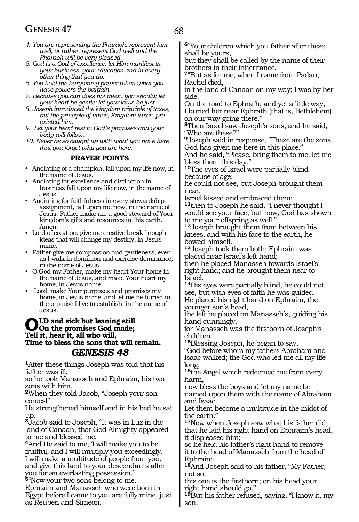## **GENESIS 47** 68

- *4. You are representing the Pharaoh, represent him well, or rather, represent God well and the Pharaoh will be very pleased.*
- *5. God is a God of excellence; let Him manifest in your business, your education and in every other thing that you do.*
- *6. You hold the bargaining power when what you have powers the bargain.*
- *7. Because you can does not mean you should; let your heart be gentle; let your laws be just.*
- *8. Joseph introduced the kingdom principle of taxes, but the principle of tithes, Kingdom taxes, preexisted him.*
- *9. Let your heart rest in God's promises and your body will follow.*

*10. Never be so caught up with what you have here that you forget why you are here.*

#### **PRAYER POINTS**

- Anointing of a champion, fall upon my life now, in the name of Jesus.
- Anointing for excellence and distinction in business fall upon my life now, in the name of Jesus.
- Anointing for faithfulness in every stewardship assignment, fall upon me now, in the name of Jesus. Father make me a good steward of Your kingdom's gifts and resources in this earth. Amen.
- Lord of creation, give me creative breakthrough ideas that will change my destiny, in Jesus name.
- Father give me compassion and gentleness, even as I walk in dominion and exercise dominance, in the name of Jesus.
- O God my Father, make my heart Your home in the name of Jesus, and make Your heart my home, in Jesus name.
- Lord, make Your purposes and promises my home, in Jesus name, and let me be buried in the promise I live to establish, in the name of Jesus.

## **OLD** and sick but leaning still<br>Tell it hear it all who will **Tell it, hear it, all who will, Time to bless the sons that will remain.** *GENESIS 48*

**<sup>1</sup>**After these things Joseph was told that his father was ill;

so he took Manasseh and Ephraim, his two sons with him.

**<sup>2</sup>**When they told Jacob, "Joseph your son comes!"

He strengthened himself and in his bed he sat up.

**<sup>3</sup>**Jacob said to Joseph, "It was in Luz in the land of Canaan, that God Almighty appeared to me and blessed me.

**<sup>4</sup>**And He said to me, 'I will make you to be fruitful, and I will multiply you exceedingly. I will make a multitude of people from you, and give this land to your descendants after you for an everlasting possession.'

**<sup>5</sup>**"Now your two sons belong to me.

Ephraim and Manasseh who were born in Egypt before I came to you are fully mine, just as Reuben and Simeon.

**<sup>6</sup>**"Your children which you father after these shall be yours,

but they shall be called by the name of their brothers in their inheritance.

**<sup>7</sup>**"But as for me, when I came from Padan, Rachel died,

in the land of Canaan on my way; I was by her side.

On the road to Ephrath, and yet a little way, I buried her near Ephrath (that is, Bethlehem) on our way going there."

**<sup>8</sup>**Then Israel saw Joseph's sons, and he said, "Who are these?"

**<sup>9</sup>**Joseph said in response, "These are the sons God has given me here in this place."

And he said, "Please, bring them to me; let me bless them this day."

**<sup>10</sup>**The eyes of Israel were partially blind because of age;

he could not see, but Joseph brought them near.

Israel kissed and embraced them; **<sup>11</sup>**then to Joseph he said, "I never thought I would see your face, but now, God has shown

to me your offspring as well."

**<sup>12</sup>**Joseph brought them from between his knees, and with his face to the earth, he bowed himself.

**<sup>13</sup>**Joseph took them both; Ephraim was placed near Israel's left hand;

then he placed Manasseh towards Israel's right hand; and he brought them near to Israel.

**<sup>14</sup>**His eyes were partially blind, he could not see, but with eyes of faith he was guided. He placed his right hand on Ephraim, the younger son's head,

the left he placed on Manasseh's, guiding his hand cunningly,

for Manasseh was the firstborn of Joseph's children.

**<sup>15</sup>**Blessing Joseph, he began to say,

"God before whom my fathers Abraham and Isaac walked; the God who led me all my life long,

**<sup>16</sup>**the Angel which redeemed me from every harm,

now bless the boys and let my name be named upon them with the name of Abraham and Isaac.

Let them become a multitude in the midst of the earth."

**<sup>17</sup>**Now when Joseph saw what his father did, that he laid his right hand on Ephraim's head, it displeased him;

so he held his father's right hand to remove it to the head of Manasseh from the head of Ephraim.

**<sup>18</sup>**And Joseph said to his father, "My Father, not so;

this one is the firstborn; on his head your right hand should go."

**<sup>19</sup>**But his father refused, saying, "I know it, my son;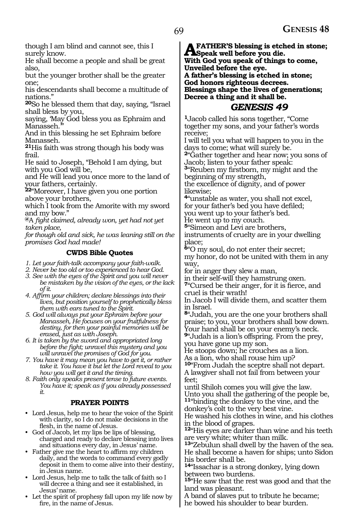though I am blind and cannot see, this I surely know.

He shall become a people and shall be great also,

but the younger brother shall be the greater one;

his descendants shall become a multitude of nations."

**<sup>20</sup>**So he blessed them that day, saying, "Israel shall bless by you,

saying, 'May God bless you as Ephraim and Manasseh.

And in this blessing he set Ephraim before Manasseh.

**<sup>21</sup>**His faith was strong though his body was frail.

He said to Joseph, "Behold I am dying, but with you God will be,

and He will lead you once more to the land of your fathers, certainly.

**<sup>22</sup>**"Moreover, I have given you one portion above your brothers,

which I took from the Amorite with my sword and my bow."

**@**A *fight claimed, already won, yet had not yet taken place,*

*for though old and sick, he was leaning still on the promises God had made!*

#### **CWDS Bible Quotes**

*1. Let your faith-talk accompany your faith-walk.*

*2. Never be too old or too experienced to hear God.* 

*3. See with the eyes of the Spirit and you will never be mistaken by the vision of the eyes, or the lack of it.*

*4. Affirm your children; declare blessings into their lives, but position yourself to prophetically bless them with ears tuned to the Spirit.*

*5. God will always put your Ephraim before your Manasseh, He focuses on your fruitfulness for destiny, for then your painful memories will be erased, just as with Joseph.*

*6. It is taken by the sword and appropriated long before the fight; unravel this mystery and you will unravel the promises of God for you.*

*7. You have it may mean you have to get it, or rather take it. You have it but let the Lord reveal to you how you will get it and the timing.*

*8. Faith only speaks present tense to future events. You have it; speak as if you already possessed it.*

#### **PRAYER POINTS**

• Lord Jesus, help me to hear the voice of the Spirit with clarity, so I do not make decisions in the flesh, in the name of Jesus.

• God of Jacob, let my lips be lips of blessing, charged and ready to declare blessing into lives and situations every day, in Jesus' name.

• Father give me the heart to affirm my children daily, and the words to command every godly deposit in them to come alive into their destiny, in Jesus name.

- Lord Jesus, help me to talk the talk of faith so I will decree a thing and see it established, in Jesus' name.
- Let the spirit of prophesy fall upon my life now by fire, in the name of Jesus.

**A FATHER'S blessing is etched in stone;**<br>Speak well before you die.<br>With Cod you good: of things to come. **With God you speak of things to come, Unveiled before the eye. A father's blessing is etched in stone; God honors righteous decrees. Blessings shape the lives of generations; Decree a thing and it shall be.**

## *GENESIS 49*

**<sup>1</sup>**Jacob called his sons together, "Come together my sons, and your father's words receive;

I will tell you what will happen to you in the days to come; what will surely be.

**<sup>2</sup>**"Gather together and hear now; you sons of Jacob; listen to your father speak:

**<sup>3</sup>**"Reuben my firstborn, my might and the beginning of my strength,

the excellence of dignity, and of power likewise;

**<sup>4</sup>**"unstable as water, you shall not excel, for your father's bed you have defiled; you went up to your father's bed.

He went up to my couch.

**<sup>5</sup>**"Simeon and Levi are brothers, instruments of cruelty are in your dwelling place;

**<sup>6</sup>**"O my soul, do not enter their secret; my honor, do not be united with them in any

way,

for in anger they slew a man,

in their self-will they hamstrung oxen.

**<sup>7</sup>**"Cursed be their anger, for it is fierce, and cruel is their wrath!

In Jacob I will divide them, and scatter them in Israel.

**<sup>8</sup>**"Judah, you are the one your brothers shall praise; to you, your brothers shall bow down. Your hand shall be on your enemy's neck.

**<sup>9</sup>**"Judah is a lion's offspring. From the prey, you have gone up my son.

He stoops down; he crouches as a lion. As a lion, who shall rouse him up?

**<sup>10</sup>**"From Judah the sceptre shall not depart. A lawgiver shall not fail from between your feet;

until Shiloh comes you will give the law. Unto you shall the gathering of the people be, **<sup>11</sup>**"binding the donkey to the vine, and the

donkey's colt to the very best vine.

He washed his clothes in wine, and his clothes in the blood of grapes.

**<sup>12</sup>**"His eyes are darker than wine and his teeth are very white; whiter than milk.

**<sup>13</sup>**"Zebulun shall dwell by the haven of the sea. He shall become a haven for ships; unto Sidon his border shall be.

**<sup>14</sup>**"Issachar is a strong donkey, lying down between two burdens.

**<sup>15</sup>**"He saw that the rest was good and that the land was pleasant.

A band of slaves put to tribute he became; he bowed his shoulder to bear burden.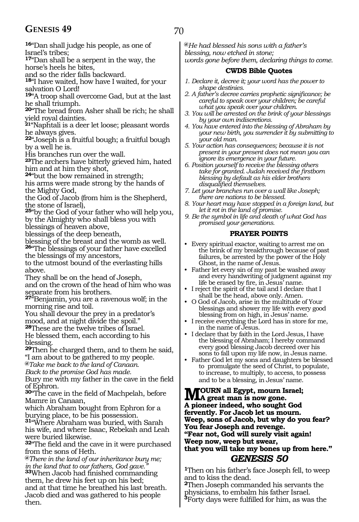## **GENESIS 49** 70

**<sup>16</sup>**"Dan shall judge his people, as one of Israel's tribes;

**<sup>17</sup>**"Dan shall be a serpent in the way, the horse's heels he bites,

and so the rider falls backward.

**<sup>18</sup>**"I have waited, how have I waited, for your salvation O Lord!

**<sup>19</sup>**"A troop shall overcome Gad, but at the last he shall triumph.

**<sup>20</sup>**"The bread from Asher shall be rich; he shall yield royal dainties.

**<sup>21</sup>**"Naphtali is a deer let loose; pleasant words he always gives.

**<sup>22</sup>**"Joseph is a fruitful bough; a fruitful bough by a well he is.

His branches run over the wall.

**<sup>23</sup>**The archers have bitterly grieved him, hated him and at him they shot,

**<sup>24</sup>**"but the bow remained in strength;

his arms were made strong by the hands of the Mighty God,

the God of Jacob (from him is the Shepherd, the stone of Israel),

**<sup>25</sup>**"by the God of your father who will help you, by the Almighty who shall bless you with blessings of heaven above,

blessings of the deep beneath,

blessing of the breast and the womb as well. **<sup>26</sup>**"The blessings of your father have excelled the blessings of my ancestors,

to the utmost bound of the everlasting hills above.

They shall be on the head of Joseph, and on the crown of the head of him who was separate from his brothers.

**<sup>27</sup>**"Benjamin, you are a ravenous wolf; in the morning rise and toil.

You shall devour the prey in a predator's mood, and at night divide the spoil."

**<sup>28</sup>**These are the twelve tribes of Israel. He blessed them, each according to his blessing.

**<sup>29</sup>**Then he charged them, and to them he said, "I am about to be gathered to my people. **@***Take me back to the land of Canaan.*

*Back to the promise God has made.*

Bury me with my father in the cave in the field of Ephron.

**<sup>30</sup>**"The cave in the field of Machpelah, before Mamre in Canaan,

which Abraham bought from Ephron for a burying place, to be his possession.

**<sup>31</sup>**"Where Abraham was buried, with Sarah his wife, and where Isaac, Rebekah and Leah were buried likewise.

**<sup>32</sup>**"The field and the cave in it were purchased from the sons of Heth.

**@***There in the land of our inheritance bury me; in the land that to our fathers, God gave."* **<sup>33</sup>**When Jacob had finished commanding them, he drew his feet up on his bed; and at that time he breathed his last breath. Jacob died and was gathered to his people then.

**@***He had blessed his sons with a father's blessing, now etched in stone; words gone before them, declaring things to come.*

#### **CWDS Bible Quotes**

- *1. Declare it, decree it; your word has the power to shape destinies.*
- *2. A father's decree carries prophetic significance; be careful to speak over your children; be careful*
- *what you speak over your children. 3. You will be arrested on the brink of your blessings by your own indiscretions.*
- *4. You have entered into the blessing of Abraham by your new birth, you surrender it by submitting to your old man.*
- *5. Your action has consequences; because it is not present in your present does not mean you can ignore its emergence in your future.*
- *6. Position yourself to receive the blessing others take for granted. Judah received the firstborn blessing by default as his elder brothers disqualified themselves.*
- *7. Let your branches run over a wall like Joseph; there are nations to be blessed.*
- *8. Your heart may have stopped in a foreign land, but let it rot in the land of promise.*
- *9. Be the symbol in life and death of what God has promised your generations.*

#### **PRAYER POINTS**

- Every spiritual exactor, waiting to arrest me on the brink of my breakthrough because of past failures, be arrested by the power of the Holy Ghost, in the name of Jesus.
- Father let every sin of my past be washed away and every handwriting of judgment against my life be erased by fire, in Jesus' name.
- I reject the spirit of the tail and I declare that I shall be the head, above only. Amen.
- O God of Jacob, arise in the multitude of Your blessings and shower my life with every good blessing from on high, in Jesus' name.
- I receive everything the Lord has in store for me, in the name of Jesus.
- I declare that by faith in the Lord Jesus, I have the blessing of Abraham; I hereby command every good blessing Jacob decreed over his sons to fall upon my life now, in Jesus name.
- Father God let my sons and daughters be blessed to promulgate the seed of Christ, to populate, to increase, to multiply, to access, to possess and to be a blessing, in Jesus' name.

**MOURN all Egypt, mourn Israel;**<br>A great man is now gone. **A pioneer indeed, who sought God fervently. For Jacob let us mourn. Weep, sons of Jacob, but why do you fear? You fear Joseph and revenge. "Fear not, God will surely visit again! Weep now, weep but swear, that you will take my bones up from here."** *GENESIS 50* 

**<sup>1</sup>**Then on his father's face Joseph fell, to weep and to kiss the dead.

**<sup>2</sup>**Then Joseph commanded his servants the physicians, to embalm his father Israel. **3**Forty days were fulfilled for him, as was the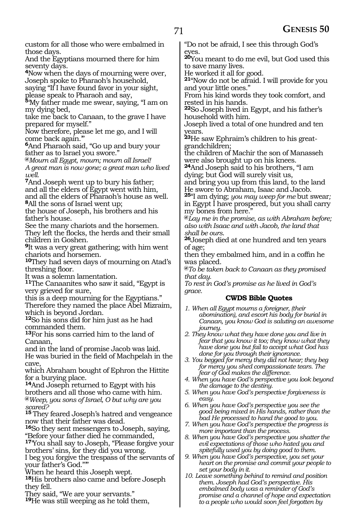custom for all those who were embalmed in those days.

And the Egyptians mourned there for him seventy days.

**<sup>4</sup>**Now when the days of mourning were over, Joseph spoke to Pharaoh's household,

saying "If I have found favor in your sight, please speak to Pharaoh and say,

**<sup>5</sup>**'My father made me swear, saying, "I am on my dying bed,

take me back to Canaan, to the grave I have prepared for myself."

Now therefore, please let me go, and I will come back again.'"

**<sup>6</sup>**And Pharaoh said, "Go up and bury your father as to Israel you swore."

**@***Mourn all Egypt, mourn; mourn all Israel! A great man is now gone; a great man who lived well.* 

**<sup>7</sup>**And Joseph went up to bury his father; and all the elders of Egypt went with him, and all the elders of Pharaoh's house as well.

**<sup>8</sup>**All the sons of Israel went up;

the house of Joseph, his brothers and his father's house.

See the many chariots and the horsemen. They left the flocks, the herds and their small children in Goshen.

**<sup>9</sup>**It was a very great gathering; with him went chariots and horsemen.

**<sup>10</sup>**They had seven days of mourning on Atad's threshing floor.

It was a solemn lamentation.

**<sup>11</sup>**The Canaanites who saw it said, "Egypt is very grieved for sure,

this is a deep mourning for the Egyptians." Therefore they named the place Abel Mizraim,

which is beyond Jordan.

**<sup>12</sup>**So his sons did for him just as he had commanded them.

**<sup>13</sup>**For his sons carried him to the land of Canaan,

and in the land of promise Jacob was laid. He was buried in the field of Machpelah in the cave,

which Abraham bought of Ephron the Hittite for a burying place.

**<sup>14</sup>**And Joseph returned to Egypt with his brothers and all those who came with him. **@***Weep, you sons of Israel, O but why are you scared?*

**<sup>15</sup>** They feared Joseph's hatred and vengeance now that their father was dead.

**<sup>16</sup>**So they sent messengers to Joseph, saying, "Before your father died he commanded,

**<sup>17</sup>**'You shall say to Joseph, "Please forgive your brothers' sins, for they did you wrong.

I beg you forgive the trespass of the servants of your father's God."'"

When he heard this Joseph wept.

**<sup>18</sup>**His brothers also came and before Joseph they fell.

They said, "We are your servants."

**<sup>19</sup>**He was still weeping as he told them,

"Do not be afraid, I see this through God's eyes.

**<sup>20</sup>**You meant to do me evil, but God used this to save many lives.

He worked it all for good.

**<sup>21</sup>**"Now do not be afraid. I will provide for you and your little ones."

From his kind words they took comfort, and rested in his hands.

**<sup>22</sup>**So Joseph lived in Egypt, and his father's household with him.

Joseph lived a total of one hundred and ten years.

**23**He saw Ephraim's children to his greatgrandchildren;

the children of Machir the son of Manasseh were also brought up on his knees.

**<sup>24</sup>**And Joseph said to his brothers, "I am dying; but God will surely visit us,

and bring you up from this land, to the land He swore to Abraham, Isaac and Jacob.

**<sup>25</sup>**"I am dying; *you may weep for me* but swear*;* in Egypt I have prospered, but you shall carry my bones from here."

**@***Lay me in the promise, as with Abraham before; also with Isaac and with Jacob, the land that* 

**<sup>26</sup>Joseph died at one hundred and ten years** of age;

then they embalmed him, and in a coffin he was placed.

**@***To be taken back to Canaan as they promised that day.*

*To rest in God's promise as he lived in God's grace.*

## **CWDS Bible Quotes**

- *1. When all Egypt mourns a foreigner, (their abomination), and escort his body for burial in Canaan, you know God is saluting an awesome journey.*
- *2. They know what they have done you and live in fear that you know it too; they know what they have done you but fail to accept what God has done for you through their ignorance.*
- *3. You begged for mercy they did not hear; they beg for mercy you shed compassionate tears. The fear of God makes the difference.*
- *4. When you have God's perspective you look beyond the damage to the destiny.*
- *5. When you have God's perspective forgiveness is easy.*
- *6. When you have God's perspective you see the good being mixed in His hands, rather than the bad He processed to hand the good to you.*
- *7. When you have God's perspective the progress is more important than the process.*
- *8. When you have God's perspective you shatter the evil expectations of those who hated you and spitefully used you by doing good to them.*
- *9. When you have God's perspective, you set your heart on the promise and commit your people to set your body in it.*
- *10. Leave something behind to remind and position them. Joseph had God's perspective. His embalmed body was a reminder of God's promise and a channel of hope and expectation to a people who would soon feel forgotten by*